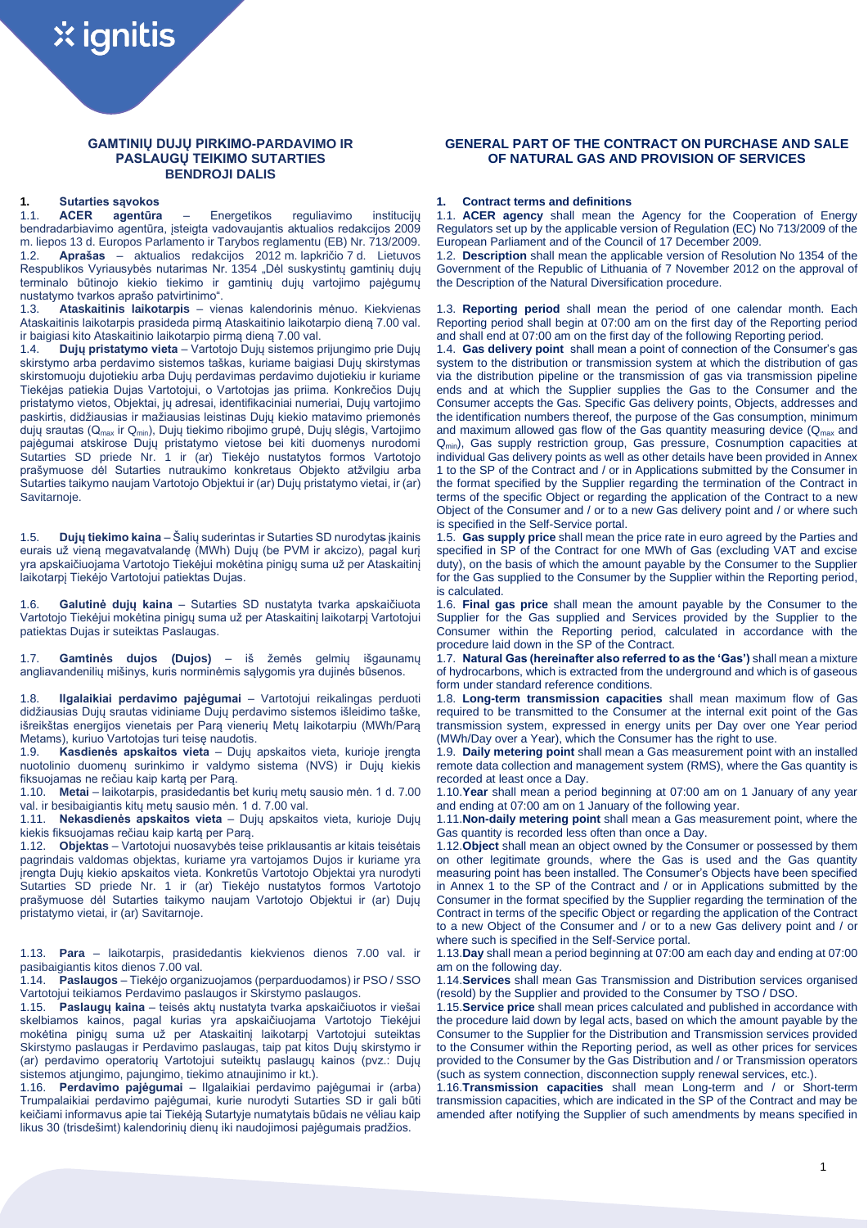# **GAMTINIŲ DUJŲ PIRKIMO-PARDAVIMO IR PASLAUGŲ TEIKIMO SUTARTIES BENDROJI DALIS**

1.1. **ACER agentūra** – Energetikos reguliavimo institucijų bendradarbiavimo agentūra, įsteigta vadovaujantis aktualios redakcijos 2009 m. liepos 13 d. Europos Parlamento ir Tarybos reglamentu (EB) Nr. 713/2009. 1.2. **Aprašas** – aktualios redakcijos 2012 m. lapkričio 7 d. Lietuvos Respublikos Vyriausybės nutarimas Nr. 1354 "Dėl suskystintų gamtinių dujų terminalo būtinojo kiekio tiekimo ir gamtinių dujų vartojimo pajėgumų nustatymo tvarkos aprašo patvirtinimo".

1.3. **Ataskaitinis laikotarpis** – vienas kalendorinis mėnuo. Kiekvienas Ataskaitinis laikotarpis prasideda pirmą Ataskaitinio laikotarpio dieną 7.00 val. ir baigiasi kito Ataskaitinio laikotarpio pirmą dieną 7.00 val.<br>1.4. **Dujų pristatymo vieta** – Vartotojo Dujų sistemos r

1.4. **Dujų pristatymo vieta** – Vartotojo Dujų sistemos prijungimo prie Dujų skirstymo arba perdavimo sistemos taškas, kuriame baigiasi Dujų skirstymas skirstomuoju dujotiekiu arba Dujų perdavimas perdavimo dujotiekiu ir kuriame Tiekėjas patiekia Dujas Vartotojui, o Vartotojas jas priima. Konkrečios Dujų pristatymo vietos, Objektai, jų adresai, identifikaciniai numeriai, Dujų vartojimo paskirtis, didžiausias ir mažiausias leistinas Dujų kiekio matavimo priemonės dujų srautas (Qmax ir Qmin), Dujų tiekimo ribojimo grupė, Dujų slėgis, Vartojimo pajėgumai atskirose Dujų pristatymo vietose bei kiti duomenys nurodomi Sutarties SD priede Nr. 1 ir (ar) Tiekėjo nustatytos formos Vartotojo prašymuose dėl Sutarties nutraukimo konkretaus Objekto atžvilgiu arba Sutarties taikymo naujam Vartotojo Objektui ir (ar) Dujų pristatymo vietai, ir (ar) Savitarnoje.

1.5. **Dujų tiekimo kaina** – Šalių suderintas ir Sutarties SD nurodytas įkainis eurais už vieną megavatvalandę (MWh) Dujų (be PVM ir akcizo), pagal kurį yra apskaičiuojama Vartotojo Tiekėjui mokėtina pinigų suma už per Ataskaitinį laikotarpį Tiekėjo Vartotojui patiektas Dujas.

1.6. **Galutinė dujų kaina** – Sutarties SD nustatyta tvarka apskaičiuota Vartotojo Tiekėjui mokėtina pinigų suma už per Ataskaitinį laikotarpį Vartotojui patiektas Dujas ir suteiktas Paslaugas.

1.7. **Gamtinės dujos (Dujos)** – iš žemės gelmių išgaunamų angliavandenilių mišinys, kuris norminėmis sąlygomis yra dujinės būsenos.

1.8. **Ilgalaikiai perdavimo pajėgumai** – Vartotojui reikalingas perduoti didžiausias Dujų srautas vidiniame Dujų perdavimo sistemos išleidimo taške, išreikštas energijos vienetais per Parą vienerių Metų laikotarpiu (MWh/Parą Metams), kuriuo Vartotojas turi teisę naudotis.

1.9. **Kasdienės apskaitos vieta** – Dujų apskaitos vieta, kurioje įrengta nuotolinio duomenų surinkimo ir valdymo sistema (NVS) ir Dujų kiekis fiksuojamas ne rečiau kaip kartą per Parą.

1.10. **Metai** – laikotarpis, prasidedantis bet kurių metų sausio mėn. 1 d. 7.00 val. ir besibaigiantis kitų metų sausio mėn. 1 d. 7.00 val.

1.11. **Nekasdienės apskaitos vieta** – Dujų apskaitos vieta, kurioje Dujų kiekis fiksuojamas rečiau kaip kartą per Parą.

1.12. **Objektas** – Vartotojui nuosavybės teise priklausantis ar kitais teisėtais pagrindais valdomas objektas, kuriame yra vartojamos Dujos ir kuriame yra įrengta Dujų kiekio apskaitos vieta. Konkretūs Vartotojo Objektai yra nurodyti Sutarties SD priede Nr. 1 ir (ar) Tiekėjo nustatytos formos Vartotojo prašymuose dėl Sutarties taikymo naujam Vartotojo Objektui ir (ar) Dujų pristatymo vietai, ir (ar) Savitarnoje.

1.13. **Para** – laikotarpis, prasidedantis kiekvienos dienos 7.00 val. ir pasibaigiantis kitos dienos 7.00 val.

1.14. **Paslaugos** – Tiekėjo organizuojamos (perparduodamos) ir PSO / SSO Vartotojui teikiamos Perdavimo paslaugos ir Skirstymo paslaugos.

1.15. **Paslaugų kaina** – teisės aktų nustatyta tvarka apskaičiuotos ir viešai skelbiamos kainos, pagal kurias yra apskaičiuojama Vartotojo Tiekėjui mokėtina pinigų suma už per Ataskaitinį laikotarpį Vartotojui suteiktas Skirstymo paslaugas ir Perdavimo paslaugas, taip pat kitos Dujų skirstymo ir (ar) perdavimo operatorių Vartotojui suteiktų paslaugų kainos (pvz.: Dujų sistemos atjungimo, pajungimo, tiekimo atnaujinimo ir kt.).

1.16. **Perdavimo pajėgumai** – Ilgalaikiai perdavimo pajėgumai ir (arba) Trumpalaikiai perdavimo pajėgumai, kurie nurodyti Sutarties SD ir gali būti keičiami informavus apie tai Tiekėją Sutartyje numatytais būdais ne vėliau kaip likus 30 (trisdešimt) kalendorinių dienų iki naudojimosi pajėgumais pradžios.

# **GENERAL PART OF THE CONTRACT ON PURCHASE AND SALE OF NATURAL GAS AND PROVISION OF SERVICES**

# **1. Sutarties sąvokos 1. Contract terms and definitions**

1.1. **ACER agency** shall mean the Agency for the Cooperation of Energy Regulators set up by the applicable version of Regulation (EC) No 713/2009 of the European Parliament and of the Council of 17 December 2009.

1.2. **Description** shall mean the applicable version of Resolution No 1354 of the Government of the Republic of Lithuania of 7 November 2012 on the approval of the Description of the Natural Diversification procedure.

1.3. **Reporting period** shall mean the period of one calendar month. Each Reporting period shall begin at 07:00 am on the first day of the Reporting period and shall end at 07:00 am on the first day of the following Reporting period.

1.4. **Gas delivery point** shall mean a point of connection of the Consumer's gas system to the distribution or transmission system at which the distribution of gas via the distribution pipeline or the transmission of gas via transmission pipeline ends and at which the Supplier supplies the Gas to the Consumer and the Consumer accepts the Gas. Specific Gas delivery points, Objects, addresses and the identification numbers thereof, the purpose of the Gas consumption, minimum and maximum allowed gas flow of the Gas quantity measuring device  $(Q<sub>max</sub>$  and Q<sub>min</sub>), Gas supply restriction group, Gas pressure, Cosnumption capacities at individual Gas delivery points as well as other details have been provided in Annex 1 to the SP of the Contract and / or in Applications submitted by the Consumer in the format specified by the Supplier regarding the termination of the Contract in terms of the specific Object or regarding the application of the Contract to a new Object of the Consumer and / or to a new Gas delivery point and / or where such is specified in the Self-Service portal.

1.5. **Gas supply price** shall mean the price rate in euro agreed by the Parties and specified in SP of the Contract for one MWh of Gas (excluding VAT and excise duty), on the basis of which the amount payable by the Consumer to the Supplier for the Gas supplied to the Consumer by the Supplier within the Reporting period, is calculated.

1.6. **Final gas price** shall mean the amount payable by the Consumer to the Supplier for the Gas supplied and Services provided by the Supplier to the Consumer within the Reporting period, calculated in accordance with the procedure laid down in the SP of the Contract.

1.7. **Natural Gas (hereinafter also referred to as the 'Gas')** shall mean a mixture of hydrocarbons, which is extracted from the underground and which is of gaseous form under standard reference conditions.

1.8. **Long-term transmission capacities** shall mean maximum flow of Gas required to be transmitted to the Consumer at the internal exit point of the Gas transmission system, expressed in energy units per Day over one Year period (MWh/Day over a Year), which the Consumer has the right to use.

1.9. **Daily metering point** shall mean a Gas measurement point with an installed remote data collection and management system (RMS), where the Gas quantity is recorded at least once a Day.

1.10.**Year** shall mean a period beginning at 07:00 am on 1 January of any year and ending at 07:00 am on 1 January of the following year.

1.11.**Non-daily metering point** shall mean a Gas measurement point, where the Gas quantity is recorded less often than once a Day.

1.12.**Object** shall mean an object owned by the Consumer or possessed by them on other legitimate grounds, where the Gas is used and the Gas quantity measuring point has been installed. The Consumer's Objects have been specified in Annex 1 to the SP of the Contract and / or in Applications submitted by the Consumer in the format specified by the Supplier regarding the termination of the Contract in terms of the specific Object or regarding the application of the Contract to a new Object of the Consumer and / or to a new Gas delivery point and / or where such is specified in the Self-Service portal.

1.13.**Day** shall mean a period beginning at 07:00 am each day and ending at 07:00 am on the following day.

1.14.**Services** shall mean Gas Transmission and Distribution services organised (resold) by the Supplier and provided to the Consumer by TSO / DSO.

1.15.**Service price** shall mean prices calculated and published in accordance with the procedure laid down by legal acts, based on which the amount payable by the Consumer to the Supplier for the Distribution and Transmission services provided to the Consumer within the Reporting period, as well as other prices for services provided to the Consumer by the Gas Distribution and / or Transmission operators (such as system connection, disconnection supply renewal services, etc.).

1.16.**Transmission capacities** shall mean Long-term and / or Short-term transmission capacities, which are indicated in the SP of the Contract and may be amended after notifying the Supplier of such amendments by means specified in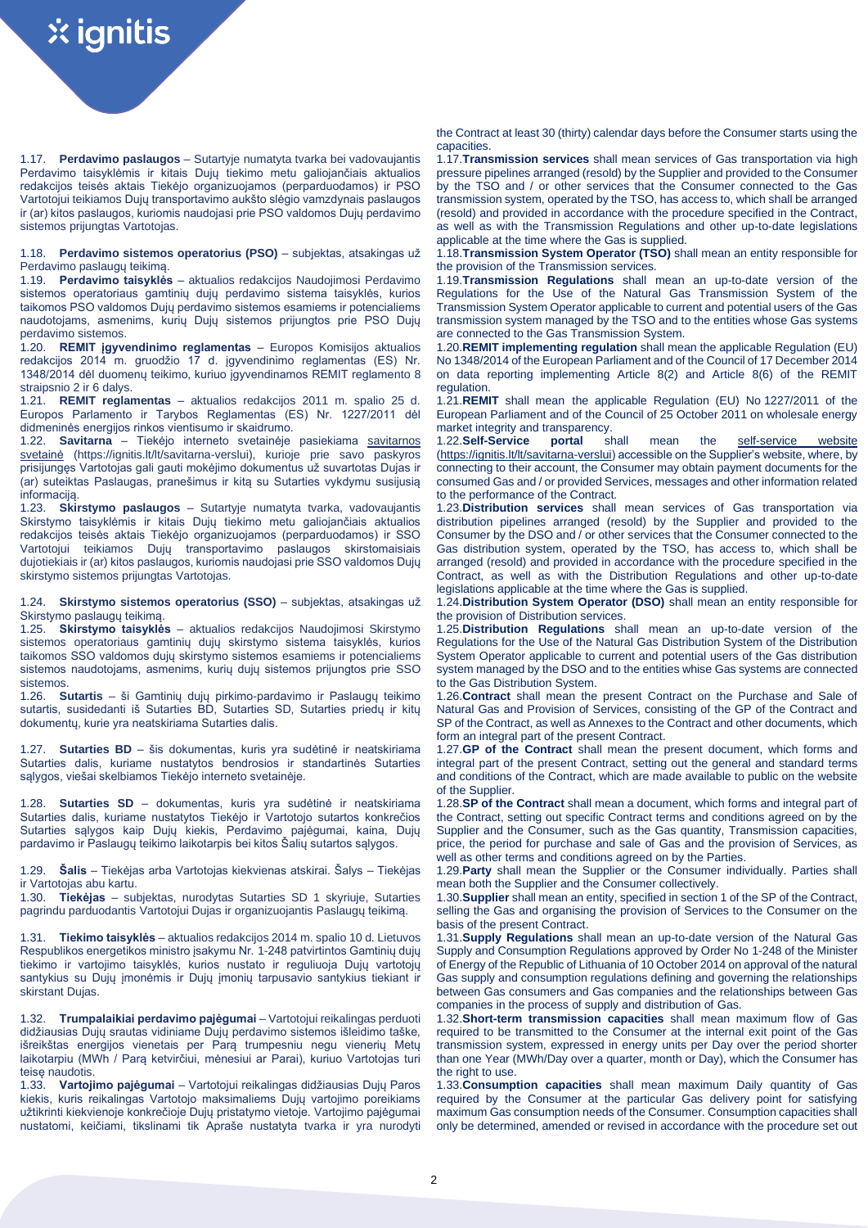1.17. **Perdavimo paslaugos** – Sutartyje numatyta tvarka bei vadovaujantis Perdavimo taisyklėmis ir kitais Dujų tiekimo metu galiojančiais aktualios redakcijos teisės aktais Tiekėjo organizuojamos (perparduodamos) ir PSO Vartotojui teikiamos Dujų transportavimo aukšto slėgio vamzdynais paslaugos ir (ar) kitos paslaugos, kuriomis naudojasi prie PSO valdomos Dujų perdavimo sistemos prijungtas Vartotojas.

1.18. **Perdavimo sistemos operatorius (PSO)** – subjektas, atsakingas už Perdavimo paslaugų teikimą.

1.19. **Perdavimo taisyklės** – aktualios redakcijos Naudojimosi Perdavimo sistemos operatoriaus gamtinių dujų perdavimo sistema taisyklės, kurios taikomos PSO valdomos Dujų perdavimo sistemos esamiems ir potencialiems naudotojams, asmenims, kurių Dujų sistemos prijungtos prie PSO Dujų perdavimo sistemos.

1.20. **REMIT įgyvendinimo reglamentas** – Europos Komisijos aktualios redakcijos 2014 m. gruodžio 17 d. įgyvendinimo reglamentas (ES) Nr. 1348/2014 dėl duomenų teikimo, kuriuo įgyvendinamos REMIT reglamento 8 straipsnio 2 ir 6 dalys.

1.21. **REMIT reglamentas** – aktualios redakcijos 2011 m. spalio 25 d. Europos Parlamento ir Tarybos Reglamentas (ES) Nr. 1227/2011 dėl didmeninės energijos rinkos vientisumo ir skaidrumo.

1.22. **Savitarna** – Tiekėjo interneto svetainėje pasiekiama [savitarnos](https://ignitis.lt/lt/savitarna-verslui)  [svetainė](https://ignitis.lt/lt/savitarna-verslui) (https://ignitis.lt/lt/savitarna-verslui), kurioje prie savo paskyros prisijungęs Vartotojas gali gauti mokėjimo dokumentus už suvartotas Dujas ir (ar) suteiktas Paslaugas, pranešimus ir kitą su Sutarties vykdymu susijusią informaciją.

1.23. **Skirstymo paslaugos** – Sutartyje numatyta tvarka, vadovaujantis Skirstymo taisyklėmis ir kitais Dujų tiekimo metu galiojančiais aktualios redakcijos teisės aktais Tiekėjo organizuojamos (perparduodamos) ir SSO teikiamos Dujų transportavimo paslaugos skirstomaisiais dujotiekiais ir (ar) kitos paslaugos, kuriomis naudojasi prie SSO valdomos Dujų skirstymo sistemos prijungtas Vartotojas.

1.24. **Skirstymo sistemos operatorius (SSO)** – subjektas, atsakingas už Skirstymo paslaugų teikimą.

1.25. **Skirstymo taisyklės** – aktualios redakcijos Naudojimosi Skirstymo sistemos operatoriaus gamtinių dujų skirstymo sistema taisyklės, kurios taikomos SSO valdomos dujų skirstymo sistemos esamiems ir potencialiems sistemos naudotojams, asmenims, kurių dujų sistemos prijungtos prie SSO sistemos.

1.26. **Sutartis** – ši Gamtinių dujų pirkimo-pardavimo ir Paslaugų teikimo sutartis, susidedanti iš Sutarties BD, Sutarties SD, Sutarties priedų ir kitų dokumentų, kurie yra neatskiriama Sutarties dalis.

1.27. **Sutarties BD** – šis dokumentas, kuris yra sudėtinė ir neatskiriama Sutarties dalis, kuriame nustatytos bendrosios ir standartinės Sutarties sąlygos, viešai skelbiamos Tiekėjo interneto svetainėje.

1.28. **Sutarties SD** – dokumentas, kuris yra sudėtinė ir neatskiriama Sutarties dalis, kuriame nustatytos Tiekėjo ir Vartotojo sutartos konkrečios Sutarties sąlygos kaip Dujų kiekis, Perdavimo pajėgumai, kaina, Dujų pardavimo ir Paslaugų teikimo laikotarpis bei kitos Šalių sutartos sąlygos.

1.29. **Šalis** – Tiekėjas arba Vartotojas kiekvienas atskirai. Šalys – Tiekėjas ir Vartotojas abu kartu.

1.30. **Tiekėjas** – subjektas, nurodytas Sutarties SD 1 skyriuje, Sutarties pagrindu parduodantis Vartotojui Dujas ir organizuojantis Paslaugų teikimą.

1.31. **Tiekimo taisyklės** – aktualios redakcijos 2014 m. spalio 10 d. Lietuvos Respublikos energetikos ministro įsakymu Nr. 1-248 patvirtintos Gamtinių dujų tiekimo ir vartojimo taisyklės, kurios nustato ir reguliuoja Dujų vartotojų santykius su Dujų įmonėmis ir Dujų įmonių tarpusavio santykius tiekiant ir skirstant Dujas.

1.32. **Trumpalaikiai perdavimo pajėgumai** – Vartotojui reikalingas perduoti didžiausias Dujų srautas vidiniame Dujų perdavimo sistemos išleidimo taške, išreikštas energijos vienetais per Parą trumpesniu negu vienerių Metų laikotarpiu (MWh / Parą ketvirčiui, mėnesiui ar Parai), kuriuo Vartotojas turi teisę naudotis.

1.33. **Vartojimo pajėgumai** – Vartotojui reikalingas didžiausias Dujų Paros kiekis, kuris reikalingas Vartotojo maksimaliems Dujų vartojimo poreikiams užtikrinti kiekvienoje konkrečioje Dujų pristatymo vietoje. Vartojimo pajėgumai nustatomi, keičiami, tikslinami tik Apraše nustatyta tvarka ir yra nurodyti the Contract at least 30 (thirty) calendar days before the Consumer starts using the capacities.

1.17.**Transmission services** shall mean services of Gas transportation via high pressure pipelines arranged (resold) by the Supplier and provided to the Consumer by the TSO and / or other services that the Consumer connected to the Gas transmission system, operated by the TSO, has access to, which shall be arranged (resold) and provided in accordance with the procedure specified in the Contract, as well as with the Transmission Regulations and other up-to-date legislations applicable at the time where the Gas is supplied.

1.18.**Transmission System Operator (TSO)** shall mean an entity responsible for the provision of the Transmission services.

1.19.**Transmission Regulations** shall mean an up-to-date version of the Regulations for the Use of the Natural Gas Transmission System of the Transmission System Operator applicable to current and potential users of the Gas transmission system managed by the TSO and to the entities whose Gas systems are connected to the Gas Transmission System.

1.20.**REMIT implementing regulation** shall mean the applicable Regulation (EU) No 1348/2014 of the European Parliament and of the Council of 17 December 2014 on data reporting implementing Article 8(2) and Article 8(6) of the REMIT regulation.

1.21.**REMIT** shall mean the applicable Regulation (EU) No 1227/2011 of the European Parliament and of the Council of 25 October 2011 on wholesale energy market integrity and transparency.<br>1.22. Self-Service portal shall

1.22.**Self-Service portal** shall mean the [self-service website](file:///C:/Users/Egle/Downloads/self-service%20website) [\(https://ignitis.lt/lt/savitarna-verslui\)](https://ignitis.lt/lt/savitarna-verslui) accessible on the Supplier's website, where, by connecting to their account, the Consumer may obtain payment documents for the consumed Gas and / or provided Services, messages and other information related to the performance of the Contract.

1.23.**Distribution services** shall mean services of Gas transportation via distribution pipelines arranged (resold) by the Supplier and provided to the Consumer by the DSO and / or other services that the Consumer connected to the Gas distribution system, operated by the TSO, has access to, which shall be arranged (resold) and provided in accordance with the procedure specified in the Contract, as well as with the Distribution Regulations and other up-to-date legislations applicable at the time where the Gas is supplied.

1.24.**Distribution System Operator (DSO)** shall mean an entity responsible for the provision of Distribution services.

1.25.**Distribution Regulations** shall mean an up-to-date version of the Regulations for the Use of the Natural Gas Distribution System of the Distribution System Operator applicable to current and potential users of the Gas distribution system managed by the DSO and to the entities whise Gas systems are connected to the Gas Distribution System.

1.26.**Contract** shall mean the present Contract on the Purchase and Sale of Natural Gas and Provision of Services, consisting of the GP of the Contract and SP of the Contract, as well as Annexes to the Contract and other documents, which form an integral part of the present Contract.

1.27.**GP of the Contract** shall mean the present document, which forms and integral part of the present Contract, setting out the general and standard terms and conditions of the Contract, which are made available to public on the website of the Supplier.

1.28.**SP of the Contract** shall mean a document, which forms and integral part of the Contract, setting out specific Contract terms and conditions agreed on by the Supplier and the Consumer, such as the Gas quantity, Transmission capacities, price, the period for purchase and sale of Gas and the provision of Services, as well as other terms and conditions agreed on by the Parties.

1.29.**Party** shall mean the Supplier or the Consumer individually. Parties shall mean both the Supplier and the Consumer collectively.

1.30.**Supplier** shall mean an entity, specified in section 1 of the SP of the Contract, selling the Gas and organising the provision of Services to the Consumer on the basis of the present Contract.

1.31.**Supply Regulations** shall mean an up-to-date version of the Natural Gas Supply and Consumption Regulations approved by Order No 1-248 of the Minister of Energy of the Republic of Lithuania of 10 October 2014 on approval of the natural Gas supply and consumption regulations defining and governing the relationships between Gas consumers and Gas companies and the relationships between Gas companies in the process of supply and distribution of Gas.

1.32.**Short-term transmission capacities** shall mean maximum flow of Gas required to be transmitted to the Consumer at the internal exit point of the Gas transmission system, expressed in energy units per Day over the period shorter than one Year (MWh/Day over a quarter, month or Day), which the Consumer has the right to use.

1.33.**Consumption capacities** shall mean maximum Daily quantity of Gas required by the Consumer at the particular Gas delivery point for satisfying maximum Gas consumption needs of the Consumer. Consumption capacities shall only be determined, amended or revised in accordance with the procedure set out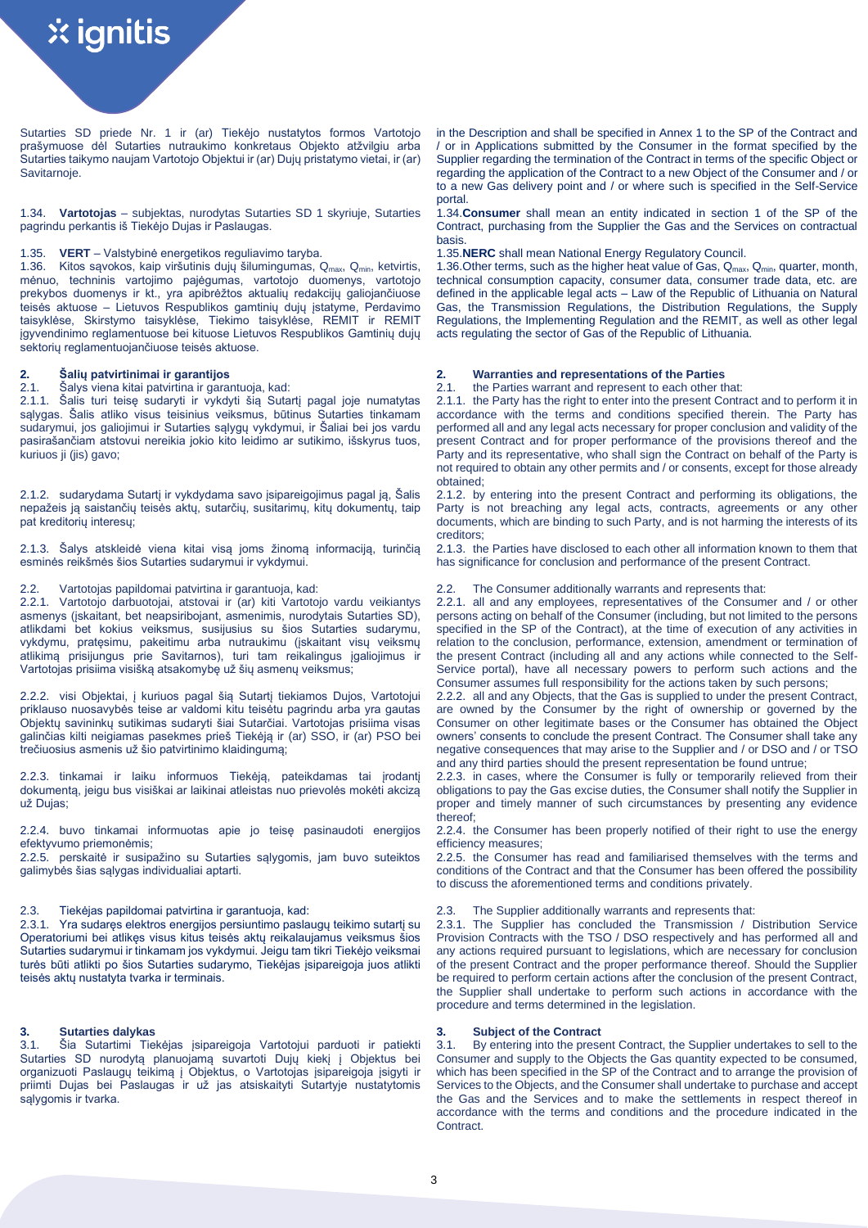Sutarties SD priede Nr. 1 ir (ar) Tiekėjo nustatytos formos Vartotojo prašymuose dėl Sutarties nutraukimo konkretaus Objekto atžvilgiu arba Sutarties taikymo naujam Vartotojo Objektui ir (ar) Dujų pristatymo vietai, ir (ar) Savitarnoje.

1.34. **Vartotojas** – subjektas, nurodytas Sutarties SD 1 skyriuje, Sutarties pagrindu perkantis iš Tiekėjo Dujas ir Paslaugas.

# 1.35. **VERT** – Valstybinė energetikos reguliavimo taryba. 1.35.**NERC** shall mean National Energy Regulatory Council.

1.36. Kitos savokos, kaip viršutinis dujų šilumingumas, Q<sub>max</sub>, Q<sub>min</sub>, ketvirtis, mėnuo, techninis vartojimo pajėgumas, vartotojo duomenys, vartotojo prekybos duomenys ir kt., yra apibrėžtos aktualių redakcijų galiojančiuose teisės aktuose – Lietuvos Respublikos gamtinių dujų įstatyme, Perdavimo taisyklėse, Skirstymo taisyklėse, Tiekimo taisyklėse, REMIT ir REMIT įgyvendinimo reglamentuose bei kituose Lietuvos Respublikos Gamtinių dujų sektorių reglamentuojančiuose teisės aktuose.

2.1. Šalys viena kitai patvirtina ir garantuoja, kad: 2.1. the Parties warrant and represent to each other that: Šalis turi teisę sudaryti ir vykdyti šią Sutartį pagal joje numatytas sąlygas. Šalis atliko visus teisinius veiksmus, būtinus Sutarties tinkamam sudarymui, jos galiojimui ir Sutarties sąlygų vykdymui, ir Šaliai bei jos vardu pasirašančiam atstovui nereikia jokio kito leidimo ar sutikimo, išskyrus tuos, kuriuos ji (jis) gavo;

2.1.2. sudarydama Sutartį ir vykdydama savo įsipareigojimus pagal ją, Šalis nepažeis ją saistančių teisės aktų, sutarčių, susitarimų, kitų dokumentų, taip pat kreditorių interesų;

2.1.3. Šalys atskleidė viena kitai visą joms žinomą informaciją, turinčią esminės reikšmės šios Sutarties sudarymui ir vykdymui.

2.2.1. Vartotojo darbuotojai, atstovai ir (ar) kiti Vartotojo vardu veikiantys asmenys (įskaitant, bet neapsiribojant, asmenimis, nurodytais Sutarties SD), atlikdami bet kokius veiksmus, susijusius su šios Sutarties sudarymu, vykdymu, pratęsimu, pakeitimu arba nutraukimu (įskaitant visų veiksmų atlikimą prisijungus prie Savitarnos), turi tam reikalingus įgaliojimus ir Vartotojas prisiima visišką atsakomybę už šių asmenų veiksmus;

2.2.2. visi Objektai, į kuriuos pagal šią Sutartį tiekiamos Dujos, Vartotojui priklauso nuosavybės teise ar valdomi kitu teisėtu pagrindu arba yra gautas Objektų savininkų sutikimas sudaryti šiai Sutarčiai. Vartotojas prisiima visas galinčias kilti neigiamas pasekmes prieš Tiekėją ir (ar) SSO, ir (ar) PSO bei trečiuosius asmenis už šio patvirtinimo klaidingumą;

2.2.3. tinkamai ir laiku informuos Tiekėją, pateikdamas tai įrodantį dokumentą, jeigu bus visiškai ar laikinai atleistas nuo prievolės mokėti akcizą už Dujas;

2.2.4. buvo tinkamai informuotas apie jo teisę pasinaudoti energijos efektyvumo priemonėmis;

2.2.5. perskaitė ir susipažino su Sutarties sąlygomis, jam buvo suteiktos galimybės šias sąlygas individualiai aptarti.

## 2.3. Tiekėjas papildomai patvirtina ir garantuoja, kad: 2.3. The Supplier additionally warrants and represents that:

2.3.1. Yra sudaręs elektros energijos persiuntimo paslaugų teikimo sutartį su Operatoriumi bei atlikęs visus kitus teisės aktų reikalaujamus veiksmus šios Sutarties sudarymui ir tinkamam jos vykdymui. Jeigu tam tikri Tiekėjo veiksmai turės būti atlikti po šios Sutarties sudarymo, Tiekėjas įsipareigoja juos atlikti teisės aktų nustatyta tvarka ir terminais.

## **3. Sutarties dalykas 3. Subject of the Contract**

3.1. Šia Sutartimi Tiekėjas įsipareigoja Vartotojui parduoti ir patiekti Sutarties SD nurodytą planuojamą suvartoti Dujų kiekį į Objektus bei organizuoti Paslaugų teikimą į Objektus, o Vartotojas įsipareigoja įsigyti ir priimti Dujas bei Paslaugas ir už jas atsiskaityti Sutartyje nustatytomis sąlygomis ir tvarka.

in the Description and shall be specified in Annex 1 to the SP of the Contract and / or in Applications submitted by the Consumer in the format specified by the Supplier regarding the termination of the Contract in terms of the specific Object or regarding the application of the Contract to a new Object of the Consumer and / or to a new Gas delivery point and / or where such is specified in the Self-Service portal.

1.34.**Consumer** shall mean an entity indicated in section 1 of the SP of the Contract, purchasing from the Supplier the Gas and the Services on contractual basis.

1.36. Other terms, such as the higher heat value of Gas,  $Q_{\text{max}}$ ,  $Q_{\text{min}}$ , quarter, month, technical consumption capacity, consumer data, consumer trade data, etc. are defined in the applicable legal acts – Law of the Republic of Lithuania on Natural Gas, the Transmission Regulations, the Distribution Regulations, the Supply Regulations, the Implementing Regulation and the REMIT, as well as other legal acts regulating the sector of Gas of the Republic of Lithuania.

# **2. Šalių patvirtinimai ir garantijos 2. Warranties and representations of the Parties**

2.1.1. the Party has the right to enter into the present Contract and to perform it in accordance with the terms and conditions specified therein. The Party has performed all and any legal acts necessary for proper conclusion and validity of the present Contract and for proper performance of the provisions thereof and the Party and its representative, who shall sign the Contract on behalf of the Party is not required to obtain any other permits and / or consents, except for those already obtained;

2.1.2. by entering into the present Contract and performing its obligations, the Party is not breaching any legal acts, contracts, agreements or any other documents, which are binding to such Party, and is not harming the interests of its creditors;

2.1.3. the Parties have disclosed to each other all information known to them that has significance for conclusion and performance of the present Contract.

## 2.2. Vartotojas papildomai patvirtina ir garantuoja, kad: 2.2. The Consumer additionally warrants and represents that:

2.2.1. all and any employees, representatives of the Consumer and / or other persons acting on behalf of the Consumer (including, but not limited to the persons specified in the SP of the Contract), at the time of execution of any activities in relation to the conclusion, performance, extension, amendment or termination of the present Contract (including all and any actions while connected to the Self-Service portal), have all necessary powers to perform such actions and the Consumer assumes full responsibility for the actions taken by such persons;

2.2.2. all and any Objects, that the Gas is supplied to under the present Contract, are owned by the Consumer by the right of ownership or governed by the Consumer on other legitimate bases or the Consumer has obtained the Object owners' consents to conclude the present Contract. The Consumer shall take any negative consequences that may arise to the Supplier and / or DSO and / or TSO and any third parties should the present representation be found untrue;

2.2.3. in cases, where the Consumer is fully or temporarily relieved from their obligations to pay the Gas excise duties, the Consumer shall notify the Supplier in proper and timely manner of such circumstances by presenting any evidence thereof;

2.2.4. the Consumer has been properly notified of their right to use the energy efficiency measures;

2.2.5. the Consumer has read and familiarised themselves with the terms and conditions of the Contract and that the Consumer has been offered the possibility to discuss the aforementioned terms and conditions privately.

2.3.1. The Supplier has concluded the Transmission / Distribution Service Provision Contracts with the TSO / DSO respectively and has performed all and any actions required pursuant to legislations, which are necessary for conclusion of the present Contract and the proper performance thereof. Should the Supplier be required to perform certain actions after the conclusion of the present Contract, the Supplier shall undertake to perform such actions in accordance with the procedure and terms determined in the legislation.

3.1. By entering into the present Contract, the Supplier undertakes to sell to the Consumer and supply to the Objects the Gas quantity expected to be consumed, which has been specified in the SP of the Contract and to arrange the provision of Services to the Objects, and the Consumer shall undertake to purchase and accept the Gas and the Services and to make the settlements in respect thereof in accordance with the terms and conditions and the procedure indicated in the Contract.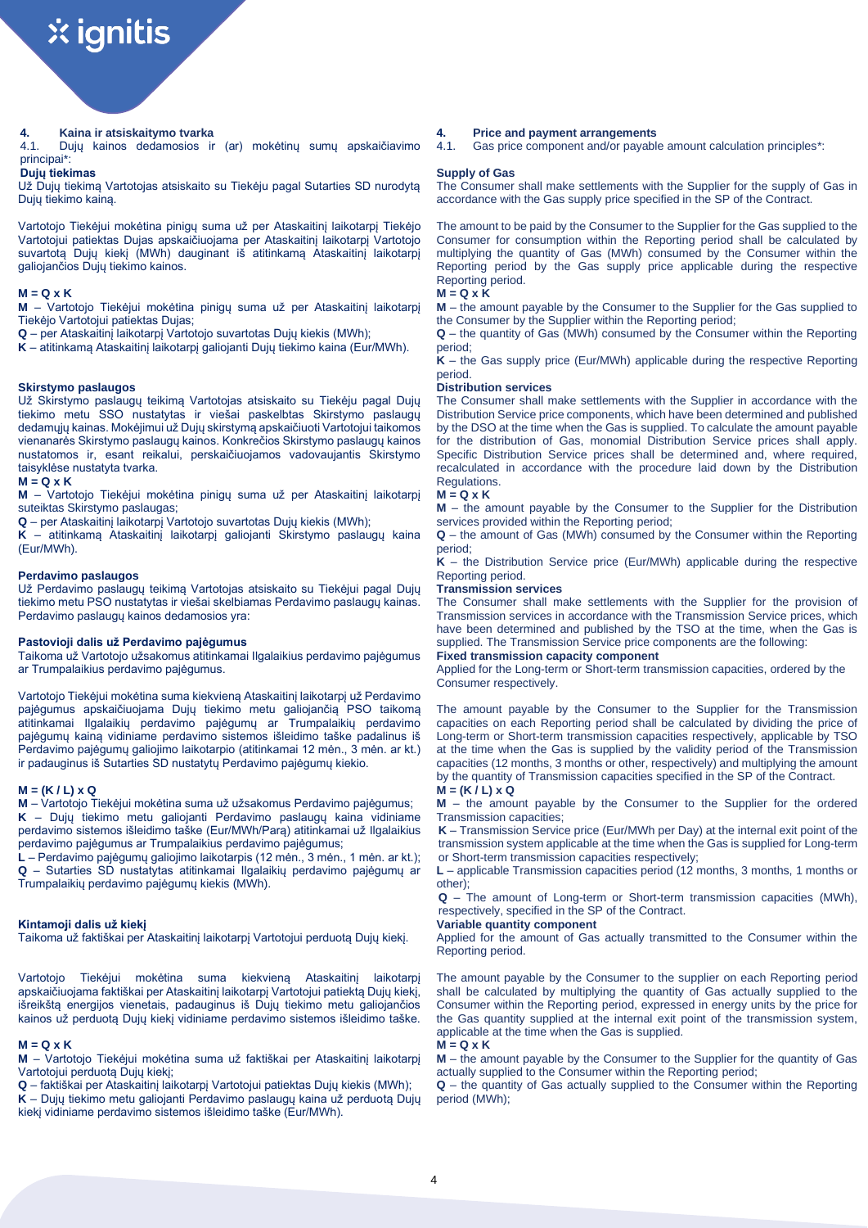4.1. Dujų kainos dedamosios ir (ar) mokėtinų sumų apskaičiavimo principai\*:

# **Dujų tiekimas**

Už Dujų tiekimą Vartotojas atsiskaito su Tiekėju pagal Sutarties SD nurodytą Dujų tiekimo kainą.

Vartotojo Tiekėjui mokėtina pinigų suma už per Ataskaitinį laikotarpį Tiekėjo Vartotojui patiektas Dujas apskaičiuojama per Ataskaitinį laikotarpį Vartotojo suvartotą Dujų kiekį (MWh) dauginant iš atitinkamą Ataskaitinį laikotarpį galiojančios Dujų tiekimo kainos.

## **M = Q x K**

**M** – Vartotojo Tiekėjui mokėtina pinigų suma už per Ataskaitinį laikotarpį Tiekėjo Vartotojui patiektas Dujas;

**Q** – per Ataskaitinį laikotarpį Vartotojo suvartotas Dujų kiekis (MWh);

**K** – atitinkamą Ataskaitinį laikotarpį galiojanti Dujų tiekimo kaina (Eur/MWh).

## **Skirstymo paslaugos**

Už Skirstymo paslaugų teikimą Vartotojas atsiskaito su Tiekėju pagal Dujų tiekimo metu SSO nustatytas ir viešai paskelbtas Skirstymo paslaugų dedamųjų kainas. Mokėjimui už Dujų skirstymą apskaičiuoti Vartotojui taikomos vienanarės Skirstymo paslaugų kainos. Konkrečios Skirstymo paslaugų kainos nustatomos ir, esant reikalui, perskaičiuojamos vadovaujantis Skirstymo taisyklėse nustatyta tvarka.

### **M = Q x K**

**M** – Vartotojo Tiekėjui mokėtina pinigų suma už per Ataskaitinį laikotarpį suteiktas Skirstymo paslaugas;

**Q** – per Ataskaitinį laikotarpį Vartotojo suvartotas Dujų kiekis (MWh);

**K** – atitinkamą Ataskaitinį laikotarpį galiojanti Skirstymo paslaugų kaina (Eur/MWh).

### **Perdavimo paslaugos**

Už Perdavimo paslaugų teikimą Vartotojas atsiskaito su Tiekėjui pagal Dujų tiekimo metu PSO nustatytas ir viešai skelbiamas Perdavimo paslaugų kainas. Perdavimo paslaugų kainos dedamosios yra:

## **Pastovioji dalis už Perdavimo pajėgumus**

Taikoma už Vartotojo užsakomus atitinkamai Ilgalaikius perdavimo pajėgumus ar Trumpalaikius perdavimo pajėgumus.

Vartotojo Tiekėjui mokėtina suma kiekvieną Ataskaitinį laikotarpį už Perdavimo pajėgumus apskaičiuojama Dujų tiekimo metu galiojančią PSO taikomą atitinkamai Ilgalaikių perdavimo pajėgumų ar Trumpalaikių perdavimo pajėgumų kainą vidiniame perdavimo sistemos išleidimo taške padalinus iš Perdavimo pajėgumų galiojimo laikotarpio (atitinkamai 12 mėn., 3 mėn. ar kt.) ir padauginus iš Sutarties SD nustatytų Perdavimo pajėgumų kiekio.

# **M = (K / L) x Q**

**M** – Vartotojo Tiekėjui mokėtina suma už užsakomus Perdavimo pajėgumus; **K** – Dujų tiekimo metu galiojanti Perdavimo paslaugų kaina vidiniame perdavimo sistemos išleidimo taške (Eur/MWh/Parą) atitinkamai už Ilgalaikius perdavimo pajėgumus ar Trumpalaikius perdavimo pajėgumus;

**L** – Perdavimo pajėgumų galiojimo laikotarpis (12 mėn., 3 mėn., 1 mėn. ar kt.); **Q** – Sutarties SD nustatytas atitinkamai Ilgalaikių perdavimo pajėgumų ar Trumpalaikių perdavimo pajėgumų kiekis (MWh).

## **Kintamoji dalis už kiekį**

Taikoma už faktiškai per Ataskaitinį laikotarpį Vartotojui perduotą Dujų kiekį.

Vartotojo Tiekėjui mokėtina suma kiekvieną Ataskaitinį laikotarpį apskaičiuojama faktiškai per Ataskaitinį laikotarpį Vartotojui patiektą Dujų kiekį, išreikštą energijos vienetais, padauginus iš Dujų tiekimo metu galiojančios kainos už perduotą Dujų kiekį vidiniame perdavimo sistemos išleidimo taške.

## **M = Q x K**

**M** – Vartotojo Tiekėjui mokėtina suma už faktiškai per Ataskaitinį laikotarpį Vartotojui perduotą Dujų kiekį;

**Q** – faktiškai per Ataskaitinį laikotarpį Vartotojui patiektas Dujų kiekis (MWh); **K** – Dujų tiekimo metu galiojanti Perdavimo paslaugų kaina už perduotą Dujų kiekį vidiniame perdavimo sistemos išleidimo taške (Eur/MWh).

## **4. Kaina ir atsiskaitymo tvarka 4. Price and payment arrangements**

4.1. Gas price component and/or payable amount calculation principles\*:

# **Supply of Gas**

The Consumer shall make settlements with the Supplier for the supply of Gas in accordance with the Gas supply price specified in the SP of the Contract.

The amount to be paid by the Consumer to the Supplier for the Gas supplied to the Consumer for consumption within the Reporting period shall be calculated by multiplying the quantity of Gas (MWh) consumed by the Consumer within the Reporting period by the Gas supply price applicable during the respective Reporting period.

## **M = Q x K**

**M** – the amount payable by the Consumer to the Supplier for the Gas supplied to the Consumer by the Supplier within the Reporting period;

**Q** – the quantity of Gas (MWh) consumed by the Consumer within the Reporting period;

**K** – the Gas supply price (Eur/MWh) applicable during the respective Reporting period.

### **Distribution services**

The Consumer shall make settlements with the Supplier in accordance with the Distribution Service price components, which have been determined and published by the DSO at the time when the Gas is supplied. To calculate the amount payable for the distribution of Gas, monomial Distribution Service prices shall apply. Specific Distribution Service prices shall be determined and, where required, recalculated in accordance with the procedure laid down by the Distribution Regulations.

### **M = Q x K**

**M** – the amount payable by the Consumer to the Supplier for the Distribution services provided within the Reporting period;

**Q** – the amount of Gas (MWh) consumed by the Consumer within the Reporting period;

**K** – the Distribution Service price (Eur/MWh) applicable during the respective Reporting period.

# **Transmission services**

The Consumer shall make settlements with the Supplier for the provision of Transmission services in accordance with the Transmission Service prices, which have been determined and published by the TSO at the time, when the Gas is supplied. The Transmission Service price components are the following:

# **Fixed transmission capacity component**

Applied for the Long-term or Short-term transmission capacities, ordered by the Consumer respectively.

The amount payable by the Consumer to the Supplier for the Transmission capacities on each Reporting period shall be calculated by dividing the price of Long-term or Short-term transmission capacities respectively, applicable by TSO at the time when the Gas is supplied by the validity period of the Transmission capacities (12 months, 3 months or other, respectively) and multiplying the amount by the quantity of Transmission capacities specified in the SP of the Contract.

# **M = (K / L) x Q**

**M** – the amount payable by the Consumer to the Supplier for the ordered Transmission capacities;

**K** – Transmission Service price (Eur/MWh per Day) at the internal exit point of the transmission system applicable at the time when the Gas is supplied for Long-term or Short-term transmission capacities respectively;

**L** – applicable Transmission capacities period (12 months, 3 months, 1 months or other);

**Q** – The amount of Long-term or Short-term transmission capacities (MWh), respectively, specified in the SP of the Contract.

## **Variable quantity component**

Applied for the amount of Gas actually transmitted to the Consumer within the Reporting period.

The amount payable by the Consumer to the supplier on each Reporting period shall be calculated by multiplying the quantity of Gas actually supplied to the Consumer within the Reporting period, expressed in energy units by the price for the Gas quantity supplied at the internal exit point of the transmission system, applicable at the time when the Gas is supplied.

### **M = Q x K**

**M** – the amount payable by the Consumer to the Supplier for the quantity of Gas actually supplied to the Consumer within the Reporting period;

**Q** – the quantity of Gas actually supplied to the Consumer within the Reporting period (MWh);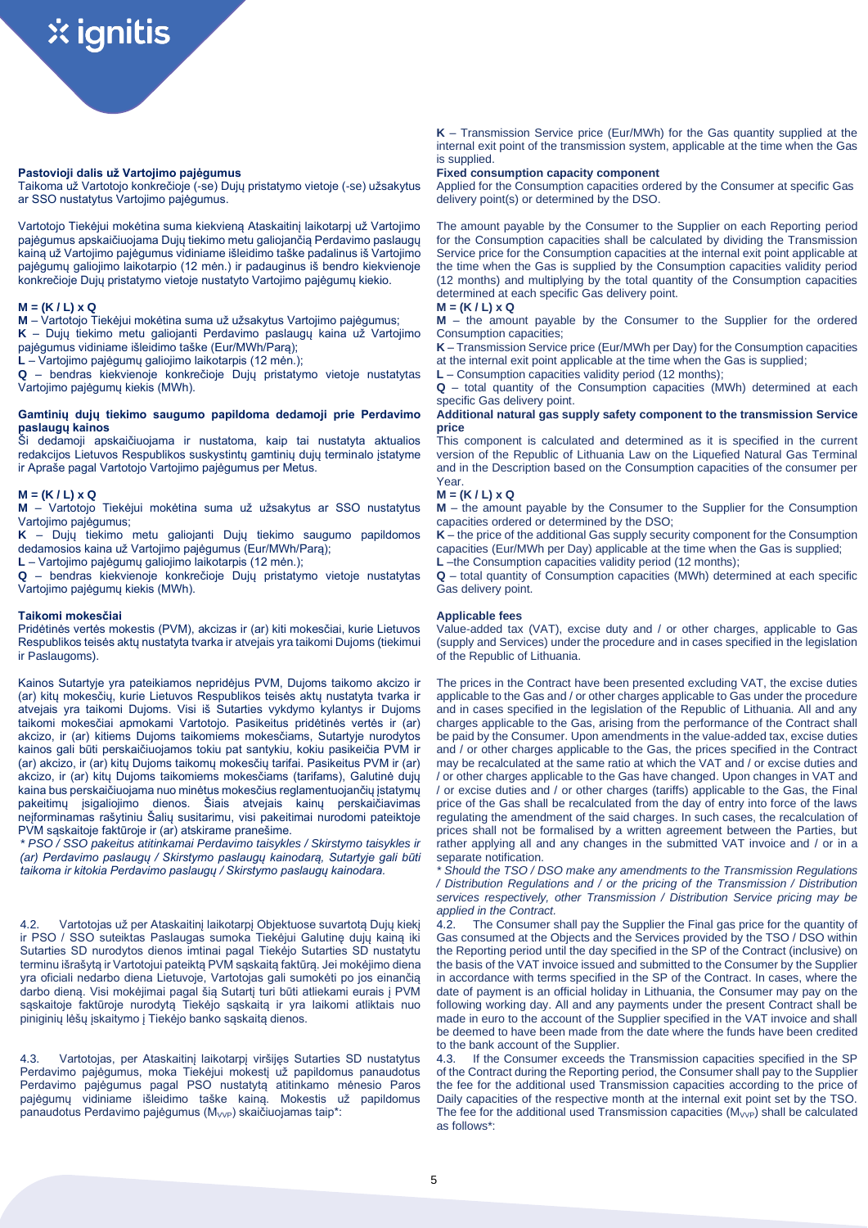# **Pastovioji dalis už Vartojimo pajėgumus**

Taikoma už Vartotojo konkrečioje (-se) Dujų pristatymo vietoje (-se) užsakytus ar SSO nustatytus Vartojimo pajėgumus.

Vartotojo Tiekėjui mokėtina suma kiekvieną Ataskaitinį laikotarpį už Vartojimo pajėgumus apskaičiuojama Dujų tiekimo metu galiojančią Perdavimo paslaugų kainą už Vartojimo pajėgumus vidiniame išleidimo taške padalinus iš Vartojimo pajėgumų galiojimo laikotarpio (12 mėn.) ir padauginus iš bendro kiekvienoje konkrečioje Dujų pristatymo vietoje nustatyto Vartojimo pajėgumų kiekio.

## **M = (K / L) x Q**

**M** – Vartotojo Tiekėjui mokėtina suma už užsakytus Vartojimo pajėgumus;

**K** – Dujų tiekimo metu galiojanti Perdavimo paslaugų kaina už Vartojimo pajėgumus vidiniame išleidimo taške (Eur/MWh/Parą);

**L** – Vartojimo pajėgumų galiojimo laikotarpis (12 mėn.);

**Q** – bendras kiekvienoje konkrečioje Dujų pristatymo vietoje nustatytas Vartojimo pajėgumų kiekis (MWh).

## **Gamtinių dujų tiekimo saugumo papildoma dedamoji prie Perdavimo paslaugų kainos**

Ši dedamoji apskaičiuojama ir nustatoma, kaip tai nustatyta aktualios redakcijos Lietuvos Respublikos suskystintų gamtinių dujų terminalo įstatyme ir Apraše pagal Vartotojo Vartojimo pajėgumus per Metus.

## **M = (K / L) x Q**

**M** – Vartotojo Tiekėjui mokėtina suma už užsakytus ar SSO nustatytus Vartojimo pajėgumus;

**K** – Dujų tiekimo metu galiojanti Dujų tiekimo saugumo papildomos dedamosios kaina už Vartojimo pajėgumus (Eur/MWh/Parą);

**L** – Vartojimo pajėgumų galiojimo laikotarpis (12 mėn.);

**Q** – bendras kiekvienoje konkrečioje Dujų pristatymo vietoje nustatytas Vartojimo pajėgumų kiekis (MWh).

## **Taikomi mokesčiai**

Pridėtinės vertės mokestis (PVM), akcizas ir (ar) kiti mokesčiai, kurie Lietuvos Respublikos teisės aktų nustatyta tvarka ir atvejais yra taikomi Dujoms (tiekimui ir Paslaugoms).

Kainos Sutartyje yra pateikiamos nepridėjus PVM, Dujoms taikomo akcizo ir (ar) kitų mokesčių, kurie Lietuvos Respublikos teisės aktų nustatyta tvarka ir atvejais yra taikomi Dujoms. Visi iš Sutarties vykdymo kylantys ir Dujoms taikomi mokesčiai apmokami Vartotojo. Pasikeitus pridėtinės vertės ir (ar) akcizo, ir (ar) kitiems Dujoms taikomiems mokesčiams, Sutartyje nurodytos kainos gali būti perskaičiuojamos tokiu pat santykiu, kokiu pasikeičia PVM ir (ar) akcizo, ir (ar) kitų Dujoms taikomų mokesčių tarifai. Pasikeitus PVM ir (ar) akcizo, ir (ar) kitų Dujoms taikomiems mokesčiams (tarifams), Galutinė dujų kaina bus perskaičiuojama nuo minėtus mokesčius reglamentuojančių įstatymų pakeitimų įsigaliojimo dienos. Šiais atvejais kainų perskaičiavimas neįforminamas rašytiniu Šalių susitarimu, visi pakeitimai nurodomi pateiktoje PVM sąskaitoje faktūroje ir (ar) atskirame pranešime.

*\* PSO / SSO pakeitus atitinkamai Perdavimo taisykles / Skirstymo taisykles ir (ar) Perdavimo paslaugų / Skirstymo paslaugų kainodarą, Sutartyje gali būti taikoma ir kitokia Perdavimo paslaugų / Skirstymo paslaugų kainodara.*

4.2. Vartotojas už per Ataskaitinį laikotarpį Objektuose suvartotą Dujų kiekį ir PSO / SSO suteiktas Paslaugas sumoka Tiekėjui Galutinę dujų kainą iki Sutarties SD nurodytos dienos imtinai pagal Tiekėjo Sutarties SD nustatytu terminu išrašytą ir Vartotojui pateiktą PVM sąskaitą faktūrą. Jei mokėjimo diena yra oficiali nedarbo diena Lietuvoje, Vartotojas gali sumokėti po jos einančią darbo dieną. Visi mokėjimai pagal šią Sutartį turi būti atliekami eurais į PVM sąskaitoje faktūroje nurodytą Tiekėjo sąskaitą ir yra laikomi atliktais nuo piniginių lėšų įskaitymo į Tiekėjo banko sąskaitą dienos.

4.3. Vartotojas, per Ataskaitinį laikotarpį viršijęs Sutarties SD nustatytus Perdavimo pajėgumus, moka Tiekėjui mokestį už papildomus panaudotus Perdavimo pajėgumus pagal PSO nustatytą atitinkamo mėnesio Paros pajėgumų vidiniame išleidimo taške kainą. Mokestis už papildomus panaudotus Perdavimo pajėgumus (M<sub>VVP</sub>) skaičiuojamas taip\*:

**K** – Transmission Service price (Eur/MWh) for the Gas quantity supplied at the internal exit point of the transmission system, applicable at the time when the Gas is supplied.

### **Fixed consumption capacity component**

Applied for the Consumption capacities ordered by the Consumer at specific Gas delivery point(s) or determined by the DSO.

The amount payable by the Consumer to the Supplier on each Reporting period for the Consumption capacities shall be calculated by dividing the Transmission Service price for the Consumption capacities at the internal exit point applicable at the time when the Gas is supplied by the Consumption capacities validity period (12 months) and multiplying by the total quantity of the Consumption capacities determined at each specific Gas delivery point.

# **M = (K / L) x Q**

**M** – the amount payable by the Consumer to the Supplier for the ordered Consumption capacities;

**K** – Transmission Service price (Eur/MWh per Day) for the Consumption capacities at the internal exit point applicable at the time when the Gas is supplied;

**L** – Consumption capacities validity period (12 months);

**Q** – total quantity of the Consumption capacities (MWh) determined at each specific Gas delivery point.

## **Additional natural gas supply safety component to the transmission Service price**

This component is calculated and determined as it is specified in the current version of the Republic of Lithuania Law on the Liquefied Natural Gas Terminal and in the Description based on the Consumption capacities of the consumer per Year.

## **M = (K / L) x Q**

**M** – the amount payable by the Consumer to the Supplier for the Consumption capacities ordered or determined by the DSO;

**K** – the price of the additional Gas supply security component for the Consumption capacities (Eur/MWh per Day) applicable at the time when the Gas is supplied;

**L** –the Consumption capacities validity period (12 months);

**Q** – total quantity of Consumption capacities (MWh) determined at each specific Gas delivery point.

# **Applicable fees**

Value-added tax (VAT), excise duty and / or other charges, applicable to Gas (supply and Services) under the procedure and in cases specified in the legislation of the Republic of Lithuania.

The prices in the Contract have been presented excluding VAT, the excise duties applicable to the Gas and / or other charges applicable to Gas under the procedure and in cases specified in the legislation of the Republic of Lithuania. All and any charges applicable to the Gas, arising from the performance of the Contract shall be paid by the Consumer. Upon amendments in the value-added tax, excise duties and / or other charges applicable to the Gas, the prices specified in the Contract may be recalculated at the same ratio at which the VAT and / or excise duties and / or other charges applicable to the Gas have changed. Upon changes in VAT and / or excise duties and / or other charges (tariffs) applicable to the Gas, the Final price of the Gas shall be recalculated from the day of entry into force of the laws regulating the amendment of the said charges. In such cases, the recalculation of prices shall not be formalised by a written agreement between the Parties, but rather applying all and any changes in the submitted VAT invoice and / or in a separate notification.

*\* Should the TSO / DSO make any amendments to the Transmission Regulations / Distribution Regulations and / or the pricing of the Transmission / Distribution services respectively, other Transmission / Distribution Service pricing may be applied in the Contract.*

4.2. The Consumer shall pay the Supplier the Final gas price for the quantity of Gas consumed at the Objects and the Services provided by the TSO / DSO within the Reporting period until the day specified in the SP of the Contract (inclusive) on the basis of the VAT invoice issued and submitted to the Consumer by the Supplier in accordance with terms specified in the SP of the Contract. In cases, where the date of payment is an official holiday in Lithuania, the Consumer may pay on the following working day. All and any payments under the present Contract shall be made in euro to the account of the Supplier specified in the VAT invoice and shall be deemed to have been made from the date where the funds have been credited to the bank account of the Supplier.

4.3. If the Consumer exceeds the Transmission capacities specified in the SP of the Contract during the Reporting period, the Consumer shall pay to the Supplier the fee for the additional used Transmission capacities according to the price of Daily capacities of the respective month at the internal exit point set by the TSO. The fee for the additional used Transmission capacities  $(M_{VVP})$  shall be calculated as follows\*: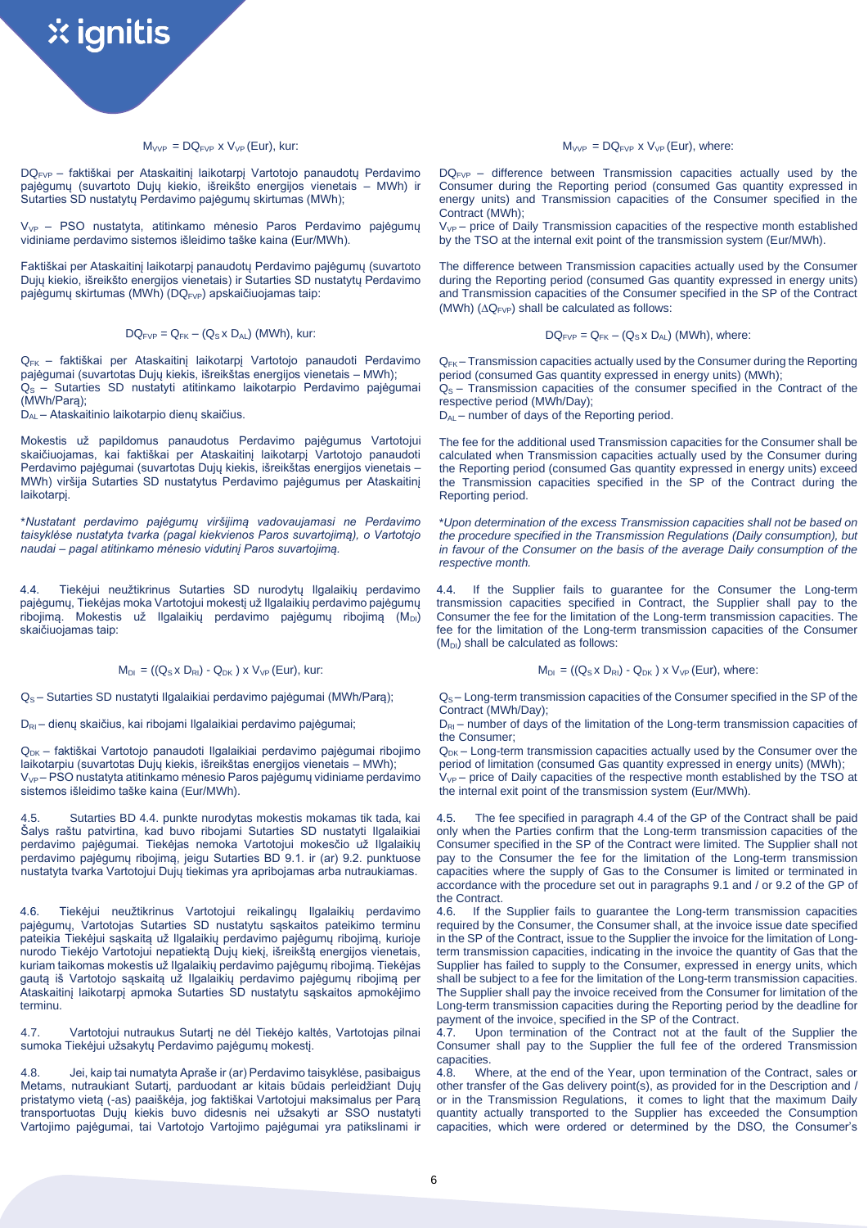# $M_{VVP} = DQ_{FVP}$  x  $V_{VP}$  (Eur), kur:

DQFVP – faktiškai per Ataskaitinį laikotarpį Vartotojo panaudotų Perdavimo pajėgumų (suvartoto Dujų kiekio, išreikšto energijos vienetais – MWh) ir Sutarties SD nustatytų Perdavimo pajėgumų skirtumas (MWh);

V<sub>VP</sub> – PSO nustatyta, atitinkamo mėnesio Paros Perdavimo pajėgumų vidiniame perdavimo sistemos išleidimo taške kaina (Eur/MWh).

Faktiškai per Ataskaitinį laikotarpį panaudotų Perdavimo pajėgumų (suvartoto Dujų kiekio, išreikšto energijos vienetais) ir Sutarties SD nustatytų Perdavimo pajėgumų skirtumas (MWh) (DQ<sub>FVP</sub>) apskaičiuojamas taip:

 $DQ_{FVP} = Q_{FK} - (Q_S \times D_{AL})$  (MWh), kur:

QFK – faktiškai per Ataskaitinį laikotarpį Vartotojo panaudoti Perdavimo pajėgumai (suvartotas Dujų kiekis, išreikštas energijos vienetais – MWh); Q<sub>S</sub> – Sutarties SD nustatyti atitinkamo laikotarpio Perdavimo pajėgumai (MWh/Parą);

DAL – Ataskaitinio laikotarpio dienų skaičius.

Mokestis už papildomus panaudotus Perdavimo pajėgumus Vartotojui skaičiuojamas, kai faktiškai per Ataskaitinį laikotarpį Vartotojo panaudoti Perdavimo pajėgumai (suvartotas Dujų kiekis, išreikštas energijos vienetais – MWh) viršija Sutarties SD nustatytus Perdavimo pajėgumus per Ataskaitinį laikotarpį.

\**Nustatant perdavimo pajėgumų viršijimą vadovaujamasi ne Perdavimo taisyklėse nustatyta tvarka (pagal kiekvienos Paros suvartojimą), o Vartotojo naudai – pagal atitinkamo mėnesio vidutinį Paros suvartojimą.*

4.4. Tiekėjui neužtikrinus Sutarties SD nurodytų Ilgalaikių perdavimo pajėgumų, Tiekėjas moka Vartotojui mokestį už Ilgalaikių perdavimo pajėgumų ribojimą. Mokestis už Ilgalaikių perdavimo pajėgumų ribojimą (MDI) skaičiuojamas taip:

 $M_{DI}$  = ((Q<sub>S</sub> x D<sub>RI</sub>) - Q<sub>DK</sub>) x V<sub>VP</sub> (Eur), kur:

QS – Sutarties SD nustatyti Ilgalaikiai perdavimo pajėgumai (MWh/Parą);

D<sub>RI</sub> – dienų skaičius, kai ribojami Ilgalaikiai perdavimo pajėgumai;

Q<sub>DK</sub> – faktiškai Vartotojo panaudoti Ilgalaikiai perdavimo pajėgumai ribojimo laikotarpiu (suvartotas Dujų kiekis, išreikštas energijos vienetais – MWh); VVP – PSO nustatyta atitinkamo mėnesio Paros pajėgumų vidiniame perdavimo sistemos išleidimo taške kaina (Eur/MWh).

4.5. Sutarties BD 4.4. punkte nurodytas mokestis mokamas tik tada, kai Šalys raštu patvirtina, kad buvo ribojami Sutarties SD nustatyti Ilgalaikiai perdavimo pajėgumai. Tiekėjas nemoka Vartotojui mokesčio už Ilgalaikių perdavimo pajėgumų ribojimą, jeigu Sutarties BD 9.1. ir (ar) 9.2. punktuose nustatyta tvarka Vartotojui Dujų tiekimas yra apribojamas arba nutraukiamas.

4.6. Tiekėjui neužtikrinus Vartotojui reikalingų Ilgalaikių perdavimo pajėgumų, Vartotojas Sutarties SD nustatytu sąskaitos pateikimo terminu pateikia Tiekėjui sąskaitą už Ilgalaikių perdavimo pajėgumų ribojimą, kurioje nurodo Tiekėjo Vartotojui nepatiektą Dujų kiekį, išreikštą energijos vienetais, kuriam taikomas mokestis už Ilgalaikių perdavimo pajėgumų ribojimą. Tiekėjas gautą iš Vartotojo sąskaitą už Ilgalaikių perdavimo pajėgumų ribojimą per Ataskaitinį laikotarpį apmoka Sutarties SD nustatytu sąskaitos apmokėjimo terminu.

4.7. Vartotojui nutraukus Sutartį ne dėl Tiekėjo kaltės, Vartotojas pilnai sumoka Tiekėjui užsakytų Perdavimo pajėgumų mokestį.

4.8. Jei, kaip tai numatyta Apraše ir (ar) Perdavimo taisyklėse, pasibaigus Metams, nutraukiant Sutartį, parduodant ar kitais būdais perleidžiant Dujų pristatymo vietą (-as) paaiškėja, jog faktiškai Vartotojui maksimalus per Parą transportuotas Dujų kiekis buvo didesnis nei užsakyti ar SSO nustatyti Vartojimo pajėgumai, tai Vartotojo Vartojimo pajėgumai yra patikslinami ir  $M_{VVP} = DQ_{FVP}$  x  $V_{VP}$  (Eur), where:

 $DO_{EVB}$  – difference between Transmission capacities actually used by the Consumer during the Reporting period (consumed Gas quantity expressed in energy units) and Transmission capacities of the Consumer specified in the Contract (MWh);

 $V_{VP}$  – price of Daily Transmission capacities of the respective month established by the TSO at the internal exit point of the transmission system (Eur/MWh).

The difference between Transmission capacities actually used by the Consumer during the Reporting period (consumed Gas quantity expressed in energy units) and Transmission capacities of the Consumer specified in the SP of the Contract (MWh)  $(\Delta Q_{FVP})$  shall be calculated as follows:

$$
DQ_{FVP} = Q_{FK} - (Q_S \times D_{AL})
$$
 (MWh), where:

 $Q_{FK}$  – Transmission capacities actually used by the Consumer during the Reporting period (consumed Gas quantity expressed in energy units) (MWh);  $Q<sub>S</sub>$  – Transmission capacities of the consumer specified in the Contract of the respective period (MWh/Day);

D<sub>AL</sub> – number of days of the Reporting period.

The fee for the additional used Transmission capacities for the Consumer shall be calculated when Transmission capacities actually used by the Consumer during the Reporting period (consumed Gas quantity expressed in energy units) exceed the Transmission capacities specified in the SP of the Contract during the Reporting period.

\**Upon determination of the excess Transmission capacities shall not be based on the procedure specified in the Transmission Regulations (Daily consumption), but in favour of the Consumer on the basis of the average Daily consumption of the respective month.* 

4.4. If the Supplier fails to guarantee for the Consumer the Long-term transmission capacities specified in Contract, the Supplier shall pay to the Consumer the fee for the limitation of the Long-term transmission capacities. The fee for the limitation of the Long-term transmission capacities of the Consumer  $(M<sub>DI</sub>)$  shall be calculated as follows:

$$
M_{DI} = ((Q_S \times D_{RI}) - Q_{DK}) \times V_{VP} (Eur)
$$
, where:

QS – Long-term transmission capacities of the Consumer specified in the SP of the Contract (MWh/Day);

 $D_{\text{RI}}$  – number of days of the limitation of the Long-term transmission capacities of the Consumer;

 $Q_{DK}$  – Long-term transmission capacities actually used by the Consumer over the period of limitation (consumed Gas quantity expressed in energy units) (MWh);  $V_{VP}$  – price of Daily capacities of the respective month established by the TSO at the internal exit point of the transmission system (Eur/MWh).

The fee specified in paragraph 4.4 of the GP of the Contract shall be paid only when the Parties confirm that the Long-term transmission capacities of the Consumer specified in the SP of the Contract were limited. The Supplier shall not pay to the Consumer the fee for the limitation of the Long-term transmission capacities where the supply of Gas to the Consumer is limited or terminated in accordance with the procedure set out in paragraphs 9.1 and / or 9.2 of the GP of the Contract.

4.6. If the Supplier fails to guarantee the Long-term transmission capacities required by the Consumer, the Consumer shall, at the invoice issue date specified in the SP of the Contract, issue to the Supplier the invoice for the limitation of Longterm transmission capacities, indicating in the invoice the quantity of Gas that the Supplier has failed to supply to the Consumer, expressed in energy units, which shall be subject to a fee for the limitation of the Long-term transmission capacities. The Supplier shall pay the invoice received from the Consumer for limitation of the Long-term transmission capacities during the Reporting period by the deadline for payment of the invoice, specified in the SP of the Contract.

4.7. Upon termination of the Contract not at the fault of the Supplier the Consumer shall pay to the Supplier the full fee of the ordered Transmission capacities.

4.8. Where, at the end of the Year, upon termination of the Contract, sales or other transfer of the Gas delivery point(s), as provided for in the Description and / or in the Transmission Regulations, it comes to light that the maximum Daily quantity actually transported to the Supplier has exceeded the Consumption capacities, which were ordered or determined by the DSO, the Consumer's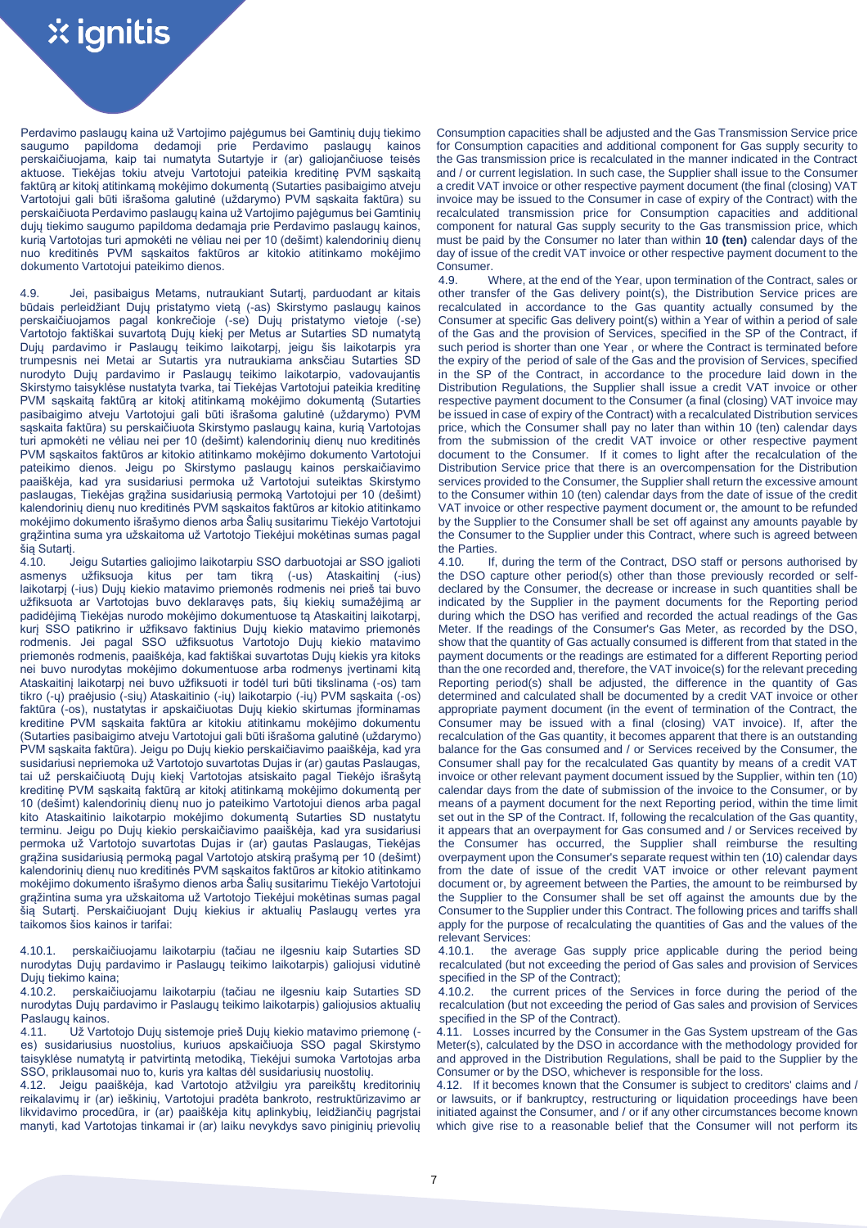Perdavimo paslaugų kaina už Vartojimo pajėgumus bei Gamtinių dujų tiekimo saugumo papildoma dedamoji prie Perdavimo paslaugų kainos perskaičiuojama, kaip tai numatyta Sutartyje ir (ar) galiojančiuose teisės aktuose. Tiekėjas tokiu atveju Vartotojui pateikia kreditinę PVM sąskaitą faktūrą ar kitokį atitinkamą mokėjimo dokumentą (Sutarties pasibaigimo atveju Vartotojui gali būti išrašoma galutinė (uždarymo) PVM sąskaita faktūra) su perskaičiuota Perdavimo paslaugų kaina už Vartojimo pajėgumus bei Gamtinių dujų tiekimo saugumo papildoma dedamąja prie Perdavimo paslaugų kainos, kurią Vartotojas turi apmokėti ne vėliau nei per 10 (dešimt) kalendorinių dienų nuo kreditinės PVM sąskaitos faktūros ar kitokio atitinkamo mokėjimo dokumento Vartotojui pateikimo dienos.

4.9. Jei, pasibaigus Metams, nutraukiant Sutartį, parduodant ar kitais būdais perleidžiant Dujų pristatymo vietą (-as) Skirstymo paslaugų kainos perskaičiuojamos pagal konkrečioje (-se) Dujų pristatymo vietoje (-se) Vartotojo faktiškai suvartotą Dujų kiekį per Metus ar Sutarties SD numatytą Dujų pardavimo ir Paslaugų teikimo laikotarpį, jeigu šis laikotarpis yra trumpesnis nei Metai ar Sutartis yra nutraukiama anksčiau Sutarties SD nurodyto Dujų pardavimo ir Paslaugų teikimo laikotarpio, vadovaujantis Skirstymo taisyklėse nustatyta tvarka, tai Tiekėjas Vartotojui pateikia kreditinę PVM sąskaitą faktūrą ar kitokį atitinkamą mokėjimo dokumentą (Sutarties pasibaigimo atveju Vartotojui gali būti išrašoma galutinė (uždarymo) PVM sąskaita faktūra) su perskaičiuota Skirstymo paslaugų kaina, kurią Vartotojas turi apmokėti ne vėliau nei per 10 (dešimt) kalendorinių dienų nuo kreditinės PVM sąskaitos faktūros ar kitokio atitinkamo mokėjimo dokumento Vartotojui pateikimo dienos. Jeigu po Skirstymo paslaugų kainos perskaičiavimo paaiškėja, kad yra susidariusi permoka už Vartotojui suteiktas Skirstymo paslaugas, Tiekėjas grąžina susidariusią permoką Vartotojui per 10 (dešimt) kalendorinių dienų nuo kreditinės PVM sąskaitos faktūros ar kitokio atitinkamo mokėjimo dokumento išrašymo dienos arba Šalių susitarimu Tiekėjo Vartotojui grąžintina suma yra užskaitoma už Vartotojo Tiekėjui mokėtinas sumas pagal šią Sutartį.

4.10. Jeigu Sutarties galiojimo laikotarpiu SSO darbuotojai ar SSO įgalioti asmenys užfiksuoja kitus per tam tikrą (-us) Ataskaitinį (-ius) laikotarpį (-ius) Dujų kiekio matavimo priemonės rodmenis nei prieš tai buvo užfiksuota ar Vartotojas buvo deklaravęs pats, šių kiekių sumažėjimą ar padidėjimą Tiekėjas nurodo mokėjimo dokumentuose tą Ataskaitinį laikotarpį, kurį SSO patikrino ir užfiksavo faktinius Dujų kiekio matavimo priemonės rodmenis. Jei pagal SSO užfiksuotus Vartotojo Dujų kiekio matavimo priemonės rodmenis, paaiškėja, kad faktiškai suvartotas Dujų kiekis yra kitoks nei buvo nurodytas mokėjimo dokumentuose arba rodmenys įvertinami kitą Ataskaitinį laikotarpį nei buvo užfiksuoti ir todėl turi būti tikslinama (-os) tam tikro (-ų) praėjusio (-sių) Ataskaitinio (-ių) laikotarpio (-ių) PVM sąskaita (-os) faktūra (-os), nustatytas ir apskaičiuotas Dujų kiekio skirtumas įforminamas kreditine PVM sąskaita faktūra ar kitokiu atitinkamu mokėjimo dokumentu (Sutarties pasibaigimo atveju Vartotojui gali būti išrašoma galutinė (uždarymo) PVM sąskaita faktūra). Jeigu po Dujų kiekio perskaičiavimo paaiškėja, kad yra susidariusi nepriemoka už Vartotojo suvartotas Dujas ir (ar) gautas Paslaugas, tai už perskaičiuotą Dujų kiekį Vartotojas atsiskaito pagal Tiekėjo išrašytą kreditinę PVM sąskaitą faktūrą ar kitokį atitinkamą mokėjimo dokumentą per 10 (dešimt) kalendorinių dienų nuo jo pateikimo Vartotojui dienos arba pagal kito Ataskaitinio laikotarpio mokėjimo dokumentą Sutarties SD nustatytu terminu. Jeigu po Dujų kiekio perskaičiavimo paaiškėja, kad yra susidariusi permoka už Vartotojo suvartotas Dujas ir (ar) gautas Paslaugas, Tiekėjas grąžina susidariusią permoką pagal Vartotojo atskirą prašymą per 10 (dešimt) kalendorinių dienų nuo kreditinės PVM sąskaitos faktūros ar kitokio atitinkamo mokėjimo dokumento išrašymo dienos arba Šalių susitarimu Tiekėjo Vartotojui grąžintina suma yra užskaitoma už Vartotojo Tiekėjui mokėtinas sumas pagal šią Sutartį. Perskaičiuojant Dujų kiekius ir aktualių Paslaugų vertes yra taikomos šios kainos ir tarifai:

4.10.1. perskaičiuojamu laikotarpiu (tačiau ne ilgesniu kaip Sutarties SD nurodytas Dujų pardavimo ir Paslaugų teikimo laikotarpis) galiojusi vidutinė Dujų tiekimo kaina;<br>4.10.2. perskaičių

4.10.2. perskaičiuojamu laikotarpiu (tačiau ne ilgesniu kaip Sutarties SD nurodytas Dujų pardavimo ir Paslaugų teikimo laikotarpis) galiojusios aktualių Paslaugų kainos.<br>4.11. Už Vart

.<br>Už Vartotojo Dujų sistemoje prieš Dujų kiekio matavimo priemone (es) susidariusius nuostolius, kuriuos apskaičiuoja SSO pagal Skirstymo taisyklėse numatytą ir patvirtintą metodiką, Tiekėjui sumoka Vartotojas arba SSO, priklausomai nuo to, kuris yra kaltas dėl susidariusių nuostolių.

4.12. Jeigu paaiškėja, kad Vartotojo atžvilgiu yra pareikštų kreditorinių reikalavimų ir (ar) ieškinių, Vartotojui pradėta bankroto, restruktūrizavimo ar likvidavimo procedūra, ir (ar) paaiškėja kitų aplinkybių, leidžiančių pagrįstai manyti, kad Vartotojas tinkamai ir (ar) laiku nevykdys savo piniginių prievolių Consumption capacities shall be adjusted and the Gas Transmission Service price for Consumption capacities and additional component for Gas supply security to the Gas transmission price is recalculated in the manner indicated in the Contract and / or current legislation. In such case, the Supplier shall issue to the Consumer a credit VAT invoice or other respective payment document (the final (closing) VAT invoice may be issued to the Consumer in case of expiry of the Contract) with the recalculated transmission price for Consumption capacities and additional component for natural Gas supply security to the Gas transmission price, which must be paid by the Consumer no later than within **10 (ten)** calendar days of the day of issue of the credit VAT invoice or other respective payment document to the **Consumer.** 

4.9. Where, at the end of the Year, upon termination of the Contract, sales or other transfer of the Gas delivery point(s), the Distribution Service prices are recalculated in accordance to the Gas quantity actually consumed by the Consumer at specific Gas delivery point(s) within a Year of within a period of sale of the Gas and the provision of Services, specified in the SP of the Contract, if such period is shorter than one Year , or where the Contract is terminated before the expiry of the period of sale of the Gas and the provision of Services, specified in the SP of the Contract, in accordance to the procedure laid down in the Distribution Regulations, the Supplier shall issue a credit VAT invoice or other respective payment document to the Consumer (a final (closing) VAT invoice may be issued in case of expiry of the Contract) with a recalculated Distribution services price, which the Consumer shall pay no later than within 10 (ten) calendar days from the submission of the credit VAT invoice or other respective payment document to the Consumer. If it comes to light after the recalculation of the Distribution Service price that there is an overcompensation for the Distribution services provided to the Consumer, the Supplier shall return the excessive amount to the Consumer within 10 (ten) calendar days from the date of issue of the credit VAT invoice or other respective payment document or, the amount to be refunded by the Supplier to the Consumer shall be set off against any amounts payable by the Consumer to the Supplier under this Contract, where such is agreed between the Parties.

4.10. If, during the term of the Contract, DSO staff or persons authorised by the DSO capture other period(s) other than those previously recorded or selfdeclared by the Consumer, the decrease or increase in such quantities shall be indicated by the Supplier in the payment documents for the Reporting period during which the DSO has verified and recorded the actual readings of the Gas Meter. If the readings of the Consumer's Gas Meter, as recorded by the DSO, show that the quantity of Gas actually consumed is different from that stated in the payment documents or the readings are estimated for a different Reporting period than the one recorded and, therefore, the VAT invoice(s) for the relevant preceding Reporting period(s) shall be adjusted, the difference in the quantity of Gas determined and calculated shall be documented by a credit VAT invoice or other appropriate payment document (in the event of termination of the Contract, the Consumer may be issued with a final (closing) VAT invoice). If, after the recalculation of the Gas quantity, it becomes apparent that there is an outstanding balance for the Gas consumed and / or Services received by the Consumer, the Consumer shall pay for the recalculated Gas quantity by means of a credit VAT invoice or other relevant payment document issued by the Supplier, within ten (10) calendar days from the date of submission of the invoice to the Consumer, or by means of a payment document for the next Reporting period, within the time limit set out in the SP of the Contract. If, following the recalculation of the Gas quantity, it appears that an overpayment for Gas consumed and / or Services received by the Consumer has occurred, the Supplier shall reimburse the resulting overpayment upon the Consumer's separate request within ten (10) calendar days from the date of issue of the credit VAT invoice or other relevant payment document or, by agreement between the Parties, the amount to be reimbursed by the Supplier to the Consumer shall be set off against the amounts due by the Consumer to the Supplier under this Contract. The following prices and tariffs shall apply for the purpose of recalculating the quantities of Gas and the values of the relevant Services:

4.10.1. the average Gas supply price applicable during the period being recalculated (but not exceeding the period of Gas sales and provision of Services specified in the SP of the Contract);<br>4.10.2 the current prices of the

the current prices of the Services in force during the period of the recalculation (but not exceeding the period of Gas sales and provision of Services specified in the SP of the Contract).

4.11. Losses incurred by the Consumer in the Gas System upstream of the Gas Meter(s), calculated by the DSO in accordance with the methodology provided for and approved in the Distribution Regulations, shall be paid to the Supplier by the Consumer or by the DSO, whichever is responsible for the loss.

4.12. If it becomes known that the Consumer is subject to creditors' claims and / or lawsuits, or if bankruptcy, restructuring or liquidation proceedings have been initiated against the Consumer, and / or if any other circumstances become known which give rise to a reasonable belief that the Consumer will not perform its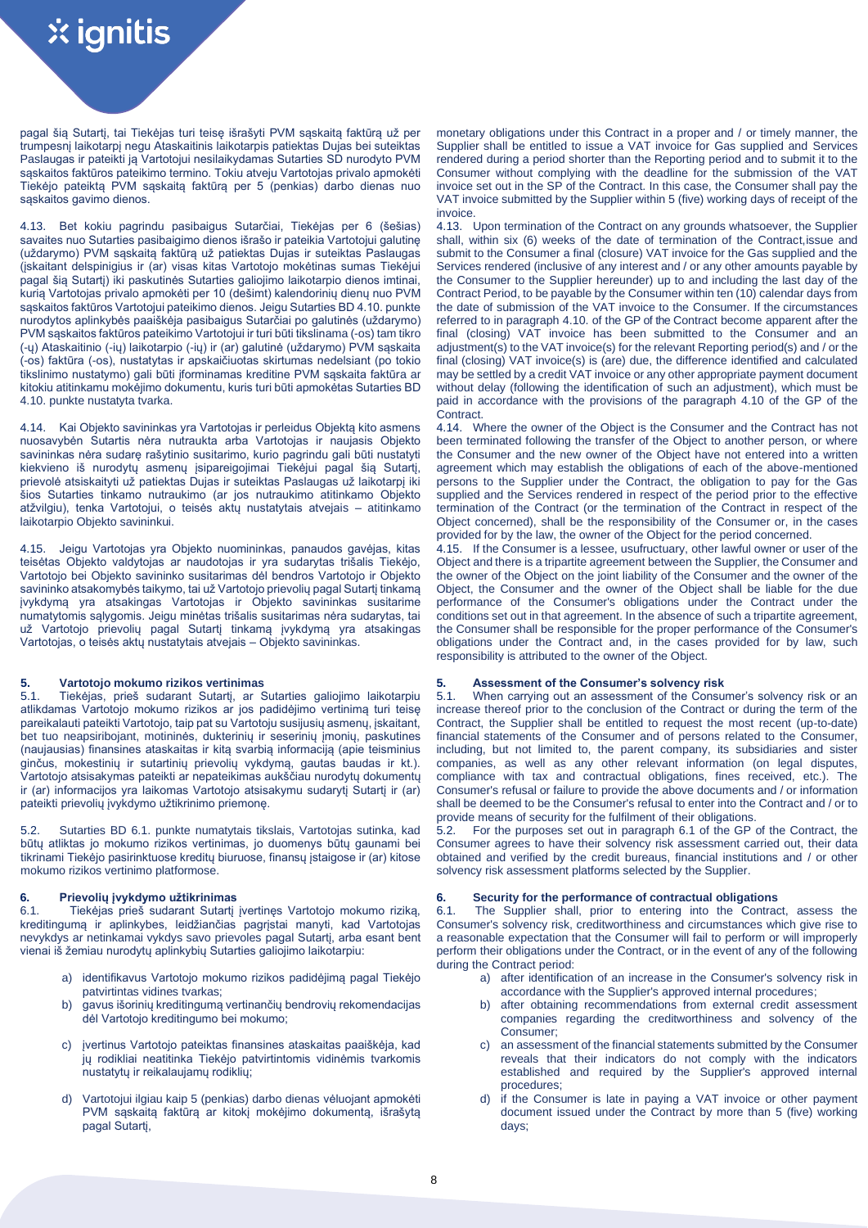pagal šią Sutartį, tai Tiekėjas turi teisę išrašyti PVM sąskaitą faktūrą už per trumpesnį laikotarpį negu Ataskaitinis laikotarpis patiektas Dujas bei suteiktas Paslaugas ir pateikti ją Vartotojui nesilaikydamas Sutarties SD nurodyto PVM sąskaitos faktūros pateikimo termino. Tokiu atveju Vartotojas privalo apmokėti Tiekėjo pateiktą PVM sąskaitą faktūrą per 5 (penkias) darbo dienas nuo sąskaitos gavimo dienos.

4.13. Bet kokiu pagrindu pasibaigus Sutarčiai, Tiekėjas per 6 (šešias) savaites nuo Sutarties pasibaigimo dienos išrašo ir pateikia Vartotojui galutinę (uždarymo) PVM sąskaitą faktūrą už patiektas Dujas ir suteiktas Paslaugas (įskaitant delspinigius ir (ar) visas kitas Vartotojo mokėtinas sumas Tiekėjui pagal šią Sutartį) iki paskutinės Sutarties galiojimo laikotarpio dienos imtinai, kurią Vartotojas privalo apmokėti per 10 (dešimt) kalendorinių dienų nuo PVM sąskaitos faktūros Vartotojui pateikimo dienos. Jeigu Sutarties BD 4.10. punkte nurodytos aplinkybės paaiškėja pasibaigus Sutarčiai po galutinės (uždarymo) PVM sąskaitos faktūros pateikimo Vartotojui ir turi būti tikslinama (-os) tam tikro (-ų) Ataskaitinio (-ių) laikotarpio (-ių) ir (ar) galutinė (uždarymo) PVM sąskaita (-os) faktūra (-os), nustatytas ir apskaičiuotas skirtumas nedelsiant (po tokio tikslinimo nustatymo) gali būti įforminamas kreditine PVM sąskaita faktūra ar kitokiu atitinkamu mokėjimo dokumentu, kuris turi būti apmokėtas Sutarties BD 4.10. punkte nustatyta tvarka.

4.14. Kai Objekto savininkas yra Vartotojas ir perleidus Objektą kito asmens nuosavybėn Sutartis nėra nutraukta arba Vartotojas ir naujasis Objekto savininkas nėra sudarę rašytinio susitarimo, kurio pagrindu gali būti nustatyti kiekvieno iš nurodytų asmenų įsipareigojimai Tiekėjui pagal šią Sutartį, prievolė atsiskaityti už patiektas Dujas ir suteiktas Paslaugas už laikotarpį iki šios Sutarties tinkamo nutraukimo (ar jos nutraukimo atitinkamo Objekto atžvilgiu), tenka Vartotojui, o teisės aktų nustatytais atvejais – atitinkamo laikotarpio Objekto savininkui.

4.15. Jeigu Vartotojas yra Objekto nuomininkas, panaudos gavėjas, kitas teisėtas Objekto valdytojas ar naudotojas ir yra sudarytas trišalis Tiekėjo, Vartotojo bei Objekto savininko susitarimas dėl bendros Vartotojo ir Objekto savininko atsakomybės taikymo, tai už Vartotojo prievolių pagal Sutartį tinkamą įvykdymą yra atsakingas Vartotojas ir Objekto savininkas susitarime numatytomis sąlygomis. Jeigu minėtas trišalis susitarimas nėra sudarytas, tai už Vartotojo prievolių pagal Sutartį tinkamą įvykdymą yra atsakingas Vartotojas, o teisės aktų nustatytais atvejais – Objekto savininkas.

**5. Vartotojo mokumo rizikos vertinimas 5. Assessment of the Consumer's solvency risk** 5.1. Tiekėjas, prieš sudarant Sutartį, ar Sutarties galiojimo laikotarpiu atlikdamas Vartotojo mokumo rizikos ar jos padidėjimo vertinimą turi teisę pareikalauti pateikti Vartotojo, taip pat su Vartotoju susijusių asmenų, įskaitant, bet tuo neapsiribojant, motininės, dukterinių ir seserinių įmonių, paskutines (naujausias) finansines ataskaitas ir kitą svarbią informaciją (apie teisminius ginčus, mokestinių ir sutartinių prievolių vykdymą, gautas baudas ir kt.). Vartotojo atsisakymas pateikti ar nepateikimas aukščiau nurodytų dokumentų ir (ar) informacijos yra laikomas Vartotojo atsisakymu sudarytį Sutartį ir (ar) pateikti prievolių įvykdymo užtikrinimo priemonę.

5.2. Sutarties BD 6.1. punkte numatytais tikslais, Vartotojas sutinka, kad būtų atliktas jo mokumo rizikos vertinimas, jo duomenys būtų gaunami bei tikrinami Tiekėjo pasirinktuose kreditų biuruose, finansų įstaigose ir (ar) kitose mokumo rizikos vertinimo platformose.

6.1. Tiekėjas prieš sudarant Sutartį įvertinęs Vartotojo mokumo riziką, kreditingumą ir aplinkybes, leidžiančias pagrįstai manyti, kad Vartotojas nevykdys ar netinkamai vykdys savo prievoles pagal Sutartį, arba esant bent vienai iš žemiau nurodytų aplinkybių Sutarties galiojimo laikotarpiu:

- identifikavus Vartotojo mokumo rizikos padidėjimą pagal Tiekėjo patvirtintas vidines tvarkas;
- b) gavus išorinių kreditingumą vertinančių bendrovių rekomendacijas dėl Vartotojo kreditingumo bei mokumo;
- c) įvertinus Vartotojo pateiktas finansines ataskaitas paaiškėja, kad jų rodikliai neatitinka Tiekėjo patvirtintomis vidinėmis tvarkomis nustatytų ir reikalaujamų rodiklių;
- d) Vartotojui ilgiau kaip 5 (penkias) darbo dienas vėluojant apmokėti PVM sąskaitą faktūrą ar kitokį mokėjimo dokumentą, išrašytą pagal Sutartį,

monetary obligations under this Contract in a proper and / or timely manner, the Supplier shall be entitled to issue a VAT invoice for Gas supplied and Services rendered during a period shorter than the Reporting period and to submit it to the Consumer without complying with the deadline for the submission of the VAT invoice set out in the SP of the Contract. In this case, the Consumer shall pay the VAT invoice submitted by the Supplier within 5 (five) working days of receipt of the invoice.

4.13. Upon termination of the Contract on any grounds whatsoever, the Supplier shall, within six (6) weeks of the date of termination of the Contract,issue and submit to the Consumer a final (closure) VAT invoice for the Gas supplied and the Services rendered (inclusive of any interest and / or any other amounts payable by the Consumer to the Supplier hereunder) up to and including the last day of the Contract Period, to be payable by the Consumer within ten (10) calendar days from the date of submission of the VAT invoice to the Consumer. If the circumstances referred to in paragraph 4.10. of the GP of the Contract become apparent after the final (closing) VAT invoice has been submitted to the Consumer and an adjustment(s) to the VAT invoice(s) for the relevant Reporting period(s) and / or the final (closing) VAT invoice(s) is (are) due, the difference identified and calculated may be settled by a credit VAT invoice or any other appropriate payment document without delay (following the identification of such an adjustment), which must be paid in accordance with the provisions of the paragraph 4.10 of the GP of the Contract.

4.14. Where the owner of the Object is the Consumer and the Contract has not been terminated following the transfer of the Object to another person, or where the Consumer and the new owner of the Object have not entered into a written agreement which may establish the obligations of each of the above-mentioned persons to the Supplier under the Contract, the obligation to pay for the Gas supplied and the Services rendered in respect of the period prior to the effective termination of the Contract (or the termination of the Contract in respect of the Object concerned), shall be the responsibility of the Consumer or, in the cases provided for by the law, the owner of the Object for the period concerned.

4.15. If the Consumer is a lessee, usufructuary, other lawful owner or user of the Object and there is a tripartite agreement between the Supplier, the Consumer and the owner of the Object on the joint liability of the Consumer and the owner of the Object, the Consumer and the owner of the Object shall be liable for the due performance of the Consumer's obligations under the Contract under the conditions set out in that agreement. In the absence of such a tripartite agreement, the Consumer shall be responsible for the proper performance of the Consumer's obligations under the Contract and, in the cases provided for by law, such responsibility is attributed to the owner of the Object.

When carrying out an assessment of the Consumer's solvency risk or an increase thereof prior to the conclusion of the Contract or during the term of the Contract, the Supplier shall be entitled to request the most recent (up-to-date) financial statements of the Consumer and of persons related to the Consumer, including, but not limited to, the parent company, its subsidiaries and sister companies, as well as any other relevant information (on legal disputes, compliance with tax and contractual obligations, fines received, etc.). The Consumer's refusal or failure to provide the above documents and / or information shall be deemed to be the Consumer's refusal to enter into the Contract and / or to provide means of security for the fulfilment of their obligations.

5.2. For the purposes set out in paragraph 6.1 of the GP of the Contract, the Consumer agrees to have their solvency risk assessment carried out, their data obtained and verified by the credit bureaus, financial institutions and / or other solvency risk assessment platforms selected by the Supplier.

# **6. Prievolių įvykdymo užtikrinimas 6. Security for the performance of contractual obligations**

6.1. The Supplier shall, prior to entering into the Contract, assess the Consumer's solvency risk, creditworthiness and circumstances which give rise to a reasonable expectation that the Consumer will fail to perform or will improperly perform their obligations under the Contract, or in the event of any of the following during the Contract period:

- a) after identification of an increase in the Consumer's solvency risk in accordance with the Supplier's approved internal procedures;
- b) after obtaining recommendations from external credit assessment companies regarding the creditworthiness and solvency of the Consumer;
- c) an assessment of the financial statements submitted by the Consumer reveals that their indicators do not comply with the indicators established and required by the Supplier's approved internal procedures;
- d) if the Consumer is late in paying a VAT invoice or other payment document issued under the Contract by more than 5 (five) working days;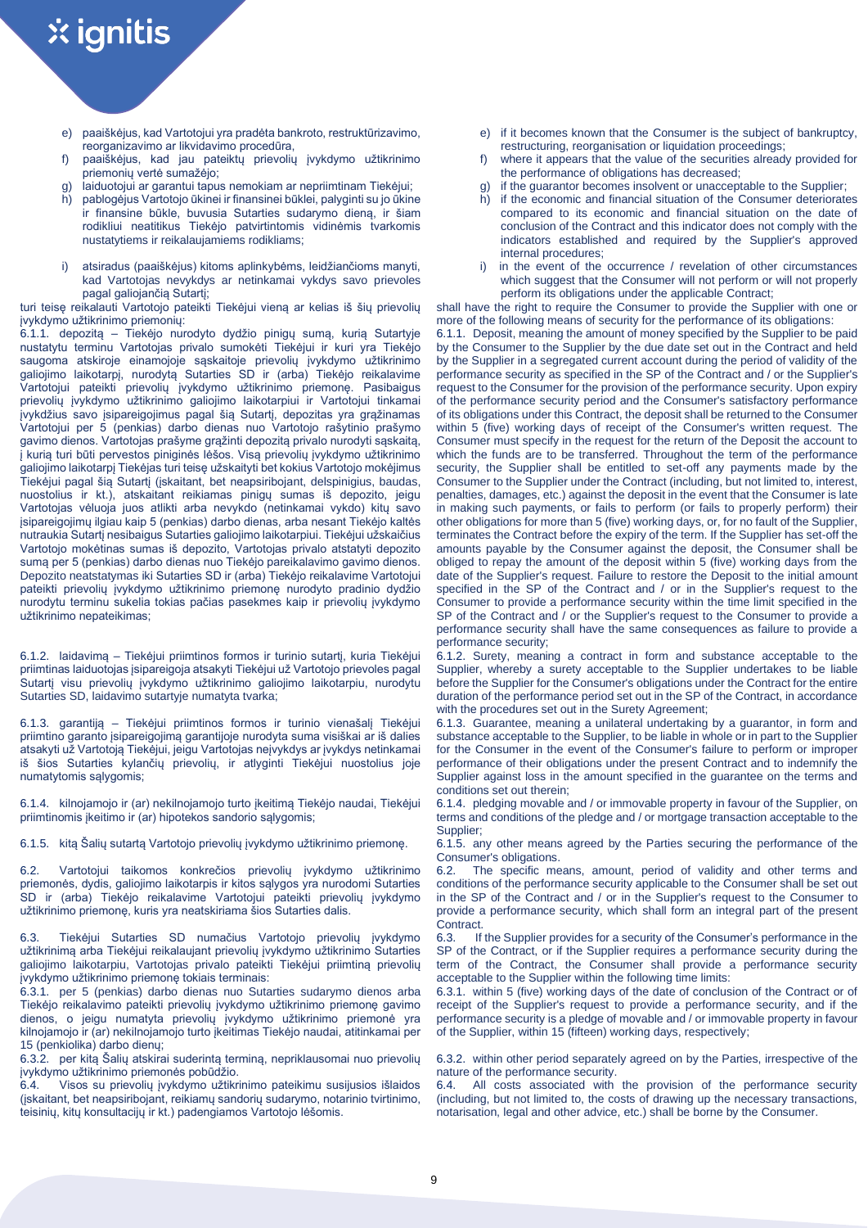- e) paaiškėjus, kad Vartotojui yra pradėta bankroto, restruktūrizavimo, reorganizavimo ar likvidavimo procedūra,
- f) paaiškėjus, kad jau pateiktų prievolių įvykdymo užtikrinimo priemonių vertė sumažėjo;
- g) laiduotojui ar garantui tapus nemokiam ar nepriimtinam Tiekėjui;
- h) pablogėjus Vartotojo ūkinei ir finansinei būklei, palyginti su jo ūkine ir finansine būkle, buvusia Sutarties sudarymo dieną, ir šiam rodikliui neatitikus Tiekėjo patvirtintomis vidinėmis tvarkomis nustatytiems ir reikalaujamiems rodikliams;
- i) atsiradus (paaiškėjus) kitoms aplinkybėms, leidžiančioms manyti, kad Vartotojas nevykdys ar netinkamai vykdys savo prievoles pagal galiojančią Sutartį;

turi teisę reikalauti Vartotojo pateikti Tiekėjui vieną ar kelias iš šių prievolių įvykdymo užtikrinimo priemonių:

6.1.1. depozitą – Tiekėjo nurodyto dydžio pinigų sumą, kurią Sutartyje nustatytu terminu Vartotojas privalo sumokėti Tiekėjui ir kuri yra Tiekėjo saugoma atskiroje einamojoje sąskaitoje prievolių įvykdymo užtikrinimo galiojimo laikotarpį, nurodytą Sutarties SD ir (arba) Tiekėjo reikalavime Vartotojui pateikti prievolių įvykdymo užtikrinimo priemonę. Pasibaigus prievolių įvykdymo užtikrinimo galiojimo laikotarpiui ir Vartotojui tinkamai įvykdžius savo įsipareigojimus pagal šią Sutartį, depozitas yra grąžinamas Vartotojui per 5 (penkias) darbo dienas nuo Vartotojo rašytinio prašymo gavimo dienos. Vartotojas prašyme grąžinti depozitą privalo nurodyti sąskaitą, į kurią turi būti pervestos piniginės lėšos. Visą prievolių įvykdymo užtikrinimo galiojimo laikotarpį Tiekėjas turi teisę užskaityti bet kokius Vartotojo mokėjimus Tiekėjui pagal šią Sutartį (įskaitant, bet neapsiribojant, delspinigius, baudas, nuostolius ir kt.), atskaitant reikiamas pinigų sumas iš depozito, jeigu Vartotojas vėluoja juos atlikti arba nevykdo (netinkamai vykdo) kitų savo įsipareigojimų ilgiau kaip 5 (penkias) darbo dienas, arba nesant Tiekėjo kaltės nutraukia Sutartį nesibaigus Sutarties galiojimo laikotarpiui. Tiekėjui užskaičius Vartotojo mokėtinas sumas iš depozito, Vartotojas privalo atstatyti depozito sumą per 5 (penkias) darbo dienas nuo Tiekėjo pareikalavimo gavimo dienos. Depozito neatstatymas iki Sutarties SD ir (arba) Tiekėjo reikalavime Vartotojui pateikti prievolių įvykdymo užtikrinimo priemonę nurodyto pradinio dydžio nurodytu terminu sukelia tokias pačias pasekmes kaip ir prievolių įvykdymo užtikrinimo nepateikimas;

6.1.2. laidavimą – Tiekėjui priimtinos formos ir turinio sutartį, kuria Tiekėjui priimtinas laiduotojas įsipareigoja atsakyti Tiekėjui už Vartotojo prievoles pagal Sutartį visu prievolių įvykdymo užtikrinimo galiojimo laikotarpiu, nurodytu Sutarties SD, laidavimo sutartyje numatyta tvarka;

6.1.3. garantiją – Tiekėjui priimtinos formos ir turinio vienašalį Tiekėjui priimtino garanto įsipareigojimą garantijoje nurodyta suma visiškai ar iš dalies atsakyti už Vartotoją Tiekėjui, jeigu Vartotojas neįvykdys ar įvykdys netinkamai iš šios Sutarties kylančių prievolių, ir atlyginti Tiekėjui nuostolius joje numatytomis sąlygomis;

6.1.4. kilnojamojo ir (ar) nekilnojamojo turto įkeitimą Tiekėjo naudai, Tiekėjui priimtinomis įkeitimo ir (ar) hipotekos sandorio sąlygomis;

6.2. Vartotojui taikomos konkrečios prievolių įvykdymo užtikrinimo priemonės, dydis, galiojimo laikotarpis ir kitos sąlygos yra nurodomi Sutarties SD ir (arba) Tiekėjo reikalavime Vartotojui pateikti prievolių įvykdymo užtikrinimo priemonę, kuris yra neatskiriama šios Sutarties dalis.

6.3. Tiekėjui Sutarties SD numačius Vartotojo prievolių įvykdymo užtikrinimą arba Tiekėjui reikalaujant prievolių įvykdymo užtikrinimo Sutarties galiojimo laikotarpiu, Vartotojas privalo pateikti Tiekėjui priimtiną prievolių įvykdymo užtikrinimo priemonę tokiais terminais:

6.3.1. per 5 (penkias) darbo dienas nuo Sutarties sudarymo dienos arba Tiekėjo reikalavimo pateikti prievolių įvykdymo užtikrinimo priemonę gavimo dienos, o jeigu numatyta prievolių įvykdymo užtikrinimo priemonė yra kilnojamojo ir (ar) nekilnojamojo turto įkeitimas Tiekėjo naudai, atitinkamai per 15 (penkiolika) darbo dienų;

6.3.2. per kitą Šalių atskirai suderintą terminą, nepriklausomai nuo prievolių įvykdymo užtikrinimo priemonės pobūdžio.

Visos su prievolių įvykdymo užtikrinimo pateikimu susijusios išlaidos (įskaitant, bet neapsiribojant, reikiamų sandorių sudarymo, notarinio tvirtinimo, teisinių, kitų konsultacijų ir kt.) padengiamos Vartotojo lėšomis.

- e) if it becomes known that the Consumer is the subject of bankruptcy, restructuring, reorganisation or liquidation proceedings;
- where it appears that the value of the securities already provided for the performance of obligations has decreased;
- g) if the guarantor becomes insolvent or unacceptable to the Supplier;<br>b) if the economic and financial situation of the Consumer deteriorate
- if the economic and financial situation of the Consumer deteriorates compared to its economic and financial situation on the date of conclusion of the Contract and this indicator does not comply with the indicators established and required by the Supplier's approved internal procedures;
- i) in the event of the occurrence / revelation of other circumstances which suggest that the Consumer will not perform or will not properly perform its obligations under the applicable Contract;

shall have the right to require the Consumer to provide the Supplier with one or more of the following means of security for the performance of its obligations:

6.1.1. Deposit, meaning the amount of money specified by the Supplier to be paid by the Consumer to the Supplier by the due date set out in the Contract and held by the Supplier in a segregated current account during the period of validity of the performance security as specified in the SP of the Contract and / or the Supplier's request to the Consumer for the provision of the performance security. Upon expiry of the performance security period and the Consumer's satisfactory performance of its obligations under this Contract, the deposit shall be returned to the Consumer within 5 (five) working days of receipt of the Consumer's written request. The Consumer must specify in the request for the return of the Deposit the account to which the funds are to be transferred. Throughout the term of the performance security, the Supplier shall be entitled to set-off any payments made by the Consumer to the Supplier under the Contract (including, but not limited to, interest, penalties, damages, etc.) against the deposit in the event that the Consumer is late in making such payments, or fails to perform (or fails to properly perform) their other obligations for more than 5 (five) working days, or, for no fault of the Supplier, terminates the Contract before the expiry of the term. If the Supplier has set-off the amounts payable by the Consumer against the deposit, the Consumer shall be obliged to repay the amount of the deposit within 5 (five) working days from the date of the Supplier's request. Failure to restore the Deposit to the initial amount specified in the SP of the Contract and / or in the Supplier's request to the Consumer to provide a performance security within the time limit specified in the SP of the Contract and / or the Supplier's request to the Consumer to provide a performance security shall have the same consequences as failure to provide a performance security;

6.1.2. Surety, meaning a contract in form and substance acceptable to the Supplier, whereby a surety acceptable to the Supplier undertakes to be liable before the Supplier for the Consumer's obligations under the Contract for the entire duration of the performance period set out in the SP of the Contract, in accordance with the procedures set out in the Surety Agreement;

6.1.3. Guarantee, meaning a unilateral undertaking by a guarantor, in form and substance acceptable to the Supplier, to be liable in whole or in part to the Supplier for the Consumer in the event of the Consumer's failure to perform or improper performance of their obligations under the present Contract and to indemnify the Supplier against loss in the amount specified in the guarantee on the terms and conditions set out therein;

6.1.4. pledging movable and / or immovable property in favour of the Supplier, on terms and conditions of the pledge and / or mortgage transaction acceptable to the Supplier;

6.1.5. kitą Šalių sutartą Vartotojo prievolių įvykdymo užtikrinimo priemonę. 6.1.5. any other means agreed by the Parties securing the performance of the Consumer's obligations.

6.2. The specific means, amount, period of validity and other terms and conditions of the performance security applicable to the Consumer shall be set out in the SP of the Contract and / or in the Supplier's request to the Consumer to provide a performance security, which shall form an integral part of the present Contract.<br>6.3. If

If the Supplier provides for a security of the Consumer's performance in the SP of the Contract, or if the Supplier requires a performance security during the term of the Contract, the Consumer shall provide a performance security acceptable to the Supplier within the following time limits:

6.3.1. within 5 (five) working days of the date of conclusion of the Contract or of receipt of the Supplier's request to provide a performance security, and if the performance security is a pledge of movable and / or immovable property in favour of the Supplier, within 15 (fifteen) working days, respectively;

6.3.2. within other period separately agreed on by the Parties, irrespective of the nature of the performance security.

6.4. All costs associated with the provision of the performance security (including, but not limited to, the costs of drawing up the necessary transactions, notarisation, legal and other advice, etc.) shall be borne by the Consumer.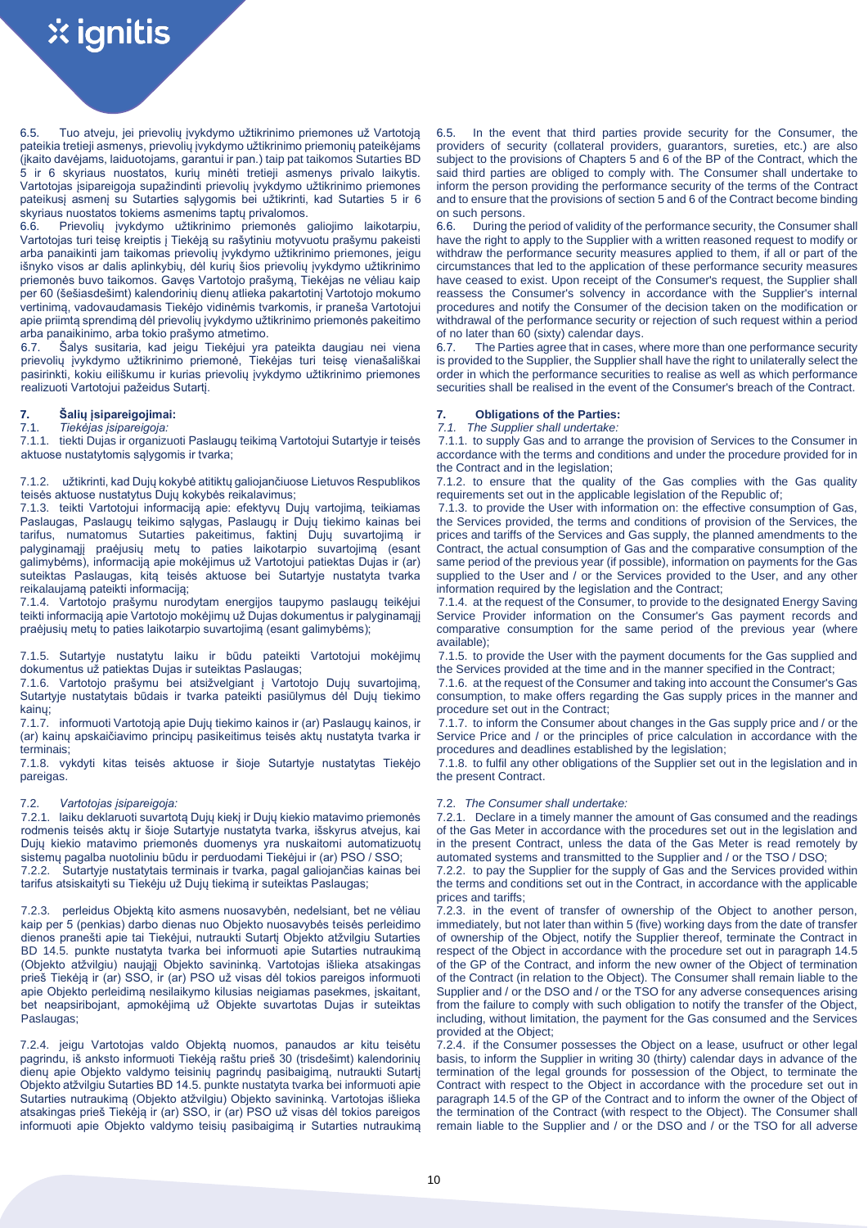6.5. Tuo atveju, jei prievolių įvykdymo užtikrinimo priemones už Vartotoją pateikia tretieji asmenys, prievolių įvykdymo užtikrinimo priemonių pateikėjams (įkaito davėjams, laiduotojams, garantui ir pan.) taip pat taikomos Sutarties BD 5 ir 6 skyriaus nuostatos, kurių minėti tretieji asmenys privalo laikytis. Vartotojas įsipareigoja supažindinti prievolių įvykdymo užtikrinimo priemones pateikusį asmenį su Sutarties sąlygomis bei užtikrinti, kad Sutarties 5 ir 6 skyriaus nuostatos tokiems asmenims taptų privalomos.

6.6. Prievolių įvykdymo užtikrinimo priemonės galiojimo laikotarpiu, Vartotojas turi teisę kreiptis į Tiekėją su rašytiniu motyvuotu prašymu pakeisti arba panaikinti jam taikomas prievolių įvykdymo užtikrinimo priemones, jeigu išnyko visos ar dalis aplinkybių, dėl kurių šios prievolių įvykdymo užtikrinimo priemonės buvo taikomos. Gavęs Vartotojo prašymą, Tiekėjas ne vėliau kaip per 60 (šešiasdešimt) kalendorinių dienų atlieka pakartotinį Vartotojo mokumo vertinimą, vadovaudamasis Tiekėjo vidinėmis tvarkomis, ir praneša Vartotojui apie priimtą sprendimą dėl prievolių įvykdymo užtikrinimo priemonės pakeitimo arba panaikinimo, arba tokio prašymo atmetimo.

6.7. Šalys susitaria, kad jeigu Tiekėjui yra pateikta daugiau nei viena prievolių įvykdymo užtikrinimo priemonė, Tiekėjas turi teisę vienašališkai pasirinkti, kokiu eiliškumu ir kurias prievolių įvykdymo užtikrinimo priemones realizuoti Vartotojui pažeidus Sutartį.

# 7.1. *Tiekėjas įsipareigoja: 7.1. The Supplier shall undertake:*

7.1.1. tiekti Dujas ir organizuoti Paslaugų teikimą Vartotojui Sutartyje ir teisės aktuose nustatytomis sąlygomis ir tvarka;

7.1.2. užtikrinti, kad Dujų kokybė atitiktų galiojančiuose Lietuvos Respublikos teisės aktuose nustatytus Dujų kokybės reikalavimus;

7.1.3. teikti Vartotojui informaciją apie: efektyvų Dujų vartojimą, teikiamas Paslaugas, Paslaugų teikimo sąlygas, Paslaugų ir Dujų tiekimo kainas bei tarifus, numatomus Sutarties pakeitimus, faktinį Dujų suvartojimą ir palyginamąjį praėjusių metų to paties laikotarpio suvartojimą (esant galimybėms), informaciją apie mokėjimus už Vartotojui patiektas Dujas ir (ar) suteiktas Paslaugas, kitą teisės aktuose bei Sutartyje nustatyta tvarka reikalaujamą pateikti informaciją;

7.1.4. Vartotojo prašymu nurodytam energijos taupymo paslaugų teikėjui teikti informaciją apie Vartotojo mokėjimų už Dujas dokumentus ir palyginamąjį praėjusių metų to paties laikotarpio suvartojimą (esant galimybėms);

7.1.5. Sutartyje nustatytu laiku ir būdu pateikti Vartotojui mokėjimų dokumentus už patiektas Dujas ir suteiktas Paslaugas;

7.1.6. Vartotojo prašymu bei atsižvelgiant į Vartotojo Dujų suvartojimą, Sutartyje nustatytais būdais ir tvarka pateikti pasiūlymus dėl Dujų tiekimo kainų;

7.1.7. informuoti Vartotoją apie Dujų tiekimo kainos ir (ar) Paslaugų kainos, ir (ar) kainų apskaičiavimo principų pasikeitimus teisės aktų nustatyta tvarka ir terminais;

7.1.8. vykdyti kitas teisės aktuose ir šioje Sutartyje nustatytas Tiekėjo pareigas.

## 7.2. *Vartotojas įsipareigoja:*

7.2.1. laiku deklaruoti suvartotą Dujų kiekį ir Dujų kiekio matavimo priemonės rodmenis teisės aktų ir šioje Sutartyje nustatyta tvarka, išskyrus atvejus, kai Dujų kiekio matavimo priemonės duomenys yra nuskaitomi automatizuotų sistemų pagalba nuotoliniu būdu ir perduodami Tiekėjui ir (ar) PSO / SSO; 7.2.2. Sutartyje nustatytais terminais ir tvarka, pagal galiojančias kainas bei tarifus atsiskaityti su Tiekėju už Dujų tiekimą ir suteiktas Paslaugas;

7.2.3. perleidus Objektą kito asmens nuosavybėn, nedelsiant, bet ne vėliau kaip per 5 (penkias) darbo dienas nuo Objekto nuosavybės teisės perleidimo dienos pranešti apie tai Tiekėjui, nutraukti Sutartį Objekto atžvilgiu Sutarties BD 14.5. punkte nustatyta tvarka bei informuoti apie Sutarties nutraukimą (Objekto atžvilgiu) naująjį Objekto savininką. Vartotojas išlieka atsakingas prieš Tiekėją ir (ar) SSO, ir (ar) PSO už visas dėl tokios pareigos informuoti apie Objekto perleidimą nesilaikymo kilusias neigiamas pasekmes, įskaitant, bet neapsiribojant, apmokėjimą už Objekte suvartotas Dujas ir suteiktas Paslaugas;

7.2.4. jeigu Vartotojas valdo Objektą nuomos, panaudos ar kitu teisėtu pagrindu, iš anksto informuoti Tiekėją raštu prieš 30 (trisdešimt) kalendorinių dienų apie Objekto valdymo teisinių pagrindų pasibaigimą, nutraukti Sutartį Objekto atžvilgiu Sutarties BD 14.5. punkte nustatyta tvarka bei informuoti apie Sutarties nutraukimą (Objekto atžvilgiu) Objekto savininką. Vartotojas išlieka atsakingas prieš Tiekėją ir (ar) SSO, ir (ar) PSO už visas dėl tokios pareigos informuoti apie Objekto valdymo teisių pasibaigimą ir Sutarties nutraukimą

6.5. In the event that third parties provide security for the Consumer, the providers of security (collateral providers, guarantors, sureties, etc.) are also subject to the provisions of Chapters 5 and 6 of the BP of the Contract, which the said third parties are obliged to comply with. The Consumer shall undertake to inform the person providing the performance security of the terms of the Contract and to ensure that the provisions of section 5 and 6 of the Contract become binding on such persons.

6.6. During the period of validity of the performance security, the Consumer shall have the right to apply to the Supplier with a written reasoned request to modify or withdraw the performance security measures applied to them, if all or part of the circumstances that led to the application of these performance security measures have ceased to exist. Upon receipt of the Consumer's request, the Supplier shall reassess the Consumer's solvency in accordance with the Supplier's internal procedures and notify the Consumer of the decision taken on the modification or withdrawal of the performance security or rejection of such request within a period of no later than 60 (sixty) calendar days.

6.7. The Parties agree that in cases, where more than one performance security is provided to the Supplier, the Supplier shall have the right to unilaterally select the order in which the performance securities to realise as well as which performance securities shall be realised in the event of the Consumer's breach of the Contract.

# **7. Šalių įsipareigojimai: 7. Obligations of the Parties:**

# 7.1.1. to supply Gas and to arrange the provision of Services to the Consumer in accordance with the terms and conditions and under the procedure provided for in the Contract and in the legislation;

7.1.2. to ensure that the quality of the Gas complies with the Gas quality requirements set out in the applicable legislation of the Republic of;

7.1.3. to provide the User with information on: the effective consumption of Gas, the Services provided, the terms and conditions of provision of the Services, the prices and tariffs of the Services and Gas supply, the planned amendments to the Contract, the actual consumption of Gas and the comparative consumption of the same period of the previous year (if possible), information on payments for the Gas supplied to the User and / or the Services provided to the User, and any other information required by the legislation and the Contract;

7.1.4. at the request of the Consumer, to provide to the designated Energy Saving Service Provider information on the Consumer's Gas payment records and comparative consumption for the same period of the previous year (where available);

7.1.5. to provide the User with the payment documents for the Gas supplied and the Services provided at the time and in the manner specified in the Contract;

7.1.6. at the request of the Consumer and taking into account the Consumer's Gas consumption, to make offers regarding the Gas supply prices in the manner and procedure set out in the Contract;

7.1.7. to inform the Consumer about changes in the Gas supply price and / or the Service Price and / or the principles of price calculation in accordance with the procedures and deadlines established by the legislation;

7.1.8. to fulfil any other obligations of the Supplier set out in the legislation and in the present Contract.

### 7.2. *The Consumer shall undertake:*

7.2.1. Declare in a timely manner the amount of Gas consumed and the readings of the Gas Meter in accordance with the procedures set out in the legislation and in the present Contract, unless the data of the Gas Meter is read remotely by automated systems and transmitted to the Supplier and / or the TSO / DSO;

7.2.2. to pay the Supplier for the supply of Gas and the Services provided within the terms and conditions set out in the Contract, in accordance with the applicable prices and tariffs;

7.2.3. in the event of transfer of ownership of the Object to another person, immediately, but not later than within 5 (five) working days from the date of transfer of ownership of the Object, notify the Supplier thereof, terminate the Contract in respect of the Object in accordance with the procedure set out in paragraph 14.5 of the GP of the Contract, and inform the new owner of the Object of termination of the Contract (in relation to the Object). The Consumer shall remain liable to the Supplier and / or the DSO and / or the TSO for any adverse consequences arising from the failure to comply with such obligation to notify the transfer of the Object, including, without limitation, the payment for the Gas consumed and the Services provided at the Object;

7.2.4. if the Consumer possesses the Object on a lease, usufruct or other legal basis, to inform the Supplier in writing 30 (thirty) calendar days in advance of the termination of the legal grounds for possession of the Object, to terminate the Contract with respect to the Object in accordance with the procedure set out in paragraph 14.5 of the GP of the Contract and to inform the owner of the Object of the termination of the Contract (with respect to the Object). The Consumer shall remain liable to the Supplier and / or the DSO and / or the TSO for all adverse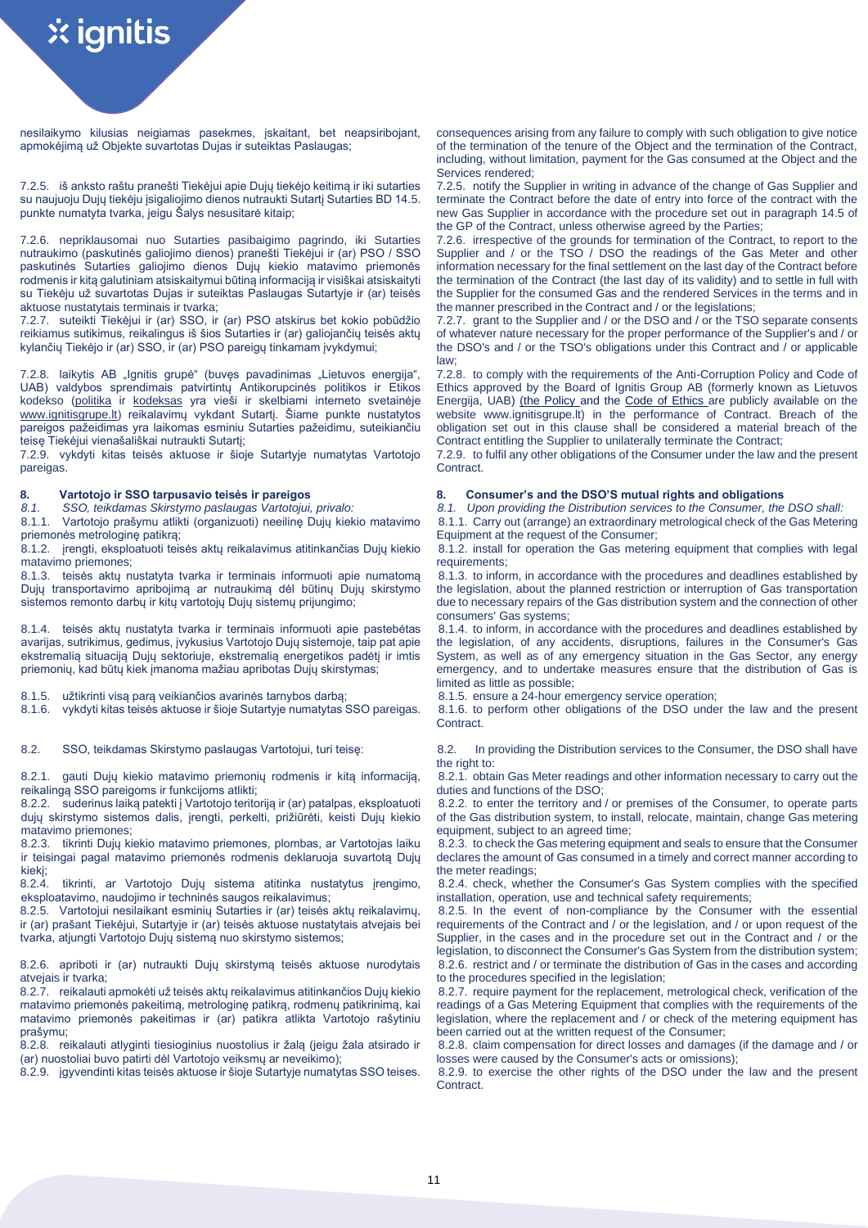nesilaikymo kilusias neigiamas pasekmes, įskaitant, bet neapsiribojant, apmokėjimą už Objekte suvartotas Dujas ir suteiktas Paslaugas;

7.2.5. iš anksto raštu pranešti Tiekėjui apie Dujų tiekėjo keitimą ir iki sutarties su naujuoju Dujų tiekėju įsigaliojimo dienos nutraukti Sutartį Sutarties BD 14.5. punkte numatyta tvarka, jeigu Šalys nesusitarė kitaip;

7.2.6. nepriklausomai nuo Sutarties pasibaigimo pagrindo, iki Sutarties nutraukimo (paskutinės galiojimo dienos) pranešti Tiekėjui ir (ar) PSO / SSO paskutinės Sutarties galiojimo dienos Dujų kiekio matavimo priemonės rodmenis ir kitą galutiniam atsiskaitymui būtiną informaciją ir visiškai atsiskaityti su Tiekėju už suvartotas Dujas ir suteiktas Paslaugas Sutartyje ir (ar) teisės aktuose nustatytais terminais ir tvarka;

7.2.7. suteikti Tiekėjui ir (ar) SSO, ir (ar) PSO atskirus bet kokio pobūdžio reikiamus sutikimus, reikalingus iš šios Sutarties ir (ar) galiojančių teisės aktų kylančių Tiekėjo ir (ar) SSO, ir (ar) PSO pareigų tinkamam įvykdymui;

7.2.8. laikytis AB "Ignitis grupė" (buvęs pavadinimas "Lietuvos energija", UAB) valdybos sprendimais patvirtintų Antikorupcinės politikos ir Etikos kodekso [\(politika](https://www.ignitisgrupe.lt/sites/default/files/inline-files/LT%20Antikorupcin%C4%97%20politika_0.pdf) ir [kodeksas](https://www.ignitisgrupe.lt/sites/default/files/inline-files/Ignitis%20grup%C4%97_Etikos%20kodeksas_external_20200406_0.pdf) yra vieši ir skelbiami interneto svetainėje [www.ignitisgrupe.lt\)](http://www.ignitisgrupe.lt/) reikalavimų vykdant Sutartį. Šiame punkte nustatytos pareigos pažeidimas yra laikomas esminiu Sutarties pažeidimu, suteikiančiu teisę Tiekėjui vienašališkai nutraukti Sutartį;

7.2.9. vykdyti kitas teisės aktuose ir šioje Sutartyje numatytas Vartotojo pareigas.

8.1.1. Vartotojo prašymu atlikti (organizuoti) neeilinę Dujų kiekio matavimo

priemonės metrologinę patikrą; 8.1.2. įrengti, eksploatuoti teisės aktų reikalavimus atitinkančias Dujų kiekio matavimo priemones;

8.1.3. teisės aktų nustatyta tvarka ir terminais informuoti apie numatomą Dujų transportavimo apribojimą ar nutraukimą dėl būtinų Dujų skirstymo sistemos remonto darbų ir kitų vartotojų Dujų sistemų prijungimo;

8.1.4. teisės aktų nustatyta tvarka ir terminais informuoti apie pastebėtas avarijas, sutrikimus, gedimus, įvykusius Vartotojo Dujų sistemoje, taip pat apie ekstremalią situaciją Dujų sektoriuje, ekstremalią energetikos padėtį ir imtis priemonių, kad būtų kiek įmanoma mažiau apribotas Dujų skirstymas;

8.1.5. užtikrinti visą parą veikiančios avarinės tarnybos darbą;<br>8.1.6. vykdyti kitas teisės aktuose ir šioje Sutartyje numatytas SSO pareigas.

8.2.1. gauti Dujų kiekio matavimo priemonių rodmenis ir kitą informaciją, reikalingą SSO pareigoms ir funkcijoms atlikti;

8.2.2. suderinus laiką patekti į Vartotojo teritoriją ir (ar) patalpas, eksploatuoti dujų skirstymo sistemos dalis, įrengti, perkelti, prižiūrėti, keisti Dujų kiekio matavimo priemones;

8.2.3. tikrinti Dujų kiekio matavimo priemones, plombas, ar Vartotojas laiku ir teisingai pagal matavimo priemonės rodmenis deklaruoja suvartotą Dujų kiekį;<br>8.2.4.

tikrinti, ar Vartotojo Dujų sistema atitinka nustatytus įrengimo, eksploatavimo, naudojimo ir techninės saugos reikalavimus;

8.2.5. Vartotojui nesilaikant esminių Sutarties ir (ar) teisės aktų reikalavimų, ir (ar) prašant Tiekėjui, Sutartyje ir (ar) teisės aktuose nustatytais atvejais bei tvarka, atiungti Vartotojo Dujų sistemą nuo skirstymo sistemos;

8.2.6. apriboti ir (ar) nutraukti Dujų skirstymą teisės aktuose nurodytais atvejais ir tvarka;

8.2.7. reikalauti apmokėti už teisės aktų reikalavimus atitinkančios Dujų kiekio matavimo priemonės pakeitimą, metrologinę patikrą, rodmenų patikrinimą, kai matavimo priemonės pakeitimas ir (ar) patikra atlikta Vartotojo rašytiniu prašymu;

8.2.8. reikalauti atlyginti tiesioginius nuostolius ir žalą (jeigu žala atsirado ir (ar) nuostoliai buvo patirti dėl Vartotojo veiksmų ar neveikimo);

consequences arising from any failure to comply with such obligation to give notice of the termination of the tenure of the Object and the termination of the Contract, including, without limitation, payment for the Gas consumed at the Object and the Services rendered;

7.2.5. notify the Supplier in writing in advance of the change of Gas Supplier and terminate the Contract before the date of entry into force of the contract with the new Gas Supplier in accordance with the procedure set out in paragraph 14.5 of the GP of the Contract, unless otherwise agreed by the Parties;

7.2.6. irrespective of the grounds for termination of the Contract, to report to the Supplier and / or the TSO / DSO the readings of the Gas Meter and other information necessary for the final settlement on the last day of the Contract before the termination of the Contract (the last day of its validity) and to settle in full with the Supplier for the consumed Gas and the rendered Services in the terms and in the manner prescribed in the Contract and / or the legislations;

7.2.7. grant to the Supplier and / or the DSO and / or the TSO separate consents of whatever nature necessary for the proper performance of the Supplier's and / or the DSO's and / or the TSO's obligations under this Contract and / or applicable law;

7.2.8. to comply with the requirements of the Anti-Corruption Policy and Code of Ethics approved by the Board of Ignitis Group AB (formerly known as Lietuvos Energija, UAB) [\(the Policy a](https://www.ignitisgrupe.lt/sites/default/files/inline-files/LT%20Antikorupcin%C4%97%20politika_0.pdf)nd the [Code of Ethics a](https://www.ignitisgrupe.lt/sites/default/files/inline-files/Ignitis%20grup%C4%97_Etikos%20kodeksas_external_20200406_0.pdf)re publicly available on the website www.ignitisgrupe.lt) in the performance of Contract. Breach of the obligation set out in this clause shall be considered a material breach of the Contract entitling the Supplier to unilaterally terminate the Contract;

7.2.9. to fulfil any other obligations of the Consumer under the law and the present Contract.

# **8. Vartotojo ir SSO tarpusavio teisės ir pareigos 8. Consumer's and the DSO'S mutual rights and obligations**

*8.1. SSO, teikdamas Skirstymo paslaugas Vartotojui, privalo: 8.1. Upon providing the Distribution services to the Consumer, the DSO shall:* 8.1.1. Carry out (arrange) an extraordinary metrological check of the Gas Metering Equipment at the request of the Consumer;

8.1.2. install for operation the Gas metering equipment that complies with legal requirements;

8.1.3. to inform, in accordance with the procedures and deadlines established by the legislation, about the planned restriction or interruption of Gas transportation due to necessary repairs of the Gas distribution system and the connection of other consumers' Gas systems;

8.1.4. to inform, in accordance with the procedures and deadlines established by the legislation, of any accidents, disruptions, failures in the Consumer's Gas System, as well as of any emergency situation in the Gas Sector, any energy emergency, and to undertake measures ensure that the distribution of Gas is limited as little as possible;<br>8.1.5. ensure a 24-hour emergency service operation:

8.1.6. vykdyti kitas teisės aktuose ir šioje Sutartyje numatytas SSO pareigas. 8.1.6. to perform other obligations of the DSO under the law and the present Contract.

8.2. SSO, teikdamas Skirstymo paslaugas Vartotojui, turi teise: 8.2. In providing the Distribution services to the Consumer, the DSO shall have the right to:

8.2.1. obtain Gas Meter readings and other information necessary to carry out the duties and functions of the DSO;

8.2.2. to enter the territory and / or premises of the Consumer, to operate parts of the Gas distribution system, to install, relocate, maintain, change Gas metering equipment, subject to an agreed time;

8.2.3. to check the Gas metering equipment and seals to ensure that the Consumer declares the amount of Gas consumed in a timely and correct manner according to the meter readings;

8.2.4. check, whether the Consumer's Gas System complies with the specified installation, operation, use and technical safety requirements;

8.2.5. In the event of non-compliance by the Consumer with the essential requirements of the Contract and / or the legislation, and / or upon request of the Supplier, in the cases and in the procedure set out in the Contract and / or the legislation, to disconnect the Consumer's Gas System from the distribution system; 8.2.6. restrict and / or terminate the distribution of Gas in the cases and according to the procedures specified in the legislation;

8.2.7. require payment for the replacement, metrological check, verification of the readings of a Gas Metering Equipment that complies with the requirements of the legislation, where the replacement and / or check of the metering equipment has been carried out at the written request of the Consumer;

8.2.8. claim compensation for direct losses and damages (if the damage and / or losses were caused by the Consumer's acts or omissions);

8.2.9. įgyvendinti kitas teisės aktuose ir šioje Sutartyje numatytas SSO teises. 8.2.9. to exercise the other rights of the DSO under the law and the present Contract.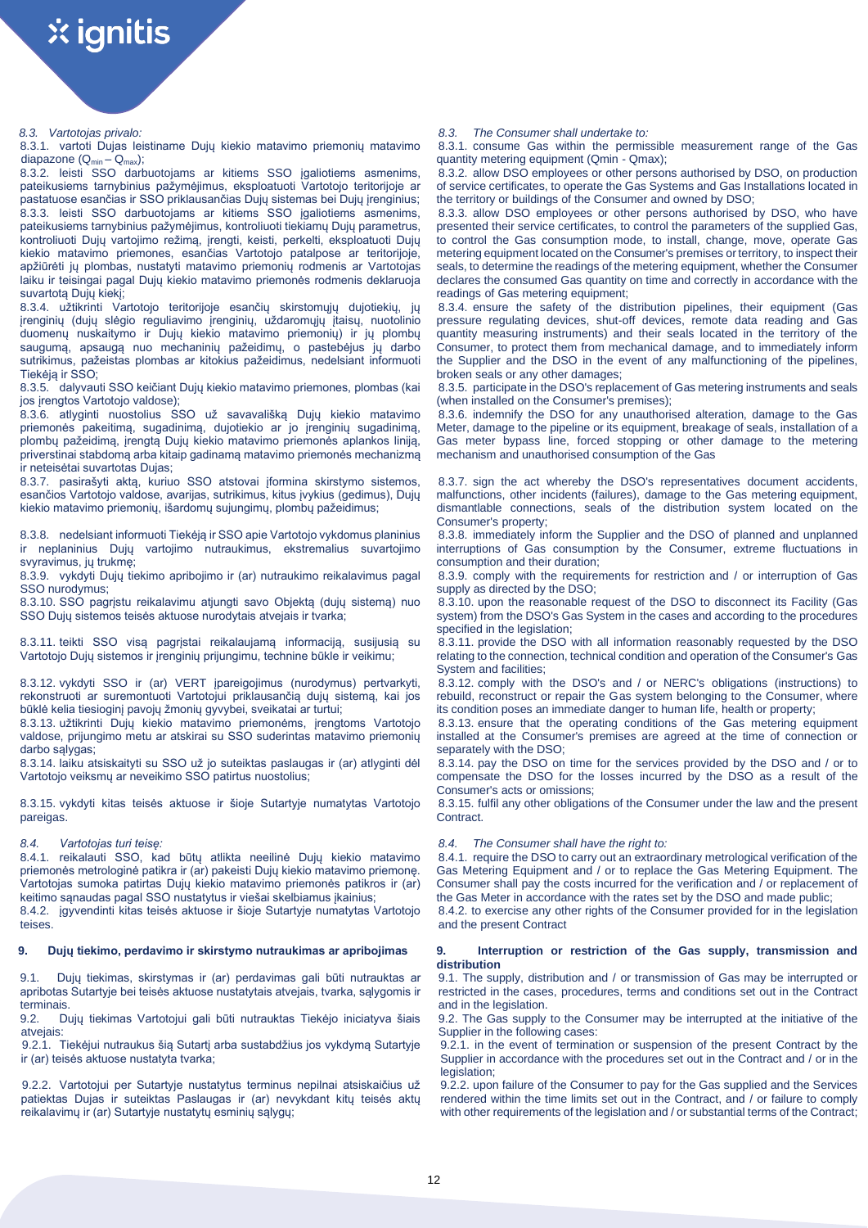8.3.1. vartoti Dujas leistiname Dujų kiekio matavimo priemonių matavimo diapazone  $(Q_{min} - Q_{max})$ ;

8.3.2. leisti SSO darbuotojams ar kitiems SSO įgaliotiems asmenims, pateikusiems tarnybinius pažymėjimus, eksploatuoti Vartotojo teritorijoje ar pastatuose esančias ir SSO priklausančias Dujų sistemas bei Dujų įrenginius; 8.3.3. leisti SSO darbuotojams ar kitiems SSO įgaliotiems asmenims, pateikusiems tarnybinius pažymėjimus, kontroliuoti tiekiamų Dujų parametrus, kontroliuoti Dujų vartojimo režimą, įrengti, keisti, perkelti, eksploatuoti Dujų kiekio matavimo priemones, esančias Vartotojo patalpose ar teritorijoje, apžiūrėti jų plombas, nustatyti matavimo priemonių rodmenis ar Vartotojas laiku ir teisingai pagal Dujų kiekio matavimo priemonės rodmenis deklaruoja suvartotą Dujų kiekį;

8.3.4. užtikrinti Vartotojo teritorijoje esančių skirstomųjų dujotiekių, jų įrenginių (dujų slėgio reguliavimo įrenginių, uždaromųjų įtaisų, nuotolinio duomenų nuskaitymo ir Dujų kiekio matavimo priemonių) ir jų plombų saugumą, apsaugą nuo mechaninių pažeidimų, o pastebėjus jų darbo sutrikimus, pažeistas plombas ar kitokius pažeidimus, nedelsiant informuoti Tiekėją ir SSO;

8.3.5. dalyvauti SSO keičiant Dujų kiekio matavimo priemones, plombas (kai jos įrengtos Vartotojo valdose);

8.3.6. atlyginti nuostolius SSO už savavališką Dujų kiekio matavimo priemonės pakeitimą, sugadinimą, dujotiekio ar jo įrenginių sugadinimą, plombų pažeidimą, įrengtą Dujų kiekio matavimo priemonės aplankos liniją, priverstinai stabdomą arba kitaip gadinamą matavimo priemonės mechanizmą ir neteisėtai suvartotas Dujas;

8.3.7. pasirašyti aktą, kuriuo SSO atstovai įformina skirstymo sistemos, esančios Vartotojo valdose, avarijas, sutrikimus, kitus įvykius (gedimus), Dujų kiekio matavimo priemonių, išardomų sujungimų, plombų pažeidimus;

8.3.8. nedelsiant informuoti Tiekėją ir SSO apie Vartotojo vykdomus planinius ir neplaninius Dujų vartojimo nutraukimus, ekstremalius suvartojimo svyravimus, jų trukmę;

8.3.9. vykdyti Dujų tiekimo apribojimo ir (ar) nutraukimo reikalavimus pagal SSO nurodymus;

8.3.10. SSO pagrįstu reikalavimu atjungti savo Objektą (dujų sistemą) nuo SSO Dujų sistemos teisės aktuose nurodytais atvejais ir tvarka;

8.3.11. teikti SSO visą pagrįstai reikalaujamą informaciją, susijusią su Vartotojo Dujų sistemos ir įrenginių prijungimu, technine būkle ir veikimu;

8.3.12. vykdyti SSO ir (ar) VERT įpareigojimus (nurodymus) pertvarkyti, rekonstruoti ar suremontuoti Vartotojui priklausančią dujų sistemą, kai jos būklė kelia tiesioginį pavojų žmonių gyvybei, sveikatai ar turtui;

8.3.13. užtikrinti Dujų kiekio matavimo priemonėms, įrengtoms Vartotojo valdose, prijungimo metu ar atskirai su SSO suderintas matavimo priemonių darbo salvgas;

8.3.14. laiku atsiskaityti su SSO už jo suteiktas paslaugas ir (ar) atlyginti dėl Vartotojo veiksmų ar neveikimo SSO patirtus nuostolius;

8.3.15. vykdyti kitas teisės aktuose ir šioje Sutartyje numatytas Vartotojo pareigas.

8.4.1. reikalauti SSO, kad būtų atlikta neeilinė Dujų kiekio matavimo priemonės metrologinė patikra ir (ar) pakeisti Dujų kiekio matavimo priemonę. Vartotojas sumoka patirtas Dujų kiekio matavimo priemonės patikros ir (ar) keitimo sąnaudas pagal SSO nustatytus ir viešai skelbiamus įkainius;

8.4.2. įgyvendinti kitas teisės aktuose ir šioje Sutartyje numatytas Vartotojo teises.

9.1. Dujų tiekimas, skirstymas ir (ar) perdavimas gali būti nutrauktas ar apribotas Sutartyje bei teisės aktuose nustatytais atvejais, tvarka, sąlygomis ir terminais.

9.2. Dujų tiekimas Vartotojui gali būti nutrauktas Tiekėjo iniciatyva šiais atvejais:

9.2.1. Tiekėjui nutraukus šią Sutartį arba sustabdžius jos vykdymą Sutartyje ir (ar) teisės aktuose nustatyta tvarka;

9.2.2. Vartotojui per Sutartyje nustatytus terminus nepilnai atsiskaičius už patiektas Dujas ir suteiktas Paslaugas ir (ar) nevykdant kitų teisės aktų reikalavimų ir (ar) Sutartyje nustatytų esminių sąlygų;

### *8.3. Vartotojas privalo: 8.3. The Consumer shall undertake to:*

8.3.1. consume Gas within the permissible measurement range of the Gas quantity metering equipment (Qmin - Qmax);

8.3.2. allow DSO employees or other persons authorised by DSO, on production of service certificates, to operate the Gas Systems and Gas Installations located in the territory or buildings of the Consumer and owned by DSO;

8.3.3. allow DSO employees or other persons authorised by DSO, who have presented their service certificates, to control the parameters of the supplied Gas, to control the Gas consumption mode, to install, change, move, operate Gas metering equipment located on the Consumer's premises orterritory, to inspect their seals, to determine the readings of the metering equipment, whether the Consumer declares the consumed Gas quantity on time and correctly in accordance with the readings of Gas metering equipment;

8.3.4. ensure the safety of the distribution pipelines, their equipment (Gas pressure regulating devices, shut-off devices, remote data reading and Gas quantity measuring instruments) and their seals located in the territory of the Consumer, to protect them from mechanical damage, and to immediately inform the Supplier and the DSO in the event of any malfunctioning of the pipelines, broken seals or any other damages;

8.3.5. participate in the DSO's replacement of Gas metering instruments and seals (when installed on the Consumer's premises);

8.3.6. indemnify the DSO for any unauthorised alteration, damage to the Gas Meter, damage to the pipeline or its equipment, breakage of seals, installation of a Gas meter bypass line, forced stopping or other damage to the metering mechanism and unauthorised consumption of the Gas

8.3.7. sign the act whereby the DSO's representatives document accidents, malfunctions, other incidents (failures), damage to the Gas metering equipment, dismantlable connections, seals of the distribution system located on the Consumer's property;

8.3.8. immediately inform the Supplier and the DSO of planned and unplanned interruptions of Gas consumption by the Consumer, extreme fluctuations in consumption and their duration;

8.3.9. comply with the requirements for restriction and / or interruption of Gas supply as directed by the DSO;

8.3.10. upon the reasonable request of the DSO to disconnect its Facility (Gas system) from the DSO's Gas System in the cases and according to the procedures specified in the legislation;

8.3.11. provide the DSO with all information reasonably requested by the DSO relating to the connection, technical condition and operation of the Consumer's Gas System and facilities;

8.3.12. comply with the DSO's and / or NERC's obligations (instructions) to rebuild, reconstruct or repair the Gas system belonging to the Consumer, where its condition poses an immediate danger to human life, health or property;

8.3.13. ensure that the operating conditions of the Gas metering equipment installed at the Consumer's premises are agreed at the time of connection or separately with the DSO;

8.3.14. pay the DSO on time for the services provided by the DSO and / or to compensate the DSO for the losses incurred by the DSO as a result of the Consumer's acts or omissions;

8.3.15. fulfil any other obligations of the Consumer under the law and the present Contract.

## *8.4. Vartotojas turi teisę: 8.4. The Consumer shall have the right to:*

8.4.1. require the DSO to carry out an extraordinary metrological verification of the Gas Metering Equipment and / or to replace the Gas Metering Equipment. The Consumer shall pay the costs incurred for the verification and / or replacement of the Gas Meter in accordance with the rates set by the DSO and made public;

8.4.2. to exercise any other rights of the Consumer provided for in the legislation and the present Contract

# **9. Dujų tiekimo, perdavimo ir skirstymo nutraukimas ar apribojimas 9. Interruption or restriction of the Gas supply, transmission and distribution**

9.1. The supply, distribution and / or transmission of Gas may be interrupted or restricted in the cases, procedures, terms and conditions set out in the Contract and in the legislation.

9.2. The Gas supply to the Consumer may be interrupted at the initiative of the Supplier in the following cases:

9.2.1. in the event of termination or suspension of the present Contract by the Supplier in accordance with the procedures set out in the Contract and / or in the legislation:

9.2.2. upon failure of the Consumer to pay for the Gas supplied and the Services rendered within the time limits set out in the Contract, and / or failure to comply with other requirements of the legislation and / or substantial terms of the Contract;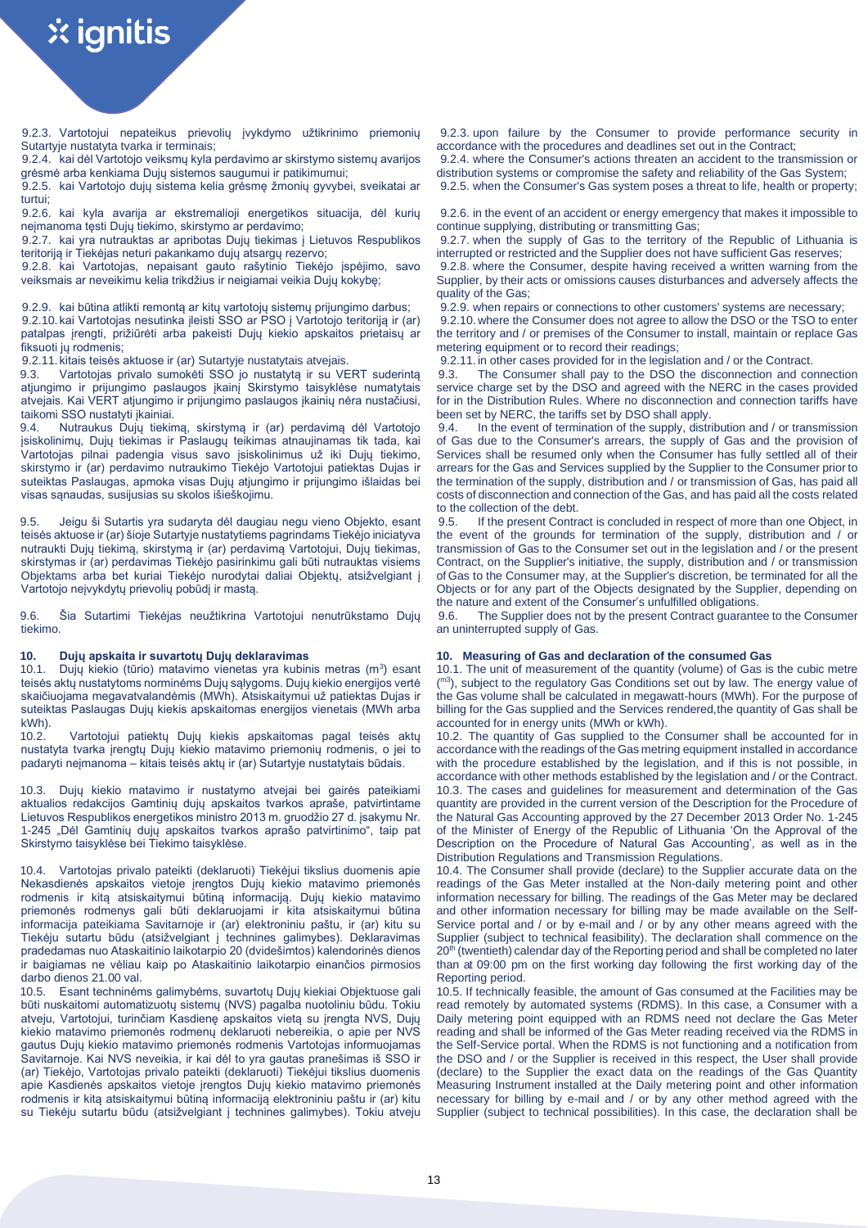9.2.3. Vartotojui nepateikus prievolių įvykdymo užtikrinimo priemonių Sutartyje nustatyta tvarka ir terminais;

9.2.4. kai dėl Vartotojo veiksmų kyla perdavimo ar skirstymo sistemų avarijos grėsmė arba kenkiama Dujų sistemos saugumui ir patikimumui;

9.2.5. kai Vartotojo dujų sistema kelia grėsmę žmonių gyvybei, sveikatai ar turtui;

9.2.6. kai kyla avarija ar ekstremalioji energetikos situacija, dėl kurių neįmanoma tęsti Dujų tiekimo, skirstymo ar perdavimo;

9.2.7. kai yra nutrauktas ar apribotas Dujų tiekimas į Lietuvos Respublikos teritoriją ir Tiekėjas neturi pakankamo dujų atsargų rezervo;

9.2.8. kai Vartotojas, nepaisant gauto rašytinio Tiekėjo įspėjimo, savo veiksmais ar neveikimu kelia trikdžius ir neigiamai veikia Dujų kokybę;

9.2.9. kai būtina atlikti remontą ar kitų vartotojų sistemų prijungimo darbus; 9.2.10. kai Vartotojas nesutinka įleisti SSO ar PSO į Vartotojo teritoriją ir (ar) patalpas įrengti, prižiūrėti arba pakeisti Dujų kiekio apskaitos prietaisų ar fiksuoti jų rodmenis;

9.2.11. kitais teisės aktuose ir (ar) Sutartyje nustatytais atvejais.

9.3. Vartotojas privalo sumokėti SSO jo nustatytą ir su VERT suderintą atjungimo ir prijungimo paslaugos įkainį Skirstymo taisyklėse numatytais atvejais. Kai VERT atjungimo ir prijungimo paslaugos įkainių nėra nustačiusi, taikomi SSO nustatyti įkainiai.

9.4. Nutraukus Dujų tiekimą, skirstymą ir (ar) perdavimą dėl Vartotojo įsiskolinimų, Dujų tiekimas ir Paslaugų teikimas atnaujinamas tik tada, kai Vartotojas pilnai padengia visus savo įsiskolinimus už iki Dujų tiekimo, skirstymo ir (ar) perdavimo nutraukimo Tiekėjo Vartotojui patiektas Dujas ir suteiktas Paslaugas, apmoka visas Dujų atjungimo ir prijungimo išlaidas bei visas sąnaudas, susijusias su skolos išieškojimu.

9.5. Jeigu ši Sutartis yra sudaryta dėl daugiau negu vieno Objekto, esant teisės aktuose ir (ar) šioje Sutartyje nustatytiems pagrindams Tiekėjo iniciatyva nutraukti Dujų tiekimą, skirstymą ir (ar) perdavimą Vartotojui, Dujų tiekimas, skirstymas ir (ar) perdavimas Tiekėjo pasirinkimu gali būti nutrauktas visiems Objektams arba bet kuriai Tiekėjo nurodytai daliai Objektų, atsižvelgiant į Vartotojo neįvykdytų prievolių pobūdį ir mastą.

9.6. Šia Sutartimi Tiekėjas neužtikrina Vartotojui nenutrūkstamo Dujų tiekimo.

10.1. Dujų kiekio (tūrio) matavimo vienetas yra kubinis metras (m<sup>3</sup>) esant teisės aktų nustatytoms norminėms Dujų sąlygoms. Dujų kiekio energijos vertė skaičiuojama megavatvalandėmis (MWh). Atsiskaitymui už patiektas Dujas ir suteiktas Paslaugas Dujų kiekis apskaitomas energijos vienetais (MWh arba kWh).<br>10.2.

Vartotojui patiektų Dujų kiekis apskaitomas pagal teisės aktų nustatyta tvarka įrengtų Dujų kiekio matavimo priemonių rodmenis, o jei to padaryti neįmanoma – kitais teisės aktų ir (ar) Sutartyje nustatytais būdais.

10.3. Dujų kiekio matavimo ir nustatymo atvejai bei gairės pateikiami aktualios redakcijos Gamtinių dujų apskaitos tvarkos apraše, patvirtintame Lietuvos Respublikos energetikos ministro 2013 m. gruodžio 27 d. įsakymu Nr. 1-245 "Dėl Gamtinių dujų apskaitos tvarkos aprašo patvirtinimo", taip pat Skirstymo taisyklėse bei Tiekimo taisyklėse.

10.4. Vartotojas privalo pateikti (deklaruoti) Tiekėjui tikslius duomenis apie Nekasdienės apskaitos vietoje įrengtos Dujų kiekio matavimo priemonės rodmenis ir kitą atsiskaitymui būtiną informaciją. Dujų kiekio matavimo priemonės rodmenys gali būti deklaruojami ir kita atsiskaitymui būtina informacija pateikiama Savitarnoje ir (ar) elektroniniu paštu, ir (ar) kitu su Tiekėju sutartu būdu (atsižvelgiant į technines galimybes). Deklaravimas pradedamas nuo Ataskaitinio laikotarpio 20 (dvidešimtos) kalendorinės dienos ir baigiamas ne vėliau kaip po Ataskaitinio laikotarpio einančios pirmosios darbo dienos 21.00 val.

10.5. Esant techninėms galimybėms, suvartotų Dujų kiekiai Objektuose gali būti nuskaitomi automatizuotų sistemų (NVS) pagalba nuotoliniu būdu. Tokiu atveju, Vartotojui, turinčiam Kasdienę apskaitos vietą su įrengta NVS, Dujų kiekio matavimo priemonės rodmenų deklaruoti nebereikia, o apie per NVS gautus Dujų kiekio matavimo priemonės rodmenis Vartotojas informuojamas Savitarnoje. Kai NVS neveikia, ir kai dėl to yra gautas pranešimas iš SSO ir (ar) Tiekėjo, Vartotojas privalo pateikti (deklaruoti) Tiekėjui tikslius duomenis apie Kasdienės apskaitos vietoje įrengtos Dujų kiekio matavimo priemonės rodmenis ir kitą atsiskaitymui būtiną informaciją elektroniniu paštu ir (ar) kitu su Tiekėju sutartu būdu (atsižvelgiant į technines galimybes). Tokiu atveju

9.2.3. upon failure by the Consumer to provide performance security in accordance with the procedures and deadlines set out in the Contract;

9.2.4. where the Consumer's actions threaten an accident to the transmission or distribution systems or compromise the safety and reliability of the Gas System;

9.2.5. when the Consumer's Gas system poses a threat to life, health or property;

9.2.6. in the event of an accident or energy emergency that makes it impossible to continue supplying, distributing or transmitting Gas;

9.2.7. when the supply of Gas to the territory of the Republic of Lithuania is interrupted or restricted and the Supplier does not have sufficient Gas reserves; 9.2.8. where the Consumer, despite having received a written warning from the Supplier, by their acts or omissions causes disturbances and adversely affects the

quality of the Gas; 9.2.9. when repairs or connections to other customers' systems are necessary;

9.2.10.where the Consumer does not agree to allow the DSO or the TSO to enter the territory and / or premises of the Consumer to install, maintain or replace Gas metering equipment or to record their readings;

9.2.11. in other cases provided for in the legislation and / or the Contract.

9.3. The Consumer shall pay to the DSO the disconnection and connection service charge set by the DSO and agreed with the NERC in the cases provided for in the Distribution Rules. Where no disconnection and connection tariffs have been set by NERC, the tariffs set by DSO shall apply.

9.4. In the event of termination of the supply, distribution and / or transmission of Gas due to the Consumer's arrears, the supply of Gas and the provision of Services shall be resumed only when the Consumer has fully settled all of their arrears for the Gas and Services supplied by the Supplier to the Consumer prior to the termination of the supply, distribution and / or transmission of Gas, has paid all costs of disconnection and connection of the Gas, and has paid all the costs related to the collection of the debt.

9.5. If the present Contract is concluded in respect of more than one Object, in the event of the grounds for termination of the supply, distribution and / or transmission of Gas to the Consumer set out in the legislation and / or the present Contract, on the Supplier's initiative, the supply, distribution and / or transmission of Gas to the Consumer may, at the Supplier's discretion, be terminated for all the Objects or for any part of the Objects designated by the Supplier, depending on the nature and extent of the Consumer's unfulfilled obligations.

9.6. The Supplier does not by the present Contract guarantee to the Consumer an uninterrupted supply of Gas.

## **10. Dujų apskaita ir suvartotų Dujų deklaravimas 10. Measuring of Gas and declaration of the consumed Gas**

10.1. The unit of measurement of the quantity (volume) of Gas is the cubic metre (m<sup>3</sup>), subject to the regulatory Gas Conditions set out by law. The energy value of the Gas volume shall be calculated in megawatt-hours (MWh). For the purpose of billing for the Gas supplied and the Services rendered, the quantity of Gas shall be accounted for in energy units (MWh or kWh).

10.2. The quantity of Gas supplied to the Consumer shall be accounted for in accordance with the readings of the Gas metring equipment installed in accordance with the procedure established by the legislation, and if this is not possible, in accordance with other methods established by the legislation and / or the Contract. 10.3. The cases and guidelines for measurement and determination of the Gas quantity are provided in the current version of the Description for the Procedure of the Natural Gas Accounting approved by the 27 December 2013 Order No. 1-245 of the Minister of Energy of the Republic of Lithuania 'On the Approval of the Description on the Procedure of Natural Gas Accounting', as well as in the Distribution Regulations and Transmission Regulations.

10.4. The Consumer shall provide (declare) to the Supplier accurate data on the readings of the Gas Meter installed at the Non-daily metering point and other information necessary for billing. The readings of the Gas Meter may be declared and other information necessary for billing may be made available on the Self-Service portal and / or by e-mail and / or by any other means agreed with the Supplier (subject to technical feasibility). The declaration shall commence on the 20<sup>th</sup> (twentieth) calendar day of the Reporting period and shall be completed no later than at 09:00 pm on the first working day following the first working day of the Reporting period.

10.5. If technically feasible, the amount of Gas consumed at the Facilities may be read remotely by automated systems (RDMS). In this case, a Consumer with a Daily metering point equipped with an RDMS need not declare the Gas Meter reading and shall be informed of the Gas Meter reading received via the RDMS in the Self-Service portal. When the RDMS is not functioning and a notification from the DSO and / or the Supplier is received in this respect, the User shall provide (declare) to the Supplier the exact data on the readings of the Gas Quantity Measuring Instrument installed at the Daily metering point and other information necessary for billing by e-mail and / or by any other method agreed with the Supplier (subject to technical possibilities). In this case, the declaration shall be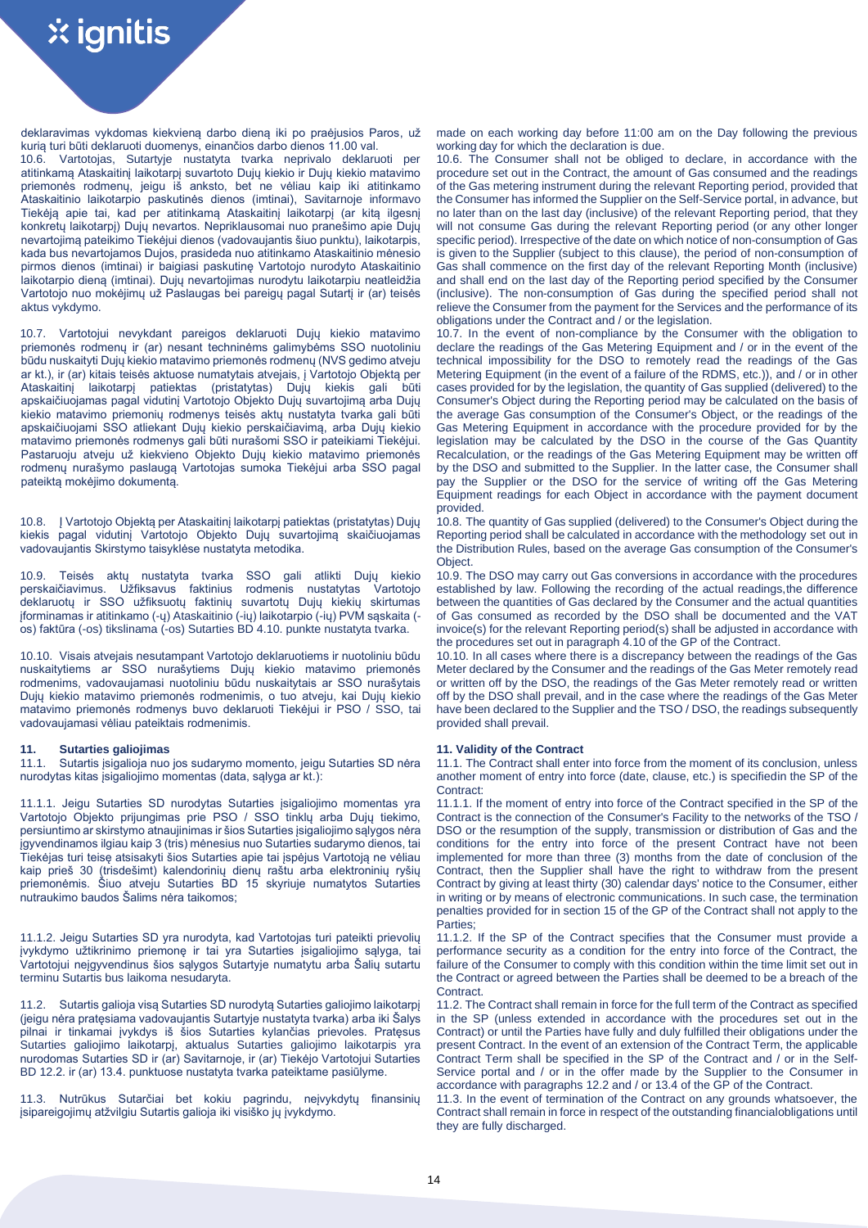aktus vykdymo.

deklaravimas vykdomas kiekvieną darbo dieną iki po praėjusios Paros, už kurią turi būti deklaruoti duomenys, einančios darbo dienos 11.00 val. 10.6. Vartotojas, Sutartyje nustatyta tvarka neprivalo deklaruoti per atitinkamą Ataskaitinį laikotarpį suvartoto Dujų kiekio ir Dujų kiekio matavimo priemonės rodmenų, jeigu iš anksto, bet ne vėliau kaip iki atitinkamo Ataskaitinio laikotarpio paskutinės dienos (imtinai), Savitarnoje informavo Tiekėją apie tai, kad per atitinkamą Ataskaitinį laikotarpį (ar kitą ilgesnį konkretų laikotarpį) Dujų nevartos. Nepriklausomai nuo pranešimo apie Dujų nevartojimą pateikimo Tiekėjui dienos (vadovaujantis šiuo punktu), laikotarpis, kada bus nevartojamos Dujos, prasideda nuo atitinkamo Ataskaitinio mėnesio pirmos dienos (imtinai) ir baigiasi paskutinę Vartotojo nurodyto Ataskaitinio laikotarpio dieną (imtinai). Dujų nevartojimas nurodytu laikotarpiu neatleidžia Vartotojo nuo mokėjimų už Paslaugas bei pareigų pagal Sutartį ir (ar) teisės

10.7. Vartotojui nevykdant pareigos deklaruoti Dujų kiekio matavimo priemonės rodmenų ir (ar) nesant techninėms galimybėms SSO nuotoliniu būdu nuskaityti Dujų kiekio matavimo priemonės rodmenų (NVS gedimo atveju ar kt.), ir (ar) kitais teisės aktuose numatytais atvejais, į Vartotojo Objektą per Ataskaitinį laikotarpį patiektas (pristatytas) Dujų kiekis gali būti apskaičiuojamas pagal vidutinį Vartotojo Objekto Dujų suvartojimą arba Dujų kiekio matavimo priemonių rodmenys teisės aktų nustatyta tvarka gali būti apskaičiuojami SSO atliekant Dujų kiekio perskaičiavimą, arba Dujų kiekio matavimo priemonės rodmenys gali būti nurašomi SSO ir pateikiami Tiekėjui. Pastaruoju atveju už kiekvieno Objekto Dujų kiekio matavimo priemonės rodmenų nurašymo paslaugą Vartotojas sumoka Tiekėjui arba SSO pagal pateiktą mokėjimo dokumentą.

10.8. Į Vartotojo Objektą per Ataskaitinį laikotarpį patiektas (pristatytas) Dujų kiekis pagal vidutinį Vartotojo Objekto Dujų suvartojimą skaičiuojamas vadovaujantis Skirstymo taisyklėse nustatyta metodika.

10.9. Teisės aktų nustatyta tvarka SSO gali atlikti Dujų kiekio<br>perskaičiavimus. Užfiksavus faktinius rodmenis nustatytas Vartotojo perskaičiavimus. Užfiksavus faktinius rodmenis nustatytas deklaruotų ir SSO užfiksuotų faktinių suvartotų Dujų kiekių skirtumas įforminamas ir atitinkamo (-ų) Ataskaitinio (-ių) laikotarpio (-ių) PVM sąskaita ( os) faktūra (-os) tikslinama (-os) Sutarties BD 4.10. punkte nustatyta tvarka.

10.10. Visais atvejais nesutampant Vartotojo deklaruotiems ir nuotoliniu būdu nuskaitytiems ar SSO nurašytiems Dujų kiekio matavimo priemonės rodmenims, vadovaujamasi nuotoliniu būdu nuskaitytais ar SSO nurašytais Dujų kiekio matavimo priemonės rodmenimis, o tuo atveju, kai Dujų kiekio matavimo priemonės rodmenys buvo deklaruoti Tiekėjui ir PSO / SSO, tai vadovaujamasi vėliau pateiktais rodmenimis.

11.1. Sutartis įsigalioja nuo jos sudarymo momento, jeigu Sutarties SD nėra nurodytas kitas įsigaliojimo momentas (data, sąlyga ar kt.):

11.1.1. Jeigu Sutarties SD nurodytas Sutarties įsigaliojimo momentas yra Vartotojo Objekto prijungimas prie PSO / SSO tinklų arba Dujų tiekimo, persiuntimo ar skirstymo atnaujinimas ir šios Sutarties įsigaliojimo sąlygos nėra įgyvendinamos ilgiau kaip 3 (tris) mėnesius nuo Sutarties sudarymo dienos, tai Tiekėjas turi teisę atsisakyti šios Sutarties apie tai įspėjus Vartotoją ne vėliau kaip prieš 30 (trisdešimt) kalendorinių dienų raštu arba elektroninių ryšių priemonėmis. Šiuo atveju Sutarties BD 15 skyriuje numatytos Sutarties nutraukimo baudos Šalims nėra taikomos;

11.1.2. Jeigu Sutarties SD yra nurodyta, kad Vartotojas turi pateikti prievolių įvykdymo užtikrinimo priemonę ir tai yra Sutarties įsigaliojimo sąlyga, tai Vartotojui neįgyvendinus šios sąlygos Sutartyje numatytu arba Šalių sutartu terminu Sutartis bus laikoma nesudaryta.

11.2. Sutartis galioja visą Sutarties SD nurodytą Sutarties galiojimo laikotarpį (jeigu nėra pratęsiama vadovaujantis Sutartyje nustatyta tvarka) arba iki Šalys pilnai ir tinkamai įvykdys iš šios Sutarties kylančias prievoles. Pratęsus Sutarties galiojimo laikotarpį, aktualus Sutarties galiojimo laikotarpis yra nurodomas Sutarties SD ir (ar) Savitarnoje, ir (ar) Tiekėjo Vartotojui Sutarties BD 12.2. ir (ar) 13.4. punktuose nustatyta tvarka pateiktame pasiūlyme.

11.3. Nutrūkus Sutarčiai bet kokiu pagrindu, neįvykdytų finansinių įsipareigojimų atžvilgiu Sutartis galioja iki visiško jų įvykdymo.

made on each working day before 11:00 am on the Day following the previous working day for which the declaration is due.

10.6. The Consumer shall not be obliged to declare, in accordance with the procedure set out in the Contract, the amount of Gas consumed and the readings of the Gas metering instrument during the relevant Reporting period, provided that the Consumer has informed the Supplier on the Self-Service portal, in advance, but no later than on the last day (inclusive) of the relevant Reporting period, that they will not consume Gas during the relevant Reporting period (or any other longer specific period). Irrespective of the date on which notice of non-consumption of Gas is given to the Supplier (subject to this clause), the period of non-consumption of Gas shall commence on the first day of the relevant Reporting Month (inclusive) and shall end on the last day of the Reporting period specified by the Consumer (inclusive). The non-consumption of Gas during the specified period shall not relieve the Consumer from the payment for the Services and the performance of its obligations under the Contract and / or the legislation.

10.7. In the event of non-compliance by the Consumer with the obligation to declare the readings of the Gas Metering Equipment and / or in the event of the technical impossibility for the DSO to remotely read the readings of the Gas Metering Equipment (in the event of a failure of the RDMS, etc.)), and / or in other cases provided for by the legislation, the quantity of Gas supplied (delivered) to the Consumer's Object during the Reporting period may be calculated on the basis of the average Gas consumption of the Consumer's Object, or the readings of the Gas Metering Equipment in accordance with the procedure provided for by the legislation may be calculated by the DSO in the course of the Gas Quantity Recalculation, or the readings of the Gas Metering Equipment may be written off by the DSO and submitted to the Supplier. In the latter case, the Consumer shall pay the Supplier or the DSO for the service of writing off the Gas Metering Equipment readings for each Object in accordance with the payment document provided.

10.8. The quantity of Gas supplied (delivered) to the Consumer's Object during the Reporting period shall be calculated in accordance with the methodology set out in the Distribution Rules, based on the average Gas consumption of the Consumer's Object.

10.9. The DSO may carry out Gas conversions in accordance with the procedures established by law. Following the recording of the actual readings,the difference between the quantities of Gas declared by the Consumer and the actual quantities of Gas consumed as recorded by the DSO shall be documented and the VAT invoice(s) for the relevant Reporting period(s) shall be adjusted in accordance with the procedures set out in paragraph 4.10 of the GP of the Contract.

10.10. In all cases where there is a discrepancy between the readings of the Gas Meter declared by the Consumer and the readings of the Gas Meter remotely read or written off by the DSO, the readings of the Gas Meter remotely read or written off by the DSO shall prevail, and in the case where the readings of the Gas Meter have been declared to the Supplier and the TSO / DSO, the readings subsequently provided shall prevail.

## **11. Sutarties galiojimas 11. Validity of the Contract**

11.1. The Contract shall enter into force from the moment of its conclusion, unless another moment of entry into force (date, clause, etc.) is specifiedin the SP of the Contract:

11.1.1. If the moment of entry into force of the Contract specified in the SP of the Contract is the connection of the Consumer's Facility to the networks of the TSO / DSO or the resumption of the supply, transmission or distribution of Gas and the conditions for the entry into force of the present Contract have not been implemented for more than three (3) months from the date of conclusion of the Contract, then the Supplier shall have the right to withdraw from the present Contract by giving at least thirty (30) calendar days' notice to the Consumer, either in writing or by means of electronic communications. In such case, the termination penalties provided for in section 15 of the GP of the Contract shall not apply to the Parties;

11.1.2. If the SP of the Contract specifies that the Consumer must provide a performance security as a condition for the entry into force of the Contract, the failure of the Consumer to comply with this condition within the time limit set out in the Contract or agreed between the Parties shall be deemed to be a breach of the Contract.

11.2. The Contract shall remain in force for the full term of the Contract as specified in the SP (unless extended in accordance with the procedures set out in the Contract) or until the Parties have fully and duly fulfilled their obligations under the present Contract. In the event of an extension of the Contract Term, the applicable Contract Term shall be specified in the SP of the Contract and / or in the Self-Service portal and / or in the offer made by the Supplier to the Consumer in accordance with paragraphs 12.2 and / or 13.4 of the GP of the Contract.

11.3. In the event of termination of the Contract on any grounds whatsoever, the Contract shall remain in force in respect of the outstanding financialobligations until they are fully discharged.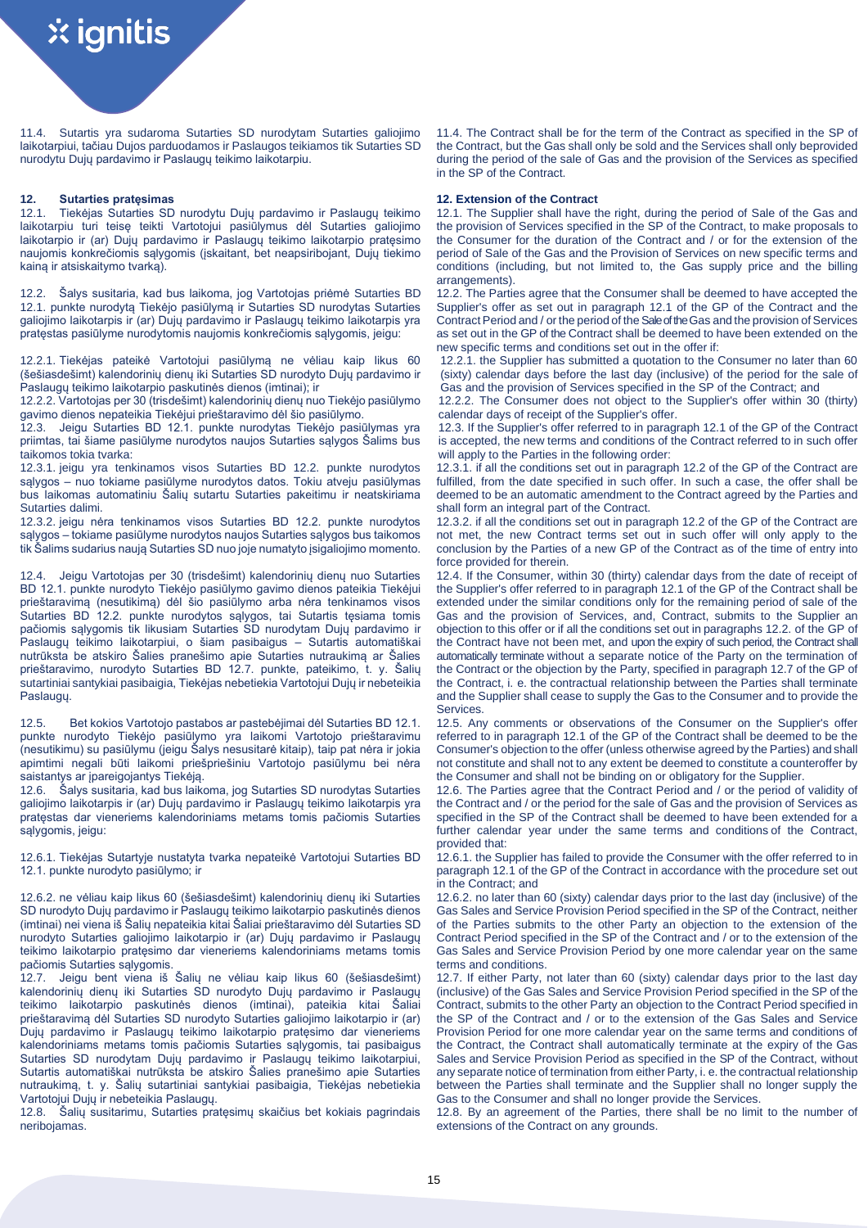11.4. Sutartis yra sudaroma Sutarties SD nurodytam Sutarties galiojimo laikotarpiui, tačiau Dujos parduodamos ir Paslaugos teikiamos tik Sutarties SD nurodytu Dujų pardavimo ir Paslaugų teikimo laikotarpiu.

**12. Sutarties pratęsimas 12. Extension of the Contract** Tiekėjas Sutarties SD nurodytu Dujų pardavimo ir Paslaugų teikimo laikotarpiu turi teisę teikti Vartotojui pasiūlymus dėl Sutarties galiojimo laikotarpio ir (ar) Dujų pardavimo ir Paslaugų teikimo laikotarpio pratęsimo naujomis konkrečiomis sąlygomis (įskaitant, bet neapsiribojant, Dujų tiekimo kainą ir atsiskaitymo tvarką).

12.2. Šalys susitaria, kad bus laikoma, jog Vartotojas priėmė Sutarties BD 12.1. punkte nurodytą Tiekėjo pasiūlymą ir Sutarties SD nurodytas Sutarties galiojimo laikotarpis ir (ar) Dujų pardavimo ir Paslaugų teikimo laikotarpis yra pratęstas pasiūlyme nurodytomis naujomis konkrečiomis sąlygomis, jeigu:

12.2.1. Tiekėjas pateikė Vartotojui pasiūlymą ne vėliau kaip likus 60 (šešiasdešimt) kalendorinių dienų iki Sutarties SD nurodyto Dujų pardavimo ir Paslaugų teikimo laikotarpio paskutinės dienos (imtinai); ir

12.2.2. Vartotojas per 30 (trisdešimt) kalendorinių dienų nuo Tiekėjo pasiūlymo gavimo dienos nepateikia Tiekėjui prieštaravimo dėl šio pasiūlymo.

12.3. Jeigu Sutarties BD 12.1. punkte nurodytas Tiekėjo pasiūlymas yra priimtas, tai šiame pasiūlyme nurodytos naujos Sutarties sąlygos Šalims bus taikomos tokia tvarka:

12.3.1. jeigu yra tenkinamos visos Sutarties BD 12.2. punkte nurodytos sąlygos – nuo tokiame pasiūlyme nurodytos datos. Tokiu atveju pasiūlymas bus laikomas automatiniu Šalių sutartu Sutarties pakeitimu ir neatskiriama Sutarties dalimi.

12.3.2. jeigu nėra tenkinamos visos Sutarties BD 12.2. punkte nurodytos sąlygos – tokiame pasiūlyme nurodytos naujos Sutarties sąlygos bus taikomos tik Šalims sudarius naują Sutarties SD nuo joje numatyto įsigaliojimo momento.

12.4. Jeigu Vartotojas per 30 (trisdešimt) kalendorinių dienų nuo Sutarties BD 12.1. punkte nurodyto Tiekėjo pasiūlymo gavimo dienos pateikia Tiekėjui prieštaravimą (nesutikimą) dėl šio pasiūlymo arba nėra tenkinamos visos Sutarties BD 12.2. punkte nurodytos sąlygos, tai Sutartis tęsiama tomis pačiomis sąlygomis tik likusiam Sutarties SD nurodytam Dujų pardavimo ir Paslaugų teikimo laikotarpiui, o šiam pasibaigus – Sutartis automatiškai nutrūksta be atskiro Šalies pranešimo apie Sutarties nutraukimą ar Šalies prieštaravimo, nurodyto Sutarties BD 12.7. punkte, pateikimo, t. y. Šalių sutartiniai santykiai pasibaigia, Tiekėjas nebetiekia Vartotojui Dujų ir nebeteikia Paslaugų.

12.5. Bet kokios Vartotojo pastabos ar pastebėjimai dėl Sutarties BD 12.1. punkte nurodyto Tiekėjo pasiūlymo yra laikomi Vartotojo prieštaravimu (nesutikimu) su pasiūlymu (jeigu Šalys nesusitarė kitaip), taip pat nėra ir jokia apimtimi negali būti laikomi priešpriešiniu Vartotojo pasiūlymu bei nėra saistantys ar įpareigojantys Tiekėją.<br>12.6. Šalvs susitaria, kad bus laik

Šalys susitaria, kad bus laikoma, jog Sutarties SD nurodytas Sutarties galiojimo laikotarpis ir (ar) Dujų pardavimo ir Paslaugų teikimo laikotarpis yra pratęstas dar vieneriems kalendoriniams metams tomis pačiomis Sutarties sąlygomis, jeigu:

12.6.1. Tiekėjas Sutartyje nustatyta tvarka nepateikė Vartotojui Sutarties BD 12.1. punkte nurodyto pasiūlymo; ir

12.6.2. ne vėliau kaip likus 60 (šešiasdešimt) kalendorinių dienų iki Sutarties SD nurodyto Dujų pardavimo ir Paslaugų teikimo laikotarpio paskutinės dienos (imtinai) nei viena iš Šalių nepateikia kitai Šaliai prieštaravimo dėl Sutarties SD nurodyto Sutarties galiojimo laikotarpio ir (ar) Dujų pardavimo ir Paslaugų teikimo laikotarpio pratęsimo dar vieneriems kalendoriniams metams tomis pačiomis Sutarties sąlygomis.

12.7. Jeigu bent viena iš Šalių ne vėliau kaip likus 60 (šešiasdešimt) kalendorinių dienų iki Sutarties SD nurodyto Dujų pardavimo ir Paslaugų teikimo laikotarpio paskutinės dienos (imtinai), pateikia kitai Šaliai prieštaravimą dėl Sutarties SD nurodyto Sutarties galiojimo laikotarpio ir (ar) Dujų pardavimo ir Paslaugų teikimo laikotarpio pratęsimo dar vieneriems kalendoriniams metams tomis pačiomis Sutarties sąlygomis, tai pasibaigus Sutarties SD nurodytam Dujų pardavimo ir Paslaugų teikimo laikotarpiui, Sutartis automatiškai nutrūksta be atskiro Šalies pranešimo apie Sutarties nutraukimą, t. y. Šalių sutartiniai santykiai pasibaigia, Tiekėjas nebetiekia Vartotojui Dujų ir nebeteikia Paslaugų.

12.8. Šalių susitarimu, Sutarties pratęsimų skaičius bet kokiais pagrindais neribojamas.

11.4. The Contract shall be for the term of the Contract as specified in the SP of the Contract, but the Gas shall only be sold and the Services shall only beprovided during the period of the sale of Gas and the provision of the Services as specified in the SP of the Contract.

12.1. The Supplier shall have the right, during the period of Sale of the Gas and the provision of Services specified in the SP of the Contract, to make proposals to the Consumer for the duration of the Contract and / or for the extension of the period of Sale of the Gas and the Provision of Services on new specific terms and conditions (including, but not limited to, the Gas supply price and the billing arrangements).

12.2. The Parties agree that the Consumer shall be deemed to have accepted the Supplier's offer as set out in paragraph 12.1 of the GP of the Contract and the Contract Period and / or the period of the Sale of the Gas and the provision of Services as set out in the GP of the Contract shall be deemed to have been extended on the new specific terms and conditions set out in the offer if:

12.2.1. the Supplier has submitted a quotation to the Consumer no later than 60 (sixty) calendar days before the last day (inclusive) of the period for the sale of Gas and the provision of Services specified in the SP of the Contract; and

12.2.2. The Consumer does not object to the Supplier's offer within 30 (thirty) calendar days of receipt of the Supplier's offer.

12.3. If the Supplier's offer referred to in paragraph 12.1 of the GP of the Contract is accepted, the new terms and conditions of the Contract referred to in such offer will apply to the Parties in the following order:

12.3.1. if all the conditions set out in paragraph 12.2 of the GP of the Contract are fulfilled, from the date specified in such offer. In such a case, the offer shall be deemed to be an automatic amendment to the Contract agreed by the Parties and shall form an integral part of the Contract.

12.3.2. if all the conditions set out in paragraph 12.2 of the GP of the Contract are not met, the new Contract terms set out in such offer will only apply to the conclusion by the Parties of a new GP of the Contract as of the time of entry into force provided for therein.

12.4. If the Consumer, within 30 (thirty) calendar days from the date of receipt of the Supplier's offer referred to in paragraph 12.1 of the GP of the Contract shall be extended under the similar conditions only for the remaining period of sale of the Gas and the provision of Services, and, Contract, submits to the Supplier an objection to this offer or if all the conditions set out in paragraphs 12.2. of the GP of the Contract have not been met, and upon the expiry of such period, the Contract shall automatically terminate without a separate notice of the Party on the termination of the Contract or the objection by the Party, specified in paragraph 12.7 of the GP of the Contract, i. e. the contractual relationship between the Parties shall terminate and the Supplier shall cease to supply the Gas to the Consumer and to provide the Services.

12.5. Any comments or observations of the Consumer on the Supplier's offer referred to in paragraph 12.1 of the GP of the Contract shall be deemed to be the Consumer's objection to the offer (unless otherwise agreed by the Parties) and shall not constitute and shall not to any extent be deemed to constitute a counteroffer by the Consumer and shall not be binding on or obligatory for the Supplier.

12.6. The Parties agree that the Contract Period and / or the period of validity of the Contract and / or the period for the sale of Gas and the provision of Services as specified in the SP of the Contract shall be deemed to have been extended for a further calendar year under the same terms and conditions of the Contract, provided that:

12.6.1. the Supplier has failed to provide the Consumer with the offer referred to in paragraph 12.1 of the GP of the Contract in accordance with the procedure set out in the Contract; and

12.6.2. no later than 60 (sixty) calendar days prior to the last day (inclusive) of the Gas Sales and Service Provision Period specified in the SP of the Contract, neither of the Parties submits to the other Party an objection to the extension of the Contract Period specified in the SP of the Contract and / or to the extension of the Gas Sales and Service Provision Period by one more calendar year on the same terms and conditions.

12.7. If either Party, not later than 60 (sixty) calendar days prior to the last day (inclusive) of the Gas Sales and Service Provision Period specified in the SP of the Contract, submits to the other Party an objection to the Contract Period specified in the SP of the Contract and / or to the extension of the Gas Sales and Service Provision Period for one more calendar year on the same terms and conditions of the Contract, the Contract shall automatically terminate at the expiry of the Gas Sales and Service Provision Period as specified in the SP of the Contract, without any separate notice of termination from either Party, i. e. the contractual relationship between the Parties shall terminate and the Supplier shall no longer supply the Gas to the Consumer and shall no longer provide the Services.

12.8. By an agreement of the Parties, there shall be no limit to the number of extensions of the Contract on any grounds.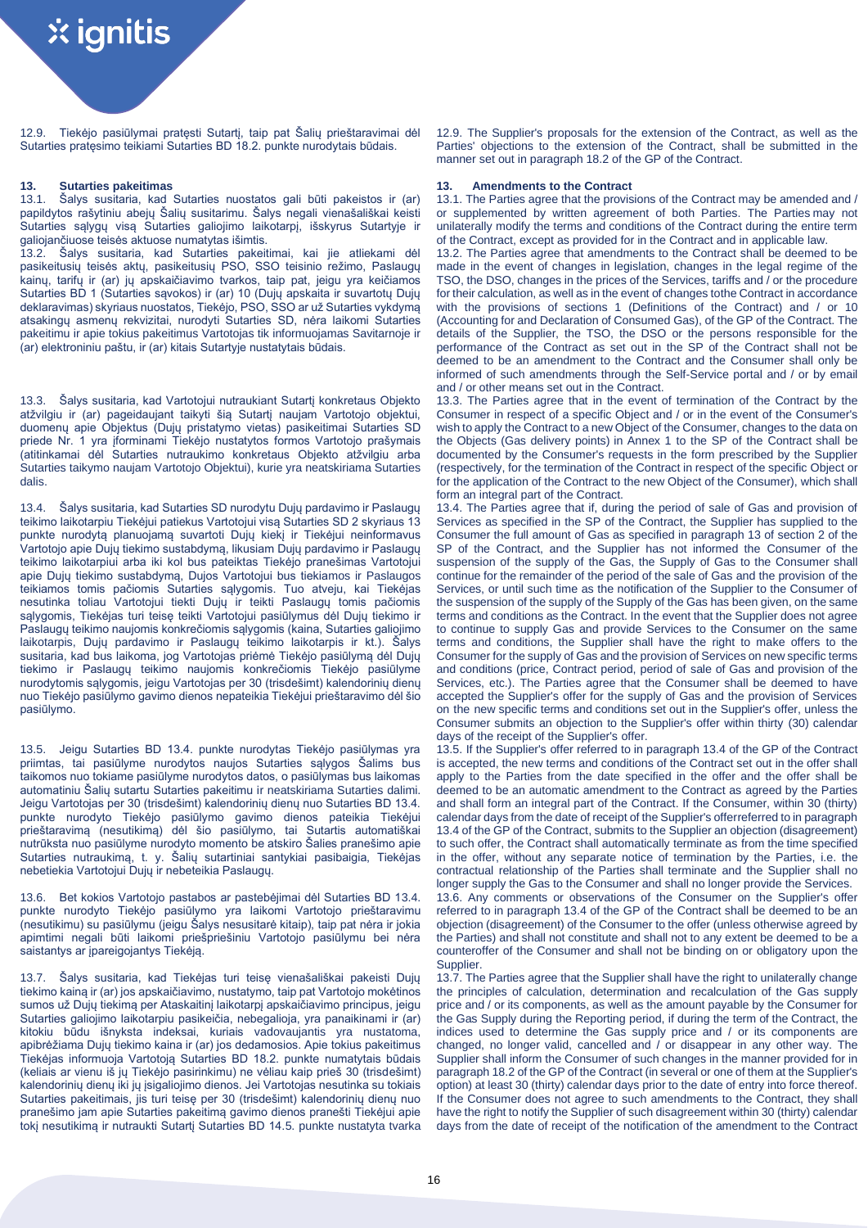12.9. Tiekėjo pasiūlymai pratęsti Sutartį, taip pat Šalių prieštaravimai dėl Sutarties pratęsimo teikiami Sutarties BD 18.2. punkte nurodytais būdais.

**13. Sutarties pakeitimas 13. Amendments to the Contract** Šalys susitaria, kad Sutarties nuostatos gali būti pakeistos ir (ar) papildytos rašytiniu abejų Šalių susitarimu. Šalys negali vienašališkai keisti Sutarties sąlygų visą Sutarties galiojimo laikotarpį, išskyrus Sutartyje ir galiojančiuose teisės aktuose numatytas išimtis.<br>13.2. Šalvs susitaria, kad Sutarties, pakei

Šalys susitaria, kad Sutarties pakeitimai, kai jie atliekami dėl pasikeitusių teisės aktų, pasikeitusių PSO, SSO teisinio režimo, Paslaugų kainų, tarifų ir (ar) jų apskaičiavimo tvarkos, taip pat, jeigu yra keičiamos Sutarties BD 1 (Sutarties sąvokos) ir (ar) 10 (Dujų apskaita ir suvartotų Dujų deklaravimas) skyriaus nuostatos, Tiekėjo, PSO, SSO ar už Sutarties vykdymą atsakingų asmenų rekvizitai, nurodyti Sutarties SD, nėra laikomi Sutarties pakeitimu ir apie tokius pakeitimus Vartotojas tik informuojamas Savitarnoje ir (ar) elektroniniu paštu, ir (ar) kitais Sutartyje nustatytais būdais.

13.3. Šalys susitaria, kad Vartotojui nutraukiant Sutartį konkretaus Objekto atžvilgiu ir (ar) pageidaujant taikyti šią Sutartį naujam Vartotojo objektui, duomenų apie Objektus (Dujų pristatymo vietas) pasikeitimai Sutarties SD priede Nr. 1 yra įforminami Tiekėjo nustatytos formos Vartotojo prašymais (atitinkamai dėl Sutarties nutraukimo konkretaus Objekto atžvilgiu arba Sutarties taikymo naujam Vartotojo Objektui), kurie yra neatskiriama Sutarties dalis.

13.4. Šalys susitaria, kad Sutarties SD nurodytu Dujų pardavimo ir Paslaugų teikimo laikotarpiu Tiekėjui patiekus Vartotojui visą Sutarties SD 2 skyriaus 13 punkte nurodytą planuojamą suvartoti Dujų kiekį ir Tiekėjui neinformavus .<br>Vartotojo apie Dujų tiekimo sustabdymą, likusiam Dujų pardavimo ir Paslaugų teikimo laikotarpiui arba iki kol bus pateiktas Tiekėjo pranešimas Vartotojui apie Dujų tiekimo sustabdymą, Dujos Vartotojui bus tiekiamos ir Paslaugos teikiamos tomis pačiomis Sutarties sąlygomis. Tuo atveju, kai Tiekėjas nesutinka toliau Vartotojui tiekti Dujų ir teikti Paslaugų tomis pačiomis sąlygomis, Tiekėjas turi teisę teikti Vartotojui pasiūlymus dėl Dujų tiekimo ir Paslaugų teikimo naujomis konkrečiomis sąlygomis (kaina, Sutarties galiojimo laikotarpis, Dujų pardavimo ir Paslaugų teikimo laikotarpis ir kt.). Šalys susitaria, kad bus laikoma, jog Vartotojas priėmė Tiekėjo pasiūlymą dėl Dujų tiekimo ir Paslaugų teikimo naujomis konkrečiomis Tiekėjo pasiūlyme nurodytomis sąlygomis, jeigu Vartotojas per 30 (trisdešimt) kalendorinių dienų nuo Tiekėjo pasiūlymo gavimo dienos nepateikia Tiekėjui prieštaravimo dėl šio pasiūlymo.

13.5. Jeigu Sutarties BD 13.4. punkte nurodytas Tiekėjo pasiūlymas yra priimtas, tai pasiūlyme nurodytos naujos Sutarties sąlygos Šalims bus taikomos nuo tokiame pasiūlyme nurodytos datos, o pasiūlymas bus laikomas automatiniu Šalių sutartu Sutarties pakeitimu ir neatskiriama Sutarties dalimi. Jeigu Vartotojas per 30 (trisdešimt) kalendorinių dienų nuo Sutarties BD 13.4. punkte nurodyto Tiekėjo pasiūlymo gavimo dienos pateikia Tiekėjui prieštaravimą (nesutikimą) dėl šio pasiūlymo, tai Sutartis automatiškai nutrūksta nuo pasiūlyme nurodyto momento be atskiro Šalies pranešimo apie Sutarties nutraukimą, t. y. Šalių sutartiniai santykiai pasibaigia, Tiekėjas nebetiekia Vartotojui Dujų ir nebeteikia Paslaugų.

13.6. Bet kokios Vartotojo pastabos ar pastebėjimai dėl Sutarties BD 13.4. punkte nurodyto Tiekėjo pasiūlymo yra laikomi Vartotojo prieštaravimu (nesutikimu) su pasiūlymu (jeigu Šalys nesusitarė kitaip), taip pat nėra ir jokia apimtimi negali būti laikomi priešpriešiniu Vartotojo pasiūlymu bei nėra saistantys ar įpareigojantys Tiekėją.

13.7. Šalys susitaria, kad Tiekėjas turi teisę vienašališkai pakeisti Dujų tiekimo kainą ir (ar) jos apskaičiavimo, nustatymo, taip pat Vartotojo mokėtinos sumos už Dujų tiekimą per Ataskaitinį laikotarpį apskaičiavimo principus, jeigu Sutarties galiojimo laikotarpiu pasikeičia, nebegalioja, yra panaikinami ir (ar) kitokiu būdu išnyksta indeksai, kuriais vadovaujantis yra nustatoma, apibrėžiama Dujų tiekimo kaina ir (ar) jos dedamosios. Apie tokius pakeitimus Tiekėjas informuoja Vartotoją Sutarties BD 18.2. punkte numatytais būdais (keliais ar vienu iš jų Tiekėjo pasirinkimu) ne vėliau kaip prieš 30 (trisdešimt) kalendorinių dienų iki jų įsigaliojimo dienos. Jei Vartotojas nesutinka su tokiais Sutarties pakeitimais, jis turi teisę per 30 (trisdešimt) kalendorinių dienų nuo pranešimo jam apie Sutarties pakeitimą gavimo dienos pranešti Tiekėjui apie tokį nesutikimą ir nutraukti Sutartį Sutarties BD 14.5. punkte nustatyta tvarka 12.9. The Supplier's proposals for the extension of the Contract, as well as the Parties' objections to the extension of the Contract, shall be submitted in the manner set out in paragraph 18.2 of the GP of the Contract.

13.1. The Parties agree that the provisions of the Contract may be amended and / or supplemented by written agreement of both Parties. The Parties may not unilaterally modify the terms and conditions of the Contract during the entire term of the Contract, except as provided for in the Contract and in applicable law.

13.2. The Parties agree that amendments to the Contract shall be deemed to be made in the event of changes in legislation, changes in the legal regime of the TSO, the DSO, changes in the prices of the Services, tariffs and / or the procedure for their calculation, as well as in the event of changes tothe Contract in accordance with the provisions of sections 1 (Definitions of the Contract) and / or 10 (Accounting for and Declaration of Consumed Gas), of the GP of the Contract. The details of the Supplier, the TSO, the DSO or the persons responsible for the performance of the Contract as set out in the SP of the Contract shall not be deemed to be an amendment to the Contract and the Consumer shall only be informed of such amendments through the Self-Service portal and / or by email and / or other means set out in the Contract.

13.3. The Parties agree that in the event of termination of the Contract by the Consumer in respect of a specific Object and / or in the event of the Consumer's wish to apply the Contract to a new Object of the Consumer, changes to the data on the Objects (Gas delivery points) in Annex 1 to the SP of the Contract shall be documented by the Consumer's requests in the form prescribed by the Supplier (respectively, for the termination of the Contract in respect of the specific Object or for the application of the Contract to the new Object of the Consumer), which shall form an integral part of the Contract.

13.4. The Parties agree that if, during the period of sale of Gas and provision of Services as specified in the SP of the Contract, the Supplier has supplied to the Consumer the full amount of Gas as specified in paragraph 13 of section 2 of the SP of the Contract, and the Supplier has not informed the Consumer of the suspension of the supply of the Gas, the Supply of Gas to the Consumer shall continue for the remainder of the period of the sale of Gas and the provision of the Services, or until such time as the notification of the Supplier to the Consumer of the suspension of the supply of the Supply of the Gas has been given, on the same terms and conditions as the Contract. In the event that the Supplier does not agree to continue to supply Gas and provide Services to the Consumer on the same terms and conditions, the Supplier shall have the right to make offers to the Consumer for the supply of Gas and the provision of Services on new specific terms and conditions (price, Contract period, period of sale of Gas and provision of the Services, etc.). The Parties agree that the Consumer shall be deemed to have accepted the Supplier's offer for the supply of Gas and the provision of Services on the new specific terms and conditions set out in the Supplier's offer, unless the Consumer submits an objection to the Supplier's offer within thirty (30) calendar days of the receipt of the Supplier's offer.

13.5. If the Supplier's offer referred to in paragraph 13.4 of the GP of the Contract is accepted, the new terms and conditions of the Contract set out in the offer shall apply to the Parties from the date specified in the offer and the offer shall be deemed to be an automatic amendment to the Contract as agreed by the Parties and shall form an integral part of the Contract. If the Consumer, within 30 (thirty) calendar days from the date of receipt of the Supplier's offerreferred to in paragraph 13.4 of the GP of the Contract, submits to the Supplier an objection (disagreement) to such offer, the Contract shall automatically terminate as from the time specified in the offer, without any separate notice of termination by the Parties, i.e. the contractual relationship of the Parties shall terminate and the Supplier shall no longer supply the Gas to the Consumer and shall no longer provide the Services. 13.6. Any comments or observations of the Consumer on the Supplier's offer referred to in paragraph 13.4 of the GP of the Contract shall be deemed to be an objection (disagreement) of the Consumer to the offer (unless otherwise agreed by the Parties) and shall not constitute and shall not to any extent be deemed to be a counteroffer of the Consumer and shall not be binding on or obligatory upon the Supplier.

13.7. The Parties agree that the Supplier shall have the right to unilaterally change the principles of calculation, determination and recalculation of the Gas supply price and / or its components, as well as the amount payable by the Consumer for the Gas Supply during the Reporting period, if during the term of the Contract, the indices used to determine the Gas supply price and / or its components are changed, no longer valid, cancelled and / or disappear in any other way. The Supplier shall inform the Consumer of such changes in the manner provided for in paragraph 18.2 of the GP of the Contract (in several or one of them at the Supplier's option) at least 30 (thirty) calendar days prior to the date of entry into force thereof. If the Consumer does not agree to such amendments to the Contract, they shall have the right to notify the Supplier of such disagreement within 30 (thirty) calendar days from the date of receipt of the notification of the amendment to the Contract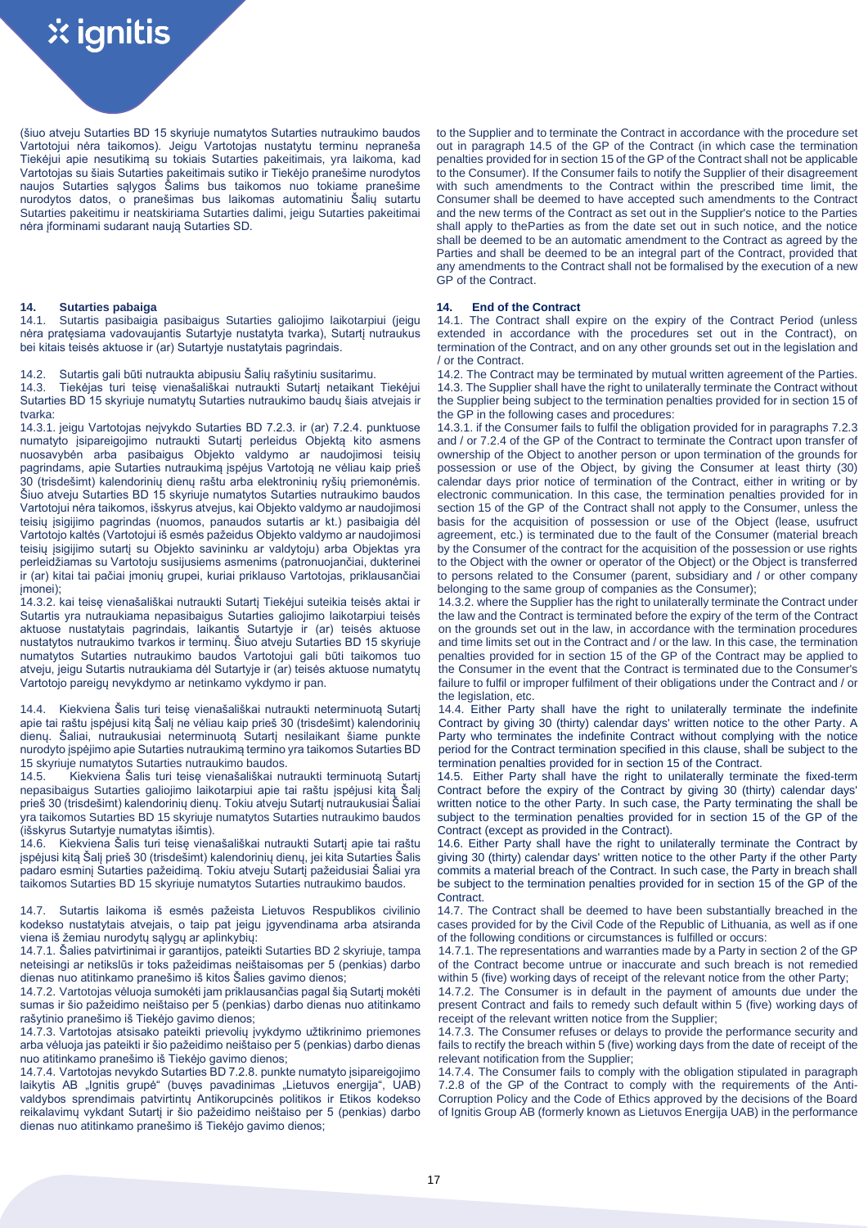(šiuo atveju Sutarties BD 15 skyriuje numatytos Sutarties nutraukimo baudos Vartotojui nėra taikomos). Jeigu Vartotojas nustatytu terminu nepraneša Tiekėjui apie nesutikimą su tokiais Sutarties pakeitimais, yra laikoma, kad Vartotojas su šiais Sutarties pakeitimais sutiko ir Tiekėjo pranešime nurodytos naujos Sutarties sąlygos Šalims bus taikomos nuo tokiame pranešime nurodytos datos, o pranešimas bus laikomas automatiniu Šalių sutartu Sutarties pakeitimu ir neatskiriama Sutarties dalimi, jeigu Sutarties pakeitimai nėra įforminami sudarant naują Sutarties SD.

14.1. Sutartis pasibaigia pasibaigus Sutarties galiojimo laikotarpiui (jeigu nėra pratęsiama vadovaujantis Sutartyje nustatyta tvarka), Sutartį nutraukus bei kitais teisės aktuose ir (ar) Sutartyje nustatytais pagrindais.

14.3. Tiekėjas turi teisę vienašališkai nutraukti Sutartį netaikant Tiekėjui Sutarties BD 15 skyriuje numatytų Sutarties nutraukimo baudų šiais atvejais ir tvarka:

14.3.1. jeigu Vartotojas neįvykdo Sutarties BD 7.2.3. ir (ar) 7.2.4. punktuose numatyto įsipareigojimo nutraukti Sutartį perleidus Objektą kito asmens nuosavybėn arba pasibaigus Objekto valdymo ar naudojimosi teisių pagrindams, apie Sutarties nutraukimą įspėjus Vartotoją ne vėliau kaip prieš 30 (trisdešimt) kalendorinių dienų raštu arba elektroninių ryšių priemonėmis. Šiuo atveju Sutarties BD 15 skyriuje numatytos Sutarties nutraukimo baudos Vartotojui nėra taikomos, išskyrus atvejus, kai Objekto valdymo ar naudojimosi teisių įsigijimo pagrindas (nuomos, panaudos sutartis ar kt.) pasibaigia dėl Vartotojo kaltės (Vartotojui iš esmės pažeidus Objekto valdymo ar naudojimosi teisių įsigijimo sutartį su Objekto savininku ar valdytoju) arba Objektas yra perleidžiamas su Vartotoju susijusiems asmenims (patronuojančiai, dukterinei ir (ar) kitai tai pačiai įmonių grupei, kuriai priklauso Vartotojas, priklausančiai imonei);

14.3.2. kai teisę vienašališkai nutraukti Sutartį Tiekėjui suteikia teisės aktai ir Sutartis yra nutraukiama nepasibaigus Sutarties galiojimo laikotarpiui teisės aktuose nustatytais pagrindais, laikantis Sutartyje ir (ar) teisės aktuose nustatytos nutraukimo tvarkos ir terminų. Šiuo atveju Sutarties BD 15 skyriuje numatytos Sutarties nutraukimo baudos Vartotojui gali būti taikomos tuo atveju, jeigu Sutartis nutraukiama dėl Sutartyje ir (ar) teisės aktuose numatytų Vartotojo pareigų nevykdymo ar netinkamo vykdymo ir pan.

14.4. Kiekviena Šalis turi teisę vienašališkai nutraukti neterminuotą Sutartį apie tai raštu įspėjusi kitą Šalį ne vėliau kaip prieš 30 (trisdešimt) kalendorinių dienų. Šaliai, nutraukusiai neterminuotą Sutartį nesilaikant šiame punkte nurodyto įspėjimo apie Sutarties nutraukimą termino yra taikomos Sutarties BD 15 skyriuje numatytos Sutarties nutraukimo baudos.

14.5. Kiekviena Šalis turi teisę vienašališkai nutraukti terminuotą Sutartį nepasibaigus Sutarties galiojimo laikotarpiui apie tai raštu įspėjusi kitą Šalį prieš 30 (trisdešimt) kalendorinių dienų. Tokiu atveju Sutartį nutraukusiai Šaliai yra taikomos Sutarties BD 15 skyriuje numatytos Sutarties nutraukimo baudos .<br>(išskyrus Sutartyje numatytas išimtis).<br>14.6. – Kiekviena Šalis turi teise vien

14.6. Kiekviena Šalis turi teisę vienašališkai nutraukti Sutartį apie tai raštu įspėjusi kitą Šalį prieš 30 (trisdešimt) kalendorinių dienų, jei kita Sutarties Šalis padaro esminį Sutarties pažeidimą. Tokiu atveju Sutartį pažeidusiai Šaliai yra taikomos Sutarties BD 15 skyriuje numatytos Sutarties nutraukimo baudos.

14.7. Sutartis laikoma iš esmės pažeista Lietuvos Respublikos civilinio kodekso nustatytais atvejais, o taip pat jeigu įgyvendinama arba atsiranda viena iš žemiau nurodytų sąlygų ar aplinkybių:

14.7.1. Šalies patvirtinimai ir garantijos, pateikti Sutarties BD 2 skyriuje, tampa neteisingi ar netikslūs ir toks pažeidimas neištaisomas per 5 (penkias) darbo dienas nuo atitinkamo pranešimo iš kitos Šalies gavimo dienos;

14.7.2. Vartotojas vėluoja sumokėti jam priklausančias pagal šią Sutartį mokėti sumas ir šio pažeidimo neištaiso per 5 (penkias) darbo dienas nuo atitinkamo rašytinio pranešimo iš Tiekėjo gavimo dienos;

14.7.3. Vartotojas atsisako pateikti prievolių įvykdymo užtikrinimo priemones arba vėluoja jas pateikti ir šio pažeidimo neištaiso per 5 (penkias) darbo dienas nuo atitinkamo pranešimo iš Tiekėjo gavimo dienos;

14.7.4. Vartotojas nevykdo Sutarties BD 7.2.8. punkte numatyto įsipareigojimo laikytis AB "Ignitis grupė" (buvęs pavadinimas "Lietuvos energija", UAB) valdybos sprendimais patvirtintų Antikorupcinės politikos ir Etikos kodekso reikalavimų vykdant Sutartį ir šio pažeidimo neištaiso per 5 (penkias) darbo dienas nuo atitinkamo pranešimo iš Tiekėjo gavimo dienos;

to the Supplier and to terminate the Contract in accordance with the procedure set out in paragraph 14.5 of the GP of the Contract (in which case the termination penalties provided for in section 15 of the GP of the Contract shall not be applicable to the Consumer). If the Consumer fails to notify the Supplier of their disagreement with such amendments to the Contract within the prescribed time limit, the Consumer shall be deemed to have accepted such amendments to the Contract and the new terms of the Contract as set out in the Supplier's notice to the Parties shall apply to theParties as from the date set out in such notice, and the notice shall be deemed to be an automatic amendment to the Contract as agreed by the Parties and shall be deemed to be an integral part of the Contract, provided that any amendments to the Contract shall not be formalised by the execution of a new GP of the Contract.

# **14. Sutarties pabaiga 14. End of the Contract**

14.1. The Contract shall expire on the expiry of the Contract Period (unless extended in accordance with the procedures set out in the Contract), on termination of the Contract, and on any other grounds set out in the legislation and / or the Contract.

14.2. Sutartis gali būti nutraukta abipusiu Šalių rašytiniu susitarimu. 14.2. The Contract may be terminated by mutual written agreement of the Parties. 14.3. The Supplier shall have the right to unilaterally terminate the Contract without the Supplier being subject to the termination penalties provided for in section 15 of the GP in the following cases and procedures:

14.3.1. if the Consumer fails to fulfil the obligation provided for in paragraphs 7.2.3 and / or 7.2.4 of the GP of the Contract to terminate the Contract upon transfer of ownership of the Object to another person or upon termination of the grounds for possession or use of the Object, by giving the Consumer at least thirty (30) calendar days prior notice of termination of the Contract, either in writing or by electronic communication. In this case, the termination penalties provided for in section 15 of the GP of the Contract shall not apply to the Consumer, unless the basis for the acquisition of possession or use of the Object (lease, usufruct agreement, etc.) is terminated due to the fault of the Consumer (material breach by the Consumer of the contract for the acquisition of the possession or use rights to the Object with the owner or operator of the Object) or the Object is transferred to persons related to the Consumer (parent, subsidiary and / or other company belonging to the same group of companies as the Consumer);

14.3.2. where the Supplier has the right to unilaterally terminate the Contract under the law and the Contract is terminated before the expiry of the term of the Contract on the grounds set out in the law, in accordance with the termination procedures and time limits set out in the Contract and / or the law. In this case, the termination penalties provided for in section 15 of the GP of the Contract may be applied to the Consumer in the event that the Contract is terminated due to the Consumer's failure to fulfil or improper fulfilment of their obligations under the Contract and / or the legislation, etc.

14.4. Either Party shall have the right to unilaterally terminate the indefinite Contract by giving 30 (thirty) calendar days' written notice to the other Party. A Party who terminates the indefinite Contract without complying with the notice period for the Contract termination specified in this clause, shall be subject to the termination penalties provided for in section 15 of the Contract.

14.5. Either Party shall have the right to unilaterally terminate the fixed-term Contract before the expiry of the Contract by giving 30 (thirty) calendar days' written notice to the other Party. In such case, the Party terminating the shall be subject to the termination penalties provided for in section 15 of the GP of the Contract (except as provided in the Contract).

14.6. Either Party shall have the right to unilaterally terminate the Contract by giving 30 (thirty) calendar days' written notice to the other Party if the other Party commits a material breach of the Contract. In such case, the Party in breach shall be subject to the termination penalties provided for in section 15 of the GP of the Contract.

14.7. The Contract shall be deemed to have been substantially breached in the cases provided for by the Civil Code of the Republic of Lithuania, as well as if one of the following conditions or circumstances is fulfilled or occurs:

14.7.1. The representations and warranties made by a Party in section 2 of the GP of the Contract become untrue or inaccurate and such breach is not remedied within 5 (five) working days of receipt of the relevant notice from the other Party;

14.7.2. The Consumer is in default in the payment of amounts due under the present Contract and fails to remedy such default within 5 (five) working days of receipt of the relevant written notice from the Supplier;

14.7.3. The Consumer refuses or delays to provide the performance security and fails to rectify the breach within 5 (five) working days from the date of receipt of the relevant notification from the Supplier;

14.7.4. The Consumer fails to comply with the obligation stipulated in paragraph 7.2.8 of the GP of the Contract to comply with the requirements of the Anti-Corruption Policy and the Code of Ethics approved by the decisions of the Board of Ignitis Group AB (formerly known as Lietuvos Energija UAB) in the performance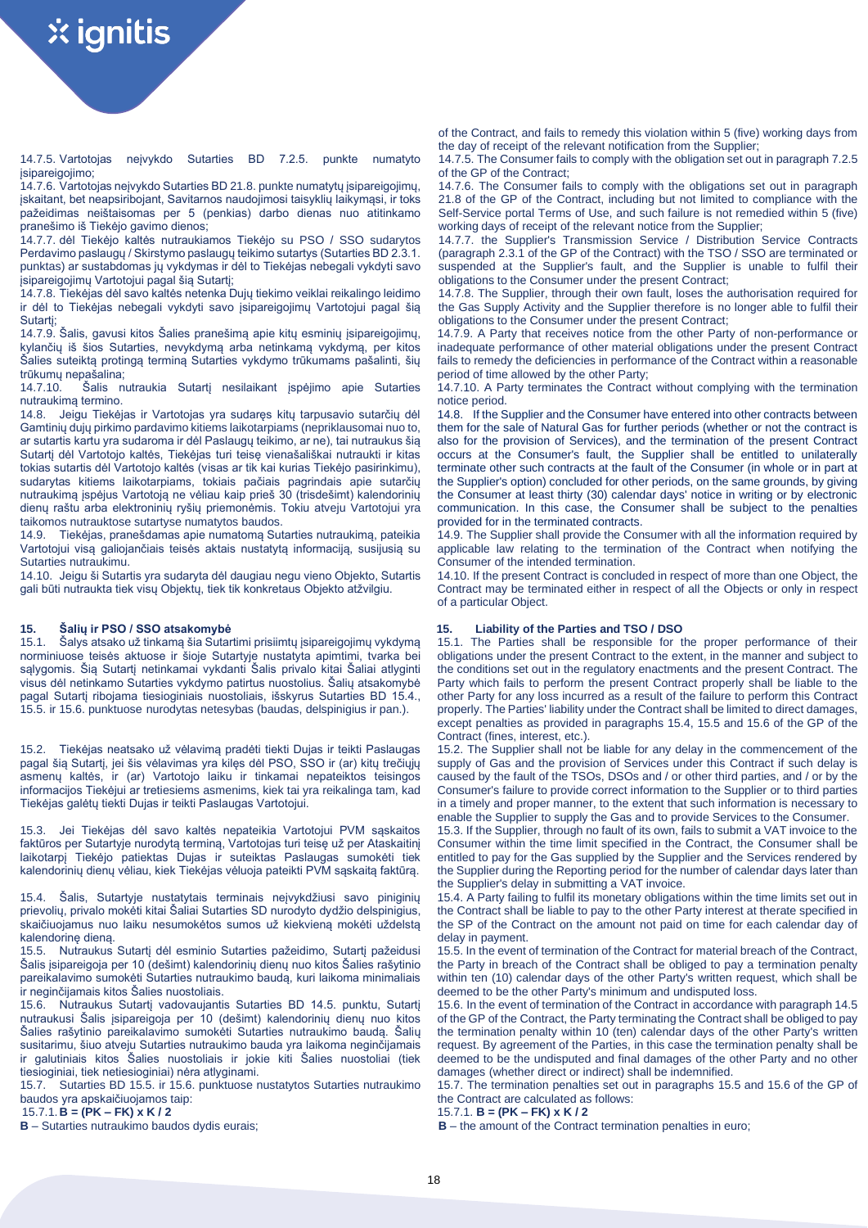14.7.5. Vartotojas neįvykdo Sutarties BD 7.2.5. punkte numatyto isinareigojimo;

14.7.6. Vartotojas neįvykdo Sutarties BD 21.8. punkte numatytų įsipareigojimų, įskaitant, bet neapsiribojant, Savitarnos naudojimosi taisyklių laikymąsi, ir toks pažeidimas neištaisomas per 5 (penkias) darbo dienas nuo atitinkamo pranešimo iš Tiekėjo gavimo dienos;

14.7.7. dėl Tiekėjo kaltės nutraukiamos Tiekėjo su PSO / SSO sudarytos Perdavimo paslaugų / Skirstymo paslaugų teikimo sutartys (Sutarties BD 2.3.1. punktas) ar sustabdomas jų vykdymas ir dėl to Tiekėjas nebegali vykdyti savo įsipareigojimų Vartotojui pagal šią Sutartį;

14.7.8. Tiekėjas dėl savo kaltės netenka Dujų tiekimo veiklai reikalingo leidimo ir dėl to Tiekėjas nebegali vykdyti savo įsipareigojimų Vartotojui pagal šią Sutartį;

14.7.9. Šalis, gavusi kitos Šalies pranešimą apie kitų esminių įsipareigojimų, kylančių iš šios Sutarties, nevykdymą arba netinkamą vykdymą, per kitos Šalies suteiktą protingą terminą Sutarties vykdymo trūkumams pašalinti, šių trūkumų nepašalina;

14.7.10. Šalis nutraukia Sutartį nesilaikant įspėjimo apie Sutarties nutraukimą termino.

14.8. Jeigu Tiekėjas ir Vartotojas yra sudaręs kitų tarpusavio sutarčių dėl Gamtinių dujų pirkimo pardavimo kitiems laikotarpiams (nepriklausomai nuo to, ar sutartis kartu yra sudaroma ir dėl Paslaugų teikimo, ar ne), tai nutraukus šią Sutartį dėl Vartotojo kaltės, Tiekėjas turi teisę vienašališkai nutraukti ir kitas tokias sutartis dėl Vartotojo kaltės (visas ar tik kai kurias Tiekėjo pasirinkimu), sudarytas kitiems laikotarpiams, tokiais pačiais pagrindais apie sutarčių nutraukimą įspėjus Vartotoją ne vėliau kaip prieš 30 (trisdešimt) kalendorinių dienų raštu arba elektroninių ryšių priemonėmis. Tokiu atveju Vartotojui yra taikomos nutrauktose sutartyse numatytos baudos.

14.9. Tiekėjas, pranešdamas apie numatomą Sutarties nutraukimą, pateikia Vartotojui visą galiojančiais teisės aktais nustatytą informaciją, susijusią su Sutarties nutraukimu.

14.10. Jeigu ši Sutartis yra sudaryta dėl daugiau negu vieno Objekto, Sutartis gali būti nutraukta tiek visų Objektų, tiek tik konkretaus Objekto atžvilgiu.

15.1. Šalys atsako už tinkamą šia Sutartimi prisiimtų įsipareigojimų vykdymą norminiuose teisės aktuose ir šioje Sutartyje nustatyta apimtimi, tvarka bei sąlygomis. Šią Sutartį netinkamai vykdanti Šalis privalo kitai Šaliai atlyginti visus dėl netinkamo Sutarties vykdymo patirtus nuostolius. Šalių atsakomybė pagal Sutartį ribojama tiesioginiais nuostoliais, išskyrus Sutarties BD 15.4., 15.5. ir 15.6. punktuose nurodytas netesybas (baudas, delspinigius ir pan.).

15.2. Tiekėjas neatsako už vėlavimą pradėti tiekti Dujas ir teikti Paslaugas pagal šią Sutartį, jei šis vėlavimas yra kilęs dėl PSO, SSO ir (ar) kitų trečiųjų asmenų kaltės, ir (ar) Vartotojo laiku ir tinkamai nepateiktos teisingos informacijos Tiekėjui ar tretiesiems asmenims, kiek tai yra reikalinga tam, kad Tiekėjas galėtų tiekti Dujas ir teikti Paslaugas Vartotojui.

15.3. Jei Tiekėjas dėl savo kaltės nepateikia Vartotojui PVM sąskaitos faktūros per Sutartyje nurodytą terminą, Vartotojas turi teisę už per Ataskaitinį laikotarpį Tiekėjo patiektas Dujas ir suteiktas Paslaugas sumokėti tiek kalendorinių dienų vėliau, kiek Tiekėjas vėluoja pateikti PVM sąskaitą faktūrą.

15.4. Šalis, Sutartyje nustatytais terminais neįvykdžiusi savo piniginių prievolių, privalo mokėti kitai Šaliai Sutarties SD nurodyto dydžio delspinigius, skaičiuojamus nuo laiku nesumokėtos sumos už kiekvieną mokėti uždelstą kalendorinę dieną.

15.5. Nutraukus Sutartį dėl esminio Sutarties pažeidimo, Sutartį pažeidusi Šalis įsipareigoja per 10 (dešimt) kalendorinių dienų nuo kitos Šalies rašytinio pareikalavimo sumokėti Sutarties nutraukimo baudą, kuri laikoma minimaliais ir neginčijamais kitos Šalies nuostoliais.

15.6. Nutraukus Sutartį vadovaujantis Sutarties BD 14.5. punktu, Sutartį nutraukusi Šalis įsipareigoja per 10 (dešimt) kalendorinių dienų nuo kitos Šalies rašytinio pareikalavimo sumokėti Sutarties nutraukimo baudą. Šalių susitarimu, šiuo atveju Sutarties nutraukimo bauda yra laikoma neginčijamais ir galutiniais kitos Šalies nuostoliais ir jokie kiti Šalies nuostoliai (tiek tiesioginiai, tiek netiesioginiai) nėra atlyginami.

15.7. Sutarties BD 15.5. ir 15.6. punktuose nustatytos Sutarties nutraukimo baudos yra apskaičiuojamos taip:

15.7.1.**B = (PK – FK) x K / 2** 15.7.1. **B = (PK – FK) x K / 2**

of the Contract, and fails to remedy this violation within 5 (five) working days from the day of receipt of the relevant notification from the Supplier;

14.7.5. The Consumer fails to comply with the obligation set out in paragraph 7.2.5 of the GP of the Contract;

14.7.6. The Consumer fails to comply with the obligations set out in paragraph 21.8 of the GP of the Contract, including but not limited to compliance with the Self-Service portal Terms of Use, and such failure is not remedied within 5 (five) working days of receipt of the relevant notice from the Supplier;

14.7.7. the Supplier's Transmission Service / Distribution Service Contracts (paragraph 2.3.1 of the GP of the Contract) with the TSO / SSO are terminated or suspended at the Supplier's fault, and the Supplier is unable to fulfil their obligations to the Consumer under the present Contract;

14.7.8. The Supplier, through their own fault, loses the authorisation required for the Gas Supply Activity and the Supplier therefore is no longer able to fulfil their obligations to the Consumer under the present Contract;

14.7.9. A Party that receives notice from the other Party of non-performance or inadequate performance of other material obligations under the present Contract fails to remedy the deficiencies in performance of the Contract within a reasonable period of time allowed by the other Party;

14.7.10. A Party terminates the Contract without complying with the termination notice period.

14.8. If the Supplier and the Consumer have entered into other contracts between them for the sale of Natural Gas for further periods (whether or not the contract is also for the provision of Services), and the termination of the present Contract occurs at the Consumer's fault, the Supplier shall be entitled to unilaterally terminate other such contracts at the fault of the Consumer (in whole or in part at the Supplier's option) concluded for other periods, on the same grounds, by giving the Consumer at least thirty (30) calendar days' notice in writing or by electronic communication. In this case, the Consumer shall be subject to the penalties provided for in the terminated contracts.

14.9. The Supplier shall provide the Consumer with all the information required by applicable law relating to the termination of the Contract when notifying the Consumer of the intended termination.

14.10. If the present Contract is concluded in respect of more than one Object, the Contract may be terminated either in respect of all the Objects or only in respect of a particular Object.

# **15. Šalių ir PSO / SSO atsakomybė 15. Liability of the Parties and TSO / DSO**

15.1. The Parties shall be responsible for the proper performance of their obligations under the present Contract to the extent, in the manner and subject to the conditions set out in the regulatory enactments and the present Contract. The Party which fails to perform the present Contract properly shall be liable to the other Party for any loss incurred as a result of the failure to perform this Contract properly. The Parties' liability under the Contract shall be limited to direct damages, except penalties as provided in paragraphs 15.4, 15.5 and 15.6 of the GP of the Contract (fines, interest, etc.).

15.2. The Supplier shall not be liable for any delay in the commencement of the supply of Gas and the provision of Services under this Contract if such delay is caused by the fault of the TSOs, DSOs and / or other third parties, and / or by the Consumer's failure to provide correct information to the Supplier or to third parties in a timely and proper manner, to the extent that such information is necessary to enable the Supplier to supply the Gas and to provide Services to the Consumer.

15.3. If the Supplier, through no fault of its own, fails to submit a VAT invoice to the Consumer within the time limit specified in the Contract, the Consumer shall be entitled to pay for the Gas supplied by the Supplier and the Services rendered by the Supplier during the Reporting period for the number of calendar days later than the Supplier's delay in submitting a VAT invoice.

15.4. A Party failing to fulfil its monetary obligations within the time limits set out in the Contract shall be liable to pay to the other Party interest at therate specified in the SP of the Contract on the amount not paid on time for each calendar day of delay in payment.

15.5. In the event of termination of the Contract for material breach of the Contract, the Party in breach of the Contract shall be obliged to pay a termination penalty within ten (10) calendar days of the other Party's written request, which shall be deemed to be the other Party's minimum and undisputed loss.

15.6. In the event of termination of the Contract in accordance with paragraph 14.5 of the GP of the Contract, the Party terminating the Contract shall be obliged to pay the termination penalty within 10 (ten) calendar days of the other Party's written request. By agreement of the Parties, in this case the termination penalty shall be deemed to be the undisputed and final damages of the other Party and no other damages (whether direct or indirect) shall be indemnified.

15.7. The termination penalties set out in paragraphs 15.5 and 15.6 of the GP of the Contract are calculated as follows:

**B** – the amount of the Contract termination penalties in euro;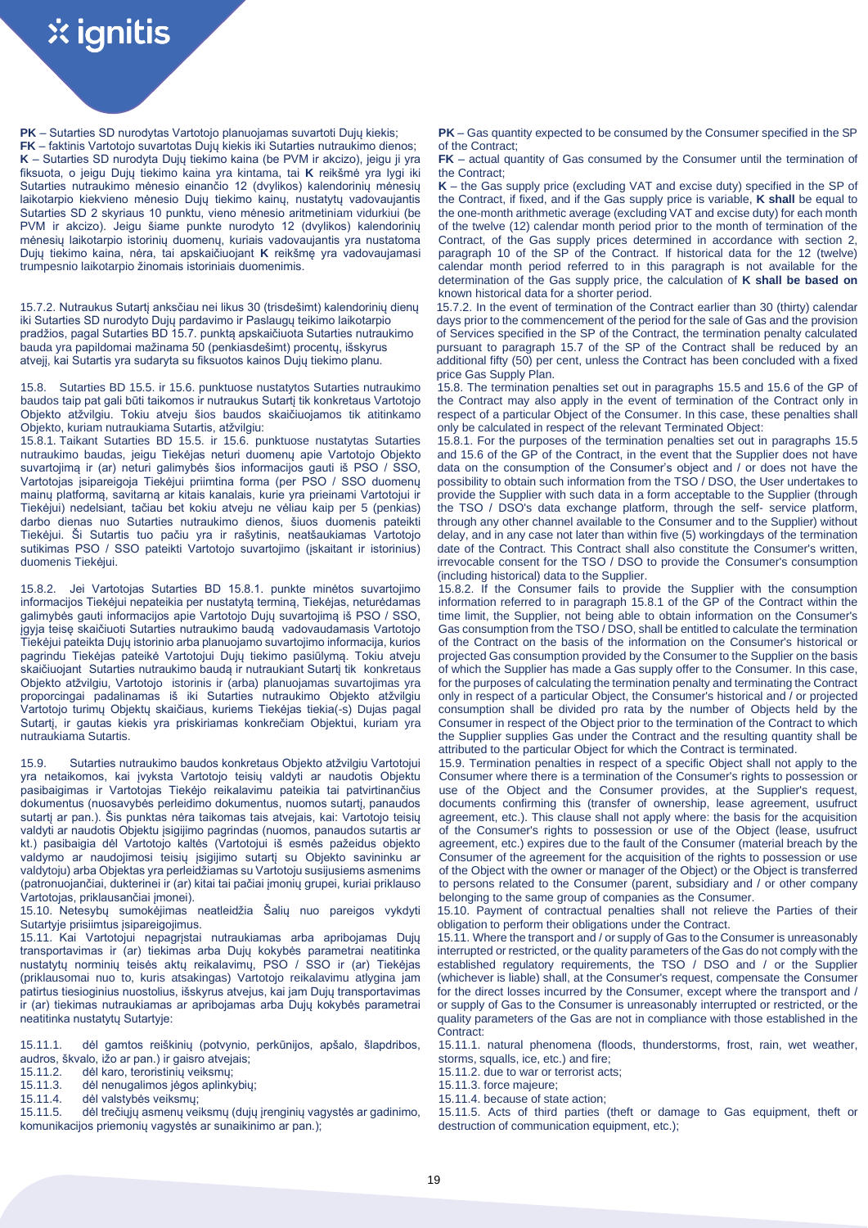**PK** – Sutarties SD nurodytas Vartotojo planuojamas suvartoti Dujų kiekis;

**FK** – faktinis Vartotojo suvartotas Dujų kiekis iki Sutarties nutraukimo dienos; **K** – Sutarties SD nurodyta Dujų tiekimo kaina (be PVM ir akcizo), jeigu ji yra fiksuota, o jeigu Dujų tiekimo kaina yra kintama, tai **K** reikšmė yra lygi iki Sutarties nutraukimo mėnesio einančio 12 (dvylikos) kalendorinių mėnesių laikotarpio kiekvieno mėnesio Dujų tiekimo kainų, nustatytų vadovaujantis Sutarties SD 2 skyriaus 10 punktu, vieno mėnesio aritmetiniam vidurkiui (be PVM ir akcizo). Jeigu šiame punkte nurodyto 12 (dvylikos) kalendorinių mėnesių laikotarpio istorinių duomenų, kuriais vadovaujantis yra nustatoma Dujų tiekimo kaina, nėra, tai apskaičiuojant **K** reikšmę yra vadovaujamasi trumpesnio laikotarpio žinomais istoriniais duomenimis.

15.7.2. Nutraukus Sutartį anksčiau nei likus 30 (trisdešimt) kalendorinių dienų iki Sutarties SD nurodyto Dujų pardavimo ir Paslaugų teikimo laikotarpio pradžios, pagal Sutarties BD 15.7. punktą apskaičiuota Sutarties nutraukimo bauda yra papildomai mažinama 50 (penkiasdešimt) procentų, išskyrus atvejį, kai Sutartis yra sudaryta su fiksuotos kainos Dujų tiekimo planu.

15.8. Sutarties BD 15.5. ir 15.6. punktuose nustatytos Sutarties nutraukimo baudos taip pat gali būti taikomos ir nutraukus Sutartį tik konkretaus Vartotojo Objekto atžvilgiu. Tokiu atveju šios baudos skaičiuojamos tik atitinkamo Objekto, kuriam nutraukiama Sutartis, atžvilgiu:

15.8.1. Taikant Sutarties BD 15.5. ir 15.6. punktuose nustatytas Sutarties nutraukimo baudas, jeigu Tiekėjas neturi duomenų apie Vartotojo Objekto suvartojimą ir (ar) neturi galimybės šios informacijos gauti iš PSO / SSO, Vartotojas įsipareigoja Tiekėjui priimtina forma (per PSO / SSO duomenų mainų platformą, savitarną ar kitais kanalais, kurie yra prieinami Vartotojui ir Tiekėjui) nedelsiant, tačiau bet kokiu atveju ne vėliau kaip per 5 (penkias) darbo dienas nuo Sutarties nutraukimo dienos, šiuos duomenis pateikti Tiekėjui. Ši Sutartis tuo pačiu yra ir rašytinis, neatšaukiamas Vartotojo sutikimas PSO / SSO pateikti Vartotojo suvartojimo (įskaitant ir istorinius) duomenis Tiekėjui.

15.8.2. Jei Vartotojas Sutarties BD 15.8.1. punkte minėtos suvartojimo informacijos Tiekėjui nepateikia per nustatytą terminą, Tiekėjas, neturėdamas galimybės gauti informacijos apie Vartotojo Dujų suvartojimą iš PSO / SSO, įgyja teisę skaičiuoti Sutarties nutraukimo baudą vadovaudamasis Vartotojo Tiekėjui pateikta Dujų istorinio arba planuojamo suvartojimo informacija, kurios pagrindu Tiekėjas pateikė Vartotojui Dujų tiekimo pasiūlymą. Tokiu atveju skaičiuojant Sutarties nutraukimo baudą ir nutraukiant Sutartį tik konkretaus Objekto atžvilgiu, Vartotojo istorinis ir (arba) planuojamas suvartojimas yra proporcingai padalinamas iš iki Sutarties nutraukimo Objekto atžvilgiu Vartotojo turimų Objektų skaičiaus, kuriems Tiekėjas tiekia(-s) Dujas pagal Sutartį, ir gautas kiekis yra priskiriamas konkrečiam Objektui, kuriam yra nutraukiama Sutartis.

15.9. Sutarties nutraukimo baudos konkretaus Objekto atžvilgiu Vartotojui yra netaikomos, kai įvyksta Vartotojo teisių valdyti ar naudotis Objektu pasibaigimas ir Vartotojas Tiekėjo reikalavimu pateikia tai patvirtinančius dokumentus (nuosavybės perleidimo dokumentus, nuomos sutartį, panaudos sutartį ar pan.). Šis punktas nėra taikomas tais atvejais, kai: Vartotojo teisių valdyti ar naudotis Objektu įsigijimo pagrindas (nuomos, panaudos sutartis ar kt.) pasibaigia dėl Vartotojo kaltės (Vartotojui iš esmės pažeidus objekto valdymo ar naudojimosi teisių įsigijimo sutartį su Objekto savininku ar valdytoju) arba Objektas yra perleidžiamas su Vartotoju susijusiems asmenims (patronuojančiai, dukterinei ir (ar) kitai tai pačiai įmonių grupei, kuriai priklauso Vartotojas, priklausančiai įmonei).

15.10. Netesybų sumokėjimas neatleidžia Šalių nuo pareigos vykdyti Sutartyje prisiimtus įsipareigojimus.

15.11. Kai Vartotojui nepagrįstai nutraukiamas arba apribojamas Dujų transportavimas ir (ar) tiekimas arba Dujų kokybės parametrai neatitinka nustatytų norminių teisės aktų reikalavimų, PSO / SSO ir (ar) Tiekėjas (priklausomai nuo to, kuris atsakingas) Vartotojo reikalavimu atlygina jam patirtus tiesioginius nuostolius, išskyrus atvejus, kai jam Dujų transportavimas ir (ar) tiekimas nutraukiamas ar apribojamas arba Dujų kokybės parametrai neatitinka nustatytų Sutartyje:

15.11.1. dėl gamtos reiškinių (potvynio, perkūnijos, apšalo, šlapdribos, audros, škvalo, ižo ar pan.) ir gaisro atvejais;

- 15.11.2. dėl karo, teroristinių veiksmų;<br>15.11.3. dėl nenugalimos jėgos aplinkybiu; 15.11.3. force majeure;
- dėl nenugalimos jėgos aplinkybių;
- 15.11.4. dėl valstybės veiksmų; 15.11.4. because of state action;

15.11.5. dėl trečiųjų asmenų veiksmų (dujų įrenginių vagystės ar gadinimo, komunikacijos priemonių vagystės ar sunaikinimo ar pan.);

**PK** – Gas quantity expected to be consumed by the Consumer specified in the SP of the Contract;

**FK** – actual quantity of Gas consumed by the Consumer until the termination of the Contract;

**K** – the Gas supply price (excluding VAT and excise duty) specified in the SP of the Contract, if fixed, and if the Gas supply price is variable, **K shall** be equal to the one-month arithmetic average (excluding VAT and excise duty) for each month of the twelve (12) calendar month period prior to the month of termination of the Contract, of the Gas supply prices determined in accordance with section 2, paragraph 10 of the SP of the Contract. If historical data for the 12 (twelve) calendar month period referred to in this paragraph is not available for the determination of the Gas supply price, the calculation of **K shall be based on**  known historical data for a shorter period.

15.7.2. In the event of termination of the Contract earlier than 30 (thirty) calendar days prior to the commencement of the period for the sale of Gas and the provision of Services specified in the SP of the Contract, the termination penalty calculated pursuant to paragraph 15.7 of the SP of the Contract shall be reduced by an additional fifty (50) per cent, unless the Contract has been concluded with a fixed price Gas Supply Plan.

15.8. The termination penalties set out in paragraphs 15.5 and 15.6 of the GP of the Contract may also apply in the event of termination of the Contract only in respect of a particular Object of the Consumer. In this case, these penalties shall only be calculated in respect of the relevant Terminated Object:

15.8.1. For the purposes of the termination penalties set out in paragraphs 15.5 and 15.6 of the GP of the Contract, in the event that the Supplier does not have data on the consumption of the Consumer's object and / or does not have the possibility to obtain such information from the TSO / DSO, the User undertakes to provide the Supplier with such data in a form acceptable to the Supplier (through the TSO / DSO's data exchange platform, through the self- service platform, through any other channel available to the Consumer and to the Supplier) without delay, and in any case not later than within five (5) workingdays of the termination date of the Contract. This Contract shall also constitute the Consumer's written, irrevocable consent for the TSO / DSO to provide the Consumer's consumption (including historical) data to the Supplier.

15.8.2. If the Consumer fails to provide the Supplier with the consumption information referred to in paragraph 15.8.1 of the GP of the Contract within the time limit, the Supplier, not being able to obtain information on the Consumer's Gas consumption from the TSO / DSO, shall be entitled to calculate the termination of the Contract on the basis of the information on the Consumer's historical or projected Gas consumption provided by the Consumer to the Supplier on the basis of which the Supplier has made a Gas supply offer to the Consumer. In this case, for the purposes of calculating the termination penalty and terminating the Contract only in respect of a particular Object, the Consumer's historical and / or projected consumption shall be divided pro rata by the number of Objects held by the Consumer in respect of the Object prior to the termination of the Contract to which the Supplier supplies Gas under the Contract and the resulting quantity shall be attributed to the particular Object for which the Contract is terminated.

15.9. Termination penalties in respect of a specific Object shall not apply to the Consumer where there is a termination of the Consumer's rights to possession or use of the Object and the Consumer provides, at the Supplier's request, documents confirming this (transfer of ownership, lease agreement, usufruct agreement, etc.). This clause shall not apply where: the basis for the acquisition of the Consumer's rights to possession or use of the Object (lease, usufruct agreement, etc.) expires due to the fault of the Consumer (material breach by the Consumer of the agreement for the acquisition of the rights to possession or use of the Object with the owner or manager of the Object) or the Object is transferred to persons related to the Consumer (parent, subsidiary and / or other company belonging to the same group of companies as the Consumer.

15.10. Payment of contractual penalties shall not relieve the Parties of their obligation to perform their obligations under the Contract.

15.11. Where the transport and / or supply of Gas to the Consumer is unreasonably interrupted or restricted, or the quality parameters of the Gas do not comply with the established regulatory requirements, the TSO / DSO and / or the Supplier (whichever is liable) shall, at the Consumer's request, compensate the Consumer for the direct losses incurred by the Consumer, except where the transport and / or supply of Gas to the Consumer is unreasonably interrupted or restricted, or the quality parameters of the Gas are not in compliance with those established in the Contract:

15.11.1. natural phenomena (floods, thunderstorms, frost, rain, wet weather, storms, squalls, ice, etc.) and fire;

- 
- 
- 

15.11.5. Acts of third parties (theft or damage to Gas equipment, theft or destruction of communication equipment, etc.);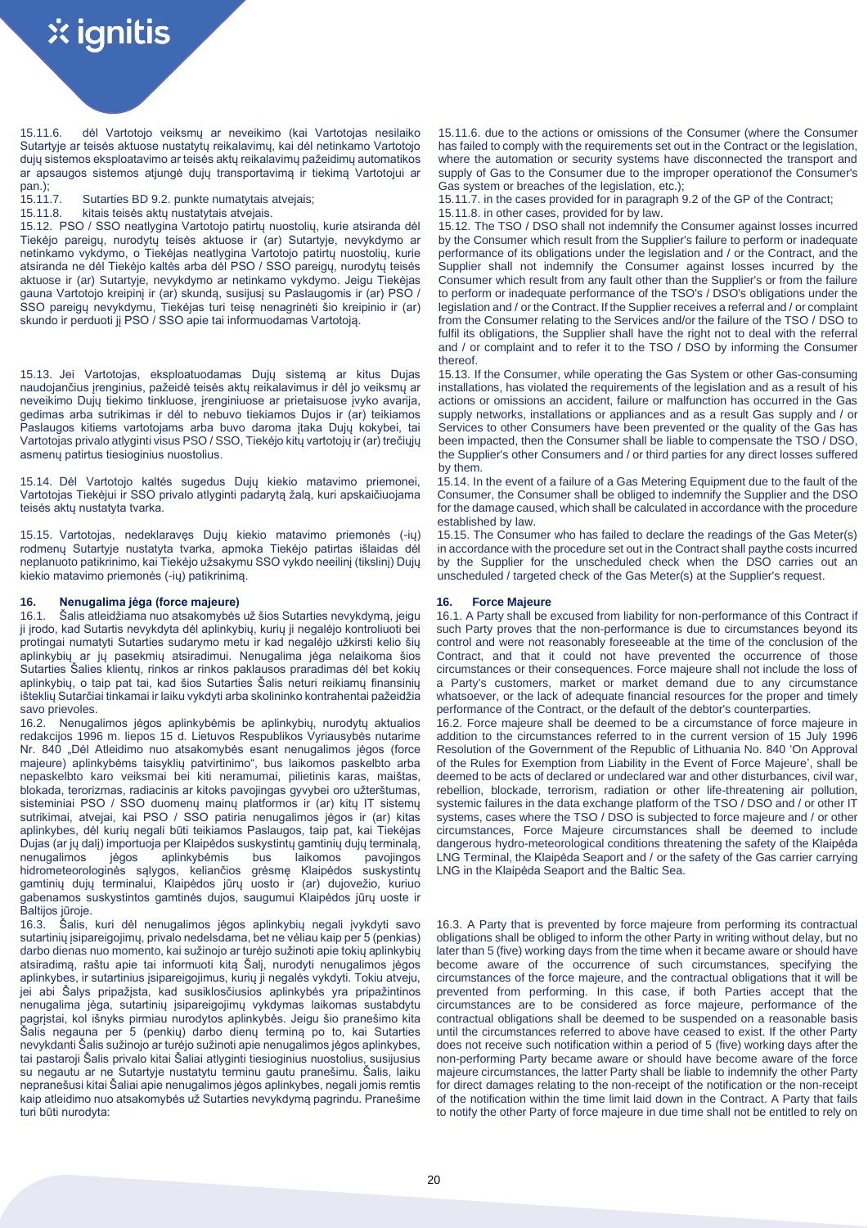15.11.6. dėl Vartotojo veiksmų ar neveikimo (kai Vartotojas nesilaiko Sutartyje ar teisės aktuose nustatytų reikalavimų, kai dėl netinkamo Vartotojo dujų sistemos eksploatavimo ar teisės aktų reikalavimų pažeidimų automatikos ar apsaugos sistemos atjungė dujų transportavimą ir tiekimą Vartotojui ar

pan.);<br>15.11.7.

15.12. PSO / SSO neatlygina Vartotojo patirtų nuostolių, kurie atsiranda dėl Tiekėjo pareigų, nurodytų teisės aktuose ir (ar) Sutartyje, nevykdymo ar netinkamo vykdymo, o Tiekėjas neatlygina Vartotojo patirtų nuostolių, kurie atsiranda ne dėl Tiekėjo kaltės arba dėl PSO / SSO pareigų, nurodytų teisės aktuose ir (ar) Sutartyje, nevykdymo ar netinkamo vykdymo. Jeigu Tiekėjas gauna Vartotojo kreipinį ir (ar) skundą, susijusį su Paslaugomis ir (ar) PSO / SSO pareigų nevykdymu, Tiekėjas turi teisę nenagrinėti šio kreipinio ir (ar) skundo ir perduoti jį PSO / SSO apie tai informuodamas Vartotoją.

15.13. Jei Vartotojas, eksploatuodamas Dujų sistemą ar kitus Dujas naudojančius įrenginius, pažeidė teisės aktų reikalavimus ir dėl jo veiksmų ar neveikimo Dujų tiekimo tinkluose, įrenginiuose ar prietaisuose įvyko avarija, gedimas arba sutrikimas ir dėl to nebuvo tiekiamos Dujos ir (ar) teikiamos Paslaugos kitiems vartotojams arba buvo daroma įtaka Dujų kokybei, tai Vartotojas privalo atlyginti visus PSO / SSO, Tiekėjo kitų vartotojų ir (ar) trečiųjų asmenų patirtus tiesioginius nuostolius.

15.14. Dėl Vartotojo kaltės sugedus Dujų kiekio matavimo priemonei, Vartotojas Tiekėjui ir SSO privalo atlyginti padarytą žalą, kuri apskaičiuojama teisės aktų nustatyta tvarka.

15.15. Vartotojas, nedeklaravęs Dujų kiekio matavimo priemonės (-ių) rodmenų Sutartyje nustatyta tvarka, apmoka Tiekėjo patirtas išlaidas dėl neplanuoto patikrinimo, kai Tiekėjo užsakymu SSO vykdo neeilinį (tikslinį) Dujų kiekio matavimo priemonės (-ių) patikrinimą.

# **16. Nenugalima jėga (force majeure) 16. Force Majeure**

16.1. Šalis atleidžiama nuo atsakomybės už šios Sutarties nevykdymą, jeigu ji įrodo, kad Sutartis nevykdyta dėl aplinkybių, kurių ji negalėjo kontroliuoti bei protingai numatyti Sutarties sudarymo metu ir kad negalėjo užkirsti kelio šių aplinkybių ar jų pasekmių atsiradimui. Nenugalima jėga nelaikoma šios Sutarties Šalies klientų, rinkos ar rinkos paklausos praradimas dėl bet kokių aplinkybių, o taip pat tai, kad šios Sutarties Šalis neturi reikiamų finansinių išteklių Sutarčiai tinkamai ir laiku vykdyti arba skolininko kontrahentai pažeidžia savo prievoles.

16.2. Nenugalimos jėgos aplinkybėmis be aplinkybių, nurodytų aktualios redakcijos 1996 m. liepos 15 d. Lietuvos Respublikos Vyriausybės nutarime Nr. 840 .Dėl Atleidimo nuo atsakomybės esant nenugalimos jėgos (force majeure) aplinkybėms taisyklių patvirtinimo", bus laikomos paskelbto arba nepaskelbto karo veiksmai bei kiti neramumai, pilietinis karas, maištas, blokada, terorizmas, radiacinis ar kitoks pavojingas gyvybei oro užterštumas, sisteminiai PSO / SSO duomenų mainų platformos ir (ar) kitų IT sistemų sutrikimai, atvejai, kai PSO / SSO patiria nenugalimos jėgos ir (ar) kitas aplinkybes, dėl kurių negali būti teikiamos Paslaugos, taip pat, kai Tiekėjas Dujas (ar jų dalį) importuoja per Klaipėdos suskystintų gamtinių dujų terminalą, nenugalimos jėgos aplinkybėmis bus laikomos pavojingos hidrometeorologinės sąlygos, keliančios grėsmę Klaipėdos suskystintų gamtinių dujų terminalui, Klaipėdos jūrų uosto ir (ar) dujovežio, kuriuo gabenamos suskystintos gamtinės dujos, saugumui Klaipėdos jūrų uoste ir Baltijos jūroje.

16.3. Šalis, kuri dėl nenugalimos jėgos aplinkybių negali įvykdyti savo sutartinių įsipareigojimų, privalo nedelsdama, bet ne vėliau kaip per 5 (penkias) darbo dienas nuo momento, kai sužinojo ar turėjo sužinoti apie tokių aplinkybių atsiradimą, raštu apie tai informuoti kitą Šalį, nurodyti nenugalimos jėgos aplinkybes, ir sutartinius įsipareigojimus, kurių ji negalės vykdyti. Tokiu atveju, jei abi Šalys pripažįsta, kad susiklosčiusios aplinkybės yra pripažintinos nenugalima jėga, sutartinių įsipareigojimų vykdymas laikomas sustabdytu pagrįstai, kol išnyks pirmiau nurodytos aplinkybės. Jeigu šio pranešimo kita Šalis negauna per 5 (penkių) darbo dienų terminą po to, kai Sutarties nevykdanti Šalis sužinojo ar turėjo sužinoti apie nenugalimos jėgos aplinkybes, tai pastaroji Šalis privalo kitai Šaliai atlyginti tiesioginius nuostolius, susijusius su negautu ar ne Sutartyje nustatytu terminu gautu pranešimu. Šalis, laiku nepranešusi kitai Šaliai apie nenugalimos jėgos aplinkybes, negali jomis remtis kaip atleidimo nuo atsakomybės už Sutarties nevykdymą pagrindu. Pranešime turi būti nurodyta:

15.11.6. due to the actions or omissions of the Consumer (where the Consumer has failed to comply with the requirements set out in the Contract or the legislation, where the automation or security systems have disconnected the transport and supply of Gas to the Consumer due to the improper operationof the Consumer's Gas system or breaches of the legislation, etc.);

15.11.7. Sutarties BD 9.2. punkte numatytais atvejais; 15.11.7. in the cases provided for in paragraph 9.2 of the GP of the Contract; 15.11.8. kitais teises aktu nustatytais atvejais. 15.11.8. in other cases, provided for

15.11.8. in other cases, provided for by law.

15.12. The TSO / DSO shall not indemnify the Consumer against losses incurred by the Consumer which result from the Supplier's failure to perform or inadequate performance of its obligations under the legislation and / or the Contract, and the Supplier shall not indemnify the Consumer against losses incurred by the Consumer which result from any fault other than the Supplier's or from the failure to perform or inadequate performance of the TSO's / DSO's obligations under the legislation and / or the Contract. If the Supplier receives a referral and / or complaint from the Consumer relating to the Services and/or the failure of the TSO / DSO to fulfil its obligations, the Supplier shall have the right not to deal with the referral and / or complaint and to refer it to the TSO / DSO by informing the Consumer thereof.

15.13. If the Consumer, while operating the Gas System or other Gas-consuming installations, has violated the requirements of the legislation and as a result of his actions or omissions an accident, failure or malfunction has occurred in the Gas supply networks, installations or appliances and as a result Gas supply and / or Services to other Consumers have been prevented or the quality of the Gas has been impacted, then the Consumer shall be liable to compensate the TSO / DSO, the Supplier's other Consumers and / or third parties for any direct losses suffered by them.

15.14. In the event of a failure of a Gas Metering Equipment due to the fault of the Consumer, the Consumer shall be obliged to indemnify the Supplier and the DSO for the damage caused, which shall be calculated in accordance with the procedure established by law.

15.15. The Consumer who has failed to declare the readings of the Gas Meter(s) in accordance with the procedure set out in the Contract shall paythe costs incurred by the Supplier for the unscheduled check when the DSO carries out an unscheduled / targeted check of the Gas Meter(s) at the Supplier's request.

16.1. A Party shall be excused from liability for non-performance of this Contract if such Party proves that the non-performance is due to circumstances beyond its control and were not reasonably foreseeable at the time of the conclusion of the Contract, and that it could not have prevented the occurrence of those circumstances or their consequences. Force majeure shall not include the loss of a Party's customers, market or market demand due to any circumstance whatsoever, or the lack of adequate financial resources for the proper and timely performance of the Contract, or the default of the debtor's counterparties.

16.2. Force majeure shall be deemed to be a circumstance of force majeure in addition to the circumstances referred to in the current version of 15 July 1996 Resolution of the Government of the Republic of Lithuania No. 840 'On Approval of the Rules for Exemption from Liability in the Event of Force Majeure', shall be deemed to be acts of declared or undeclared war and other disturbances, civil war, rebellion, blockade, terrorism, radiation or other life-threatening air pollution, systemic failures in the data exchange platform of the TSO / DSO and / or other IT systems, cases where the TSO / DSO is subjected to force majeure and / or other circumstances, Force Majeure circumstances shall be deemed to include dangerous hydro-meteorological conditions threatening the safety of the Klaipėda LNG Terminal, the Klaipėda Seaport and / or the safety of the Gas carrier carrying LNG in the Klaipėda Seaport and the Baltic Sea.

16.3. A Party that is prevented by force majeure from performing its contractual obligations shall be obliged to inform the other Party in writing without delay, but no later than 5 (five) working days from the time when it became aware or should have become aware of the occurrence of such circumstances, specifying the circumstances of the force majeure, and the contractual obligations that it will be prevented from performing. In this case, if both Parties accept that the circumstances are to be considered as force majeure, performance of the contractual obligations shall be deemed to be suspended on a reasonable basis until the circumstances referred to above have ceased to exist. If the other Party does not receive such notification within a period of 5 (five) working days after the non-performing Party became aware or should have become aware of the force majeure circumstances, the latter Party shall be liable to indemnify the other Party for direct damages relating to the non-receipt of the notification or the non-receipt of the notification within the time limit laid down in the Contract. A Party that fails to notify the other Party of force majeure in due time shall not be entitled to rely on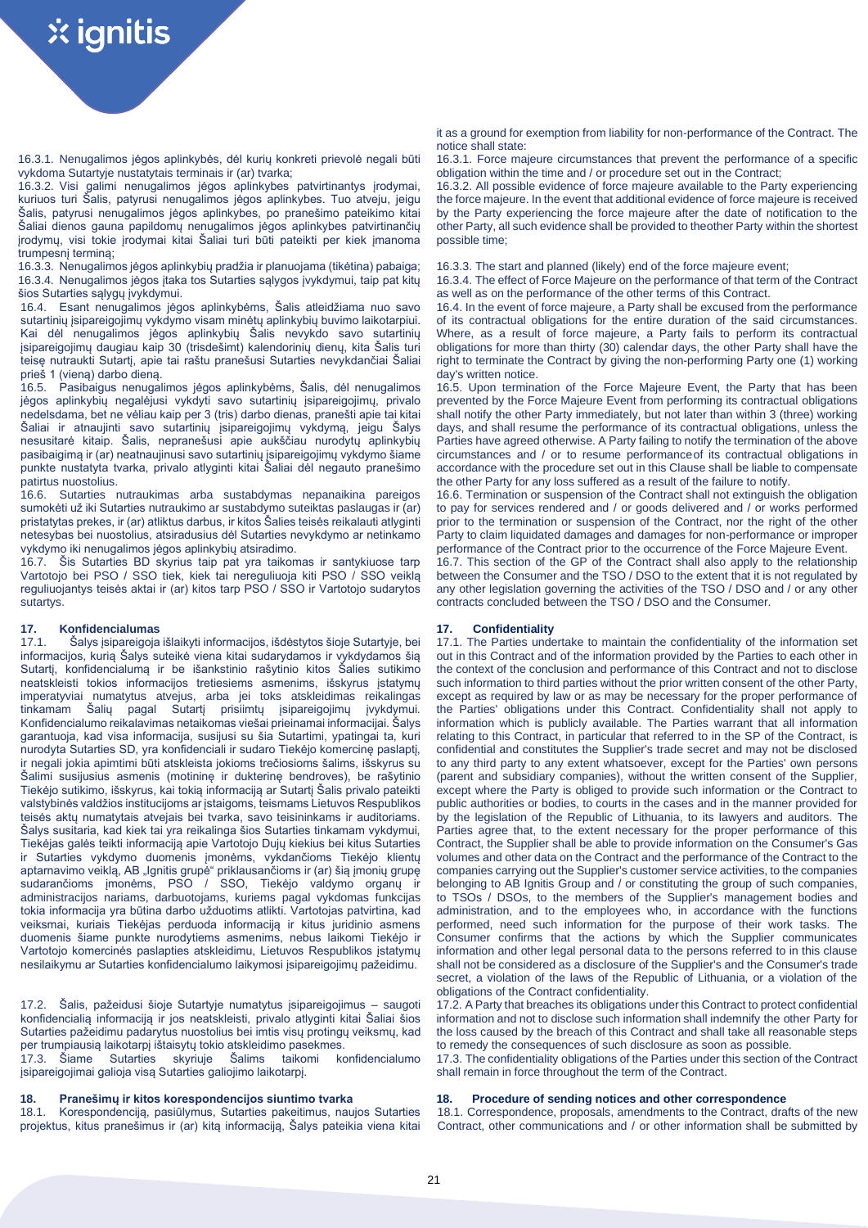16.3.1. Nenugalimos jėgos aplinkybės, dėl kurių konkreti prievolė negali būti vykdoma Sutartyje nustatytais terminais ir (ar) tvarka;

16.3.2. Visi galimi nenugalimos jėgos aplinkybes patvirtinantys įrodymai, kuriuos turi Šalis, patyrusi nenugalimos jėgos aplinkybes. Tuo atveju, jeigu Šalis, patyrusi nenugalimos jėgos aplinkybes, po pranešimo pateikimo kitai Šaliai dienos gauna papildomų nenugalimos jėgos aplinkybes patvirtinančių įrodymų, visi tokie įrodymai kitai Šaliai turi būti pateikti per kiek įmanoma trumpesnį terminą;

16.3.3. Nenugalimos jėgos aplinkybių pradžia ir planuojama (tikėtina) pabaiga; 16.3.3. The start and planned (likely) end of the force majeure event; 16.3.4. Nenugalimos jėgos įtaka tos Sutarties sąlygos įvykdymui, taip pat kitų šios Sutarties sąlygų įvykdymui.

16.4. Esant nenugalimos jėgos aplinkybėms, Šalis atleidžiama nuo savo sutartinių įsipareigojimų vykdymo visam minėtų aplinkybių buvimo laikotarpiui. Kai dėl nenugalimos jėgos aplinkybių Šalis nevykdo savo sutartinių įsipareigojimų daugiau kaip 30 (trisdešimt) kalendorinių dienų, kita Šalis turi teisę nutraukti Sutartį, apie tai raštu pranešusi Sutarties nevykdančiai Šaliai prieš 1 (vieną) darbo dieną.

16.5. Pasibaigus nenugalimos jėgos aplinkybėms, Šalis, dėl nenugalimos jėgos aplinkybių negalėjusi vykdyti savo sutartinių įsipareigojimų, privalo nedelsdama, bet ne vėliau kaip per 3 (tris) darbo dienas, pranešti apie tai kitai Šaliai ir atnaujinti savo sutartinių įsipareigojimų vykdymą, jeigu Šalys nesusitarė kitaip. Šalis, nepranešusi apie aukščiau nurodytų aplinkybių pasibaigimą ir (ar) neatnaujinusi savo sutartinių įsipareigojimų vykdymo šiame punkte nustatyta tvarka, privalo atlyginti kitai Šaliai dėl negauto pranešimo patirtus nuostolius.

16.6. Sutarties nutraukimas arba sustabdymas nepanaikina pareigos sumokėti už iki Sutarties nutraukimo ar sustabdymo suteiktas paslaugas ir (ar) pristatytas prekes, ir (ar) atliktus darbus, ir kitos Šalies teisės reikalauti atlyginti netesybas bei nuostolius, atsiradusius dėl Sutarties nevykdymo ar netinkamo vykdymo iki nenugalimos jėgos aplinkybių atsiradimo.

16.7. Šis Sutarties BD skyrius taip pat yra taikomas ir santykiuose tarp Vartotojo bei PSO / SSO tiek, kiek tai nereguliuoja kiti PSO / SSO veiklą reguliuojantys teisės aktai ir (ar) kitos tarp PSO / SSO ir Vartotojo sudarytos sutartys.

**17. Konfidencialumas 17. Confidentiality** Šalys įsipareigoja išlaikyti informacijos, išdėstytos šioje Sutartyje, bei informacijos, kurią Šalys suteikė viena kitai sudarydamos ir vykdydamos šią Sutartį, konfidencialumą ir be išankstinio rašytinio kitos Šalies sutikimo neatskleisti tokios informacijos tretiesiems asmenims, išskyrus įstatymų imperatyviai numatytus atvejus, arba jei toks atskleidimas reikalingas tinkamam Šalių pagal Sutartį prisiimtų įsipareigojimų įvykdymui. Konfidencialumo reikalavimas netaikomas viešai prieinamai informacijai. Šalys garantuoja, kad visa informacija, susijusi su šia Sutartimi, ypatingai ta, kuri nurodyta Sutarties SD, yra konfidenciali ir sudaro Tiekėjo komercinę paslaptį, ir negali jokia apimtimi būti atskleista jokioms trečiosioms šalims, išskyrus su Šalimi susijusius asmenis (motininę ir dukterinę bendroves), be rašytinio Tiekėjo sutikimo, išskyrus, kai tokią informaciją ar Sutartį Šalis privalo pateikti valstybinės valdžios institucijoms ar įstaigoms, teismams Lietuvos Respublikos teisės aktų numatytais atvejais bei tvarka, savo teisininkams ir auditoriams. Šalys susitaria, kad kiek tai yra reikalinga šios Sutarties tinkamam vykdymui, Tiekėjas galės teikti informaciją apie Vartotojo Dujų kiekius bei kitus Sutarties ir Sutarties vykdymo duomenis įmonėms, vykdančioms Tiekėjo klientų aptarnavimo veiklą, AB "Ignitis grupė" priklausančioms ir (ar) šią įmonių grupę sudarančioms įmonėms, PSO / SSO, Tiekėjo valdymo organų ir administracijos nariams, darbuotojams, kuriems pagal vykdomas funkcijas tokia informacija yra būtina darbo užduotims atlikti. Vartotojas patvirtina, kad veiksmai, kuriais Tiekėjas perduoda informaciją ir kitus juridinio asmens duomenis šiame punkte nurodytiems asmenims, nebus laikomi Tiekėjo ir Vartotojo komercinės paslapties atskleidimu, Lietuvos Respublikos įstatymų nesilaikymu ar Sutarties konfidencialumo laikymosi įsipareigojimų pažeidimu.

17.2. Šalis, pažeidusi šioje Sutartyje numatytus įsipareigojimus – saugoti konfidencialią informaciją ir jos neatskleisti, privalo atlyginti kitai Šaliai šios Sutarties pažeidimu padarytus nuostolius bei imtis visų protingų veiksmų, kad per trumpiausią laikotarpį ištaisytų tokio atskleidimo pasekmes.

17.3. Šiame Sutarties skyriuje Šalims taikomi konfidencialumo įsipareigojimai galioja visą Sutarties galiojimo laikotarpį.

18.1. Korespondenciją, pasiūlymus, Sutarties pakeitimus, naujos Sutarties projektus, kitus pranešimus ir (ar) kitą informaciją, Šalys pateikia viena kitai it as a ground for exemption from liability for non-performance of the Contract. The notice shall state:

16.3.1. Force majeure circumstances that prevent the performance of a specific obligation within the time and / or procedure set out in the Contract;

16.3.2. All possible evidence of force majeure available to the Party experiencing the force majeure. In the event that additional evidence of force majeure is received by the Party experiencing the force majeure after the date of notification to the other Party, all such evidence shall be provided to theother Party within the shortest possible time;

16.3.4. The effect of Force Majeure on the performance of that term of the Contract as well as on the performance of the other terms of this Contract.

16.4. In the event of force majeure, a Party shall be excused from the performance of its contractual obligations for the entire duration of the said circumstances. Where, as a result of force majeure, a Party fails to perform its contractual obligations for more than thirty (30) calendar days, the other Party shall have the right to terminate the Contract by giving the non-performing Party one (1) working day's written notice.

16.5. Upon termination of the Force Majeure Event, the Party that has been prevented by the Force Majeure Event from performing its contractual obligations shall notify the other Party immediately, but not later than within 3 (three) working days, and shall resume the performance of its contractual obligations, unless the Parties have agreed otherwise. A Party failing to notify the termination of the above circumstances and / or to resume performanceof its contractual obligations in accordance with the procedure set out in this Clause shall be liable to compensate the other Party for any loss suffered as a result of the failure to notify.

16.6. Termination or suspension of the Contract shall not extinguish the obligation to pay for services rendered and / or goods delivered and / or works performed prior to the termination or suspension of the Contract, nor the right of the other Party to claim liquidated damages and damages for non-performance or improper performance of the Contract prior to the occurrence of the Force Majeure Event.

16.7. This section of the GP of the Contract shall also apply to the relationship between the Consumer and the TSO / DSO to the extent that it is not regulated by any other legislation governing the activities of the TSO / DSO and / or any other contracts concluded between the TSO / DSO and the Consumer.

17.1. The Parties undertake to maintain the confidentiality of the information set out in this Contract and of the information provided by the Parties to each other in the context of the conclusion and performance of this Contract and not to disclose such information to third parties without the prior written consent of the other Party, except as required by law or as may be necessary for the proper performance of the Parties' obligations under this Contract. Confidentiality shall not apply to information which is publicly available. The Parties warrant that all information relating to this Contract, in particular that referred to in the SP of the Contract, is confidential and constitutes the Supplier's trade secret and may not be disclosed to any third party to any extent whatsoever, except for the Parties' own persons (parent and subsidiary companies), without the written consent of the Supplier, except where the Party is obliged to provide such information or the Contract to public authorities or bodies, to courts in the cases and in the manner provided for by the legislation of the Republic of Lithuania, to its lawyers and auditors. The Parties agree that, to the extent necessary for the proper performance of this Contract, the Supplier shall be able to provide information on the Consumer's Gas volumes and other data on the Contract and the performance of the Contract to the companies carrying out the Supplier's customer service activities, to the companies belonging to AB Ignitis Group and / or constituting the group of such companies, to TSOs / DSOs, to the members of the Supplier's management bodies and administration, and to the employees who, in accordance with the functions performed, need such information for the purpose of their work tasks. The Consumer confirms that the actions by which the Supplier communicates information and other legal personal data to the persons referred to in this clause shall not be considered as a disclosure of the Supplier's and the Consumer's trade secret, a violation of the laws of the Republic of Lithuania, or a violation of the obligations of the Contract confidentiality.

17.2. A Party that breaches its obligations under this Contract to protect confidential information and not to disclose such information shall indemnify the other Party for the loss caused by the breach of this Contract and shall take all reasonable steps to remedy the consequences of such disclosure as soon as possible.

17.3. The confidentiality obligations of the Parties under this section of the Contract shall remain in force throughout the term of the Contract.

# **18. Pranešimų ir kitos korespondencijos siuntimo tvarka 18. Procedure of sending notices and other correspondence**

18.1. Correspondence, proposals, amendments to the Contract, drafts of the new Contract, other communications and / or other information shall be submitted by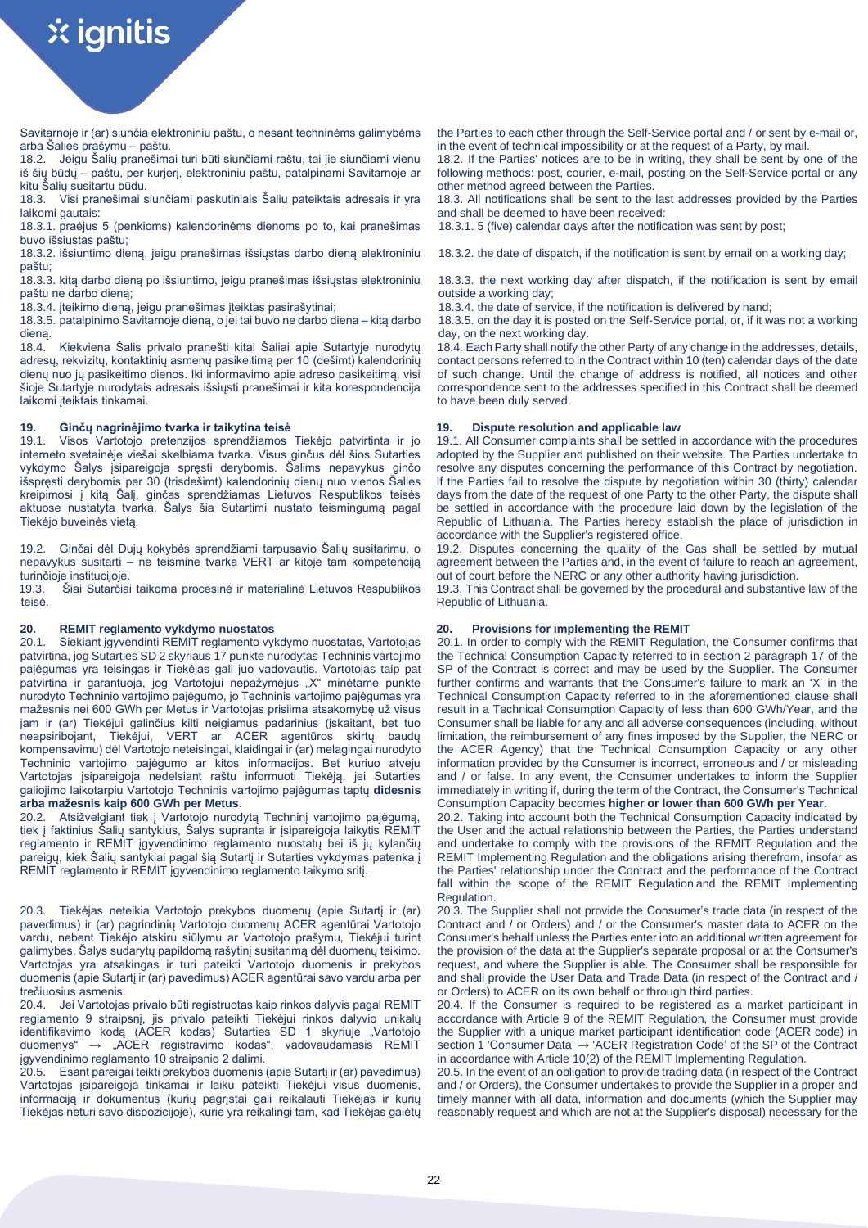Savitarnoje ir (ar) siunčia elektroniniu paštu, o nesant techninėms galimybėms arba Šalies prašymu – paštu.

18.2. Jeigu Šalių pranešimai turi būti siunčiami raštu, tai jie siunčiami vienu iš šių būdų – paštu, per kurjerį, elektroniniu paštu, patalpinami Savitarnoje ar kitu Šalių susitartu būdu.

18.3. Visi pranešimai siunčiami paskutiniais Šalių pateiktais adresais ir yra laikomi gautais:

18.3.1. praėjus 5 (penkioms) kalendorinėms dienoms po to, kai pranešimas buvo išsiųstas paštu;

18.3.2. išsiuntimo dieną, jeigu pranešimas išsiųstas darbo dieną elektroniniu paštu;

18.3.3. kitą darbo dieną po išsiuntimo, jeigu pranešimas išsiųstas elektroniniu paštu ne darbo dieną;

18.3.5. patalpinimo Savitarnoje dieną, o jei tai buvo ne darbo diena – kitą darbo

dieną.<br>18.4. 18.4. Kiekviena Šalis privalo pranešti kitai Šaliai apie Sutartyje nurodytų adresų, rekvizitų, kontaktinių asmenų pasikeitimą per 10 (dešimt) kalendorinių dienų nuo jų pasikeitimo dienos. Iki informavimo apie adreso pasikeitimą, visi šioje Sutartyje nurodytais adresais išsiųsti pranešimai ir kita korespondencija laikomi įteiktais tinkamai.

**19. Ginčų nagrinėjimo tvarka ir taikytina teisė 19. Dispute resolution and applicable law** 19.1. Visos Vartotojo pretenzijos sprendžiamos Tiekėjo patvirtinta ir jo interneto svetainėje viešai skelbiama tvarka. Visus ginčus dėl šios Sutarties vykdymo Šalys įsipareigoja spręsti derybomis. Šalims nepavykus ginčo išspręsti derybomis per 30 (trisdešimt) kalendorinių dienų nuo vienos Šalies kreipimosi į kitą Šalį, ginčas sprendžiamas Lietuvos Respublikos teisės aktuose nustatyta tvarka. Šalys šia Sutartimi nustato teismingumą pagal Tiekėjo buveinės vietą.

19.2. Ginčai dėl Dujų kokybės sprendžiami tarpusavio Šalių susitarimu, o nepavykus susitarti – ne teismine tvarka VERT ar kitoje tam kompetenciją turinčioje institucijoje.<br>19.3. Šiai Sutarčia

Šiai Sutarčiai taikoma procesinė ir materialinė Lietuvos Respublikos teisė.

# **20. REMIT reglamento vykdymo nuostatos 20. Provisions for implementing the REMIT**

20.1. Siekiant įgyvendinti REMIT reglamento vykdymo nuostatas, Vartotojas patvirtina, jog Sutarties SD 2 skyriaus 17 punkte nurodytas Techninis vartojimo pajėgumas yra teisingas ir Tiekėjas gali juo vadovautis. Vartotojas taip pat patvirtina ir garantuoja, jog Vartotojui nepažymėjus "X" minėtame punkte nurodyto Techninio vartojimo pajėgumo, jo Techninis vartojimo pajėgumas yra mažesnis nei 600 GWh per Metus ir Vartotojas prisiima atsakomybę už visus jam ir (ar) Tiekėjui galinčius kilti neigiamus padarinius (įskaitant, bet tuo neapsiribojant, Tiekėjui, VERT ar ACER agentūros skirtų baudų kompensavimu) dėl Vartotojo neteisingai, klaidingai ir (ar) melagingai nurodyto Techninio vartojimo pajėgumo ar kitos informacijos. Bet kuriuo atveju Vartotojas įsipareigoja nedelsiant raštu informuoti Tiekėją, jei Sutarties galiojimo laikotarpiu Vartotojo Techninis vartojimo pajėgumas taptų **didesnis arba mažesnis kaip 600 GWh per Metus**.

20.2. Atsižvelgiant tiek į Vartotojo nurodytą Techninį vartojimo pajėgumą, tiek į faktinius Šalių santykius, Šalys supranta ir įsipareigoja laikytis REMIT reglamento ir REMIT įgyvendinimo reglamento nuostatų bei iš jų kylančių pareigų, kiek Šalių santykiai pagal šią Sutartį ir Sutarties vykdymas patenka į REMIT reglamento ir REMIT įgyvendinimo reglamento taikymo sritį.

20.3. Tiekėjas neteikia Vartotojo prekybos duomenų (apie Sutartį ir (ar) pavedimus) ir (ar) pagrindinių Vartotojo duomenų ACER agentūrai Vartotojo vardu, nebent Tiekėjo atskiru siūlymu ar Vartotojo prašymu, Tiekėjui turint galimybes, Šalys sudarytų papildomą rašytinį susitarimą dėl duomenų teikimo. Vartotojas yra atsakingas ir turi pateikti Vartotojo duomenis ir prekybos duomenis (apie Sutartį ir (ar) pavedimus) ACER agentūrai savo vardu arba per trečiuosius asmenis.

20.4. Jei Vartotojas privalo būti registruotas kaip rinkos dalyvis pagal REMIT reglamento 9 straipsnį, jis privalo pateikti Tiekėjui rinkos dalyvio unikalų identifikavimo koda (ACER kodas) Sutarties SD 1 skyriuje "Vartotojo duomenys" → "ACER registravimo kodas", vadovaudamasis REMIT įgyvendinimo reglamento 10 straipsnio 2 dalimi.

20.5. Esant pareigai teikti prekybos duomenis (apie Sutartį ir (ar) pavedimus) Vartotojas įsipareigoja tinkamai ir laiku pateikti Tiekėjui visus duomenis, informaciją ir dokumentus (kurių pagrįstai gali reikalauti Tiekėjas ir kurių Tiekėjas neturi savo dispozicijoje), kurie yra reikalingi tam, kad Tiekėjas galėtų

the Parties to each other through the Self-Service portal and / or sent by e-mail or, in the event of technical impossibility or at the request of a Party, by mail.

18.2. If the Parties' notices are to be in writing, they shall be sent by one of the following methods: post, courier, e-mail, posting on the Self-Service portal or any other method agreed between the Parties.

18.3. All notifications shall be sent to the last addresses provided by the Parties and shall be deemed to have been received:

18.3.1. 5 (five) calendar days after the notification was sent by post;

18.3.2. the date of dispatch, if the notification is sent by email on a working day;

18.3.3. the next working day after dispatch, if the notification is sent by email outside a working day;

18.3.4. įteikimo dieną, jeigu pranešimas įteiktas pasirašytinai; 18.3.4. the date of service, if the notification is delivered by hand;

18.3.5. on the day it is posted on the Self-Service portal, or, if it was not a working day, on the next working day.

18.4. Each Party shall notify the other Party of any change in the addresses, details, contact persons referred to in the Contract within 10 (ten) calendar days of the date of such change. Until the change of address is notified, all notices and other correspondence sent to the addresses specified in this Contract shall be deemed to have been duly served.

19.1. All Consumer complaints shall be settled in accordance with the procedures adopted by the Supplier and published on their website. The Parties undertake to resolve any disputes concerning the performance of this Contract by negotiation. If the Parties fail to resolve the dispute by negotiation within 30 (thirty) calendar days from the date of the request of one Party to the other Party, the dispute shall be settled in accordance with the procedure laid down by the legislation of the Republic of Lithuania. The Parties hereby establish the place of jurisdiction in accordance with the Supplier's registered office.

19.2. Disputes concerning the quality of the Gas shall be settled by mutual agreement between the Parties and, in the event of failure to reach an agreement, out of court before the NERC or any other authority having jurisdiction.

19.3. This Contract shall be governed by the procedural and substantive law of the Republic of Lithuania.

20.1. In order to comply with the REMIT Regulation, the Consumer confirms that the Technical Consumption Capacity referred to in section 2 paragraph 17 of the SP of the Contract is correct and may be used by the Supplier. The Consumer further confirms and warrants that the Consumer's failure to mark an 'X' in the Technical Consumption Capacity referred to in the aforementioned clause shall result in a Technical Consumption Capacity of less than 600 GWh/Year, and the Consumer shall be liable for any and all adverse consequences (including, without limitation, the reimbursement of any fines imposed by the Supplier, the NERC or the ACER Agency) that the Technical Consumption Capacity or any other information provided by the Consumer is incorrect, erroneous and / or misleading and / or false. In any event, the Consumer undertakes to inform the Supplier immediately in writing if, during the term of the Contract, the Consumer's Technical Consumption Capacity becomes **higher or lower than 600 GWh per Year.**

20.2. Taking into account both the Technical Consumption Capacity indicated by the User and the actual relationship between the Parties, the Parties understand and undertake to comply with the provisions of the REMIT Regulation and the REMIT Implementing Regulation and the obligations arising therefrom, insofar as the Parties' relationship under the Contract and the performance of the Contract fall within the scope of the REMIT Regulation and the REMIT Implementing Regulation.

20.3. The Supplier shall not provide the Consumer's trade data (in respect of the Contract and / or Orders) and / or the Consumer's master data to ACER on the Consumer's behalf unless the Parties enter into an additional written agreement for the provision of the data at the Supplier's separate proposal or at the Consumer's request, and where the Supplier is able. The Consumer shall be responsible for and shall provide the User Data and Trade Data (in respect of the Contract and / or Orders) to ACER on its own behalf or through third parties.

20.4. If the Consumer is required to be registered as a market participant in accordance with Article 9 of the REMIT Regulation, the Consumer must provide the Supplier with a unique market participant identification code (ACER code) in section 1 'Consumer Data' → 'ACER Registration Code' of the SP of the Contract in accordance with Article 10(2) of the REMIT Implementing Regulation.

20.5. In the event of an obligation to provide trading data (in respect of the Contract and / or Orders), the Consumer undertakes to provide the Supplier in a proper and timely manner with all data, information and documents (which the Supplier may reasonably request and which are not at the Supplier's disposal) necessary for the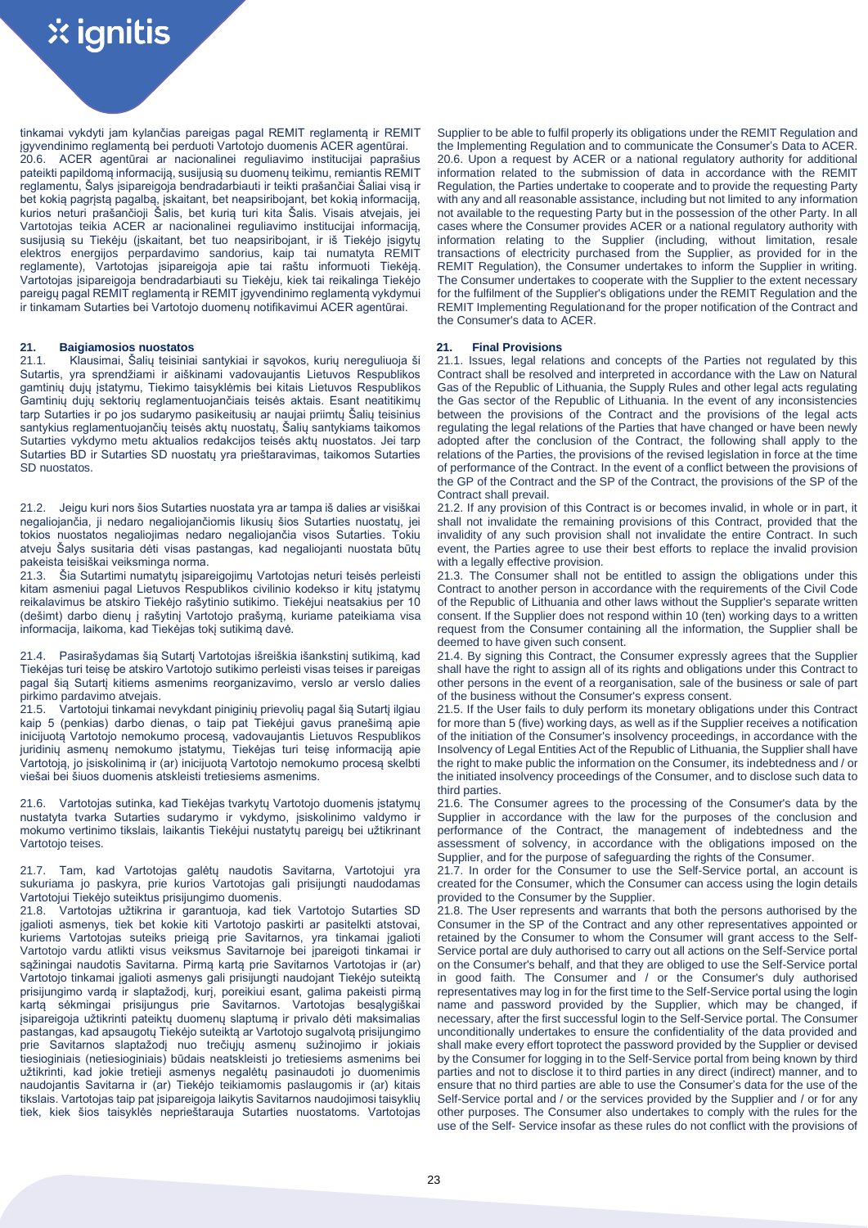tinkamai vykdyti jam kylančias pareigas pagal REMIT reglamentą ir REMIT įgyvendinimo reglamentą bei perduoti Vartotojo duomenis ACER agentūrai. 20.6. ACER agentūrai ar nacionalinei reguliavimo institucijai paprašius pateikti papildomą informaciją, susijusią su duomenų teikimu, remiantis REMIT reglamentu, Šalys įsipareigoja bendradarbiauti ir teikti prašančiai Šaliai visą ir bet kokią pagrįstą pagalbą, įskaitant, bet neapsiribojant, bet kokią informaciją, kurios neturi prašančioji Šalis, bet kurią turi kita Šalis. Visais atvejais, jei Vartotojas teikia ACER ar nacionalinei reguliavimo institucijai informaciją, susijusią su Tiekėju (įskaitant, bet tuo neapsiribojant, ir iš Tiekėjo įsigytų elektros energijos perpardavimo sandorius, kaip tai numatyta REMIT reglamente), Vartotojas įsipareigoja apie tai raštu informuoti Tiekėją. Vartotojas įsipareigoja bendradarbiauti su Tiekėju, kiek tai reikalinga Tiekėjo pareigų pagal REMIT reglamentą ir REMIT įgyvendinimo reglamentą vykdymui ir tinkamam Sutarties bei Vartotojo duomenų notifikavimui ACER agentūrai.

**21. Baigiamosios nuostatos 21. Final Provisions** Klausimai, Šalių teisiniai santykiai ir sąvokos, kurių nereguliuoja ši Sutartis, yra sprendžiami ir aiškinami vadovaujantis Lietuvos Respublikos gamtinių dujų įstatymu, Tiekimo taisyklėmis bei kitais Lietuvos Respublikos Gamtinių dujų sektorių reglamentuojančiais teisės aktais. Esant neatitikimų tarp Sutarties ir po jos sudarymo pasikeitusių ar naujai priimtų Šalių teisinius santykius reglamentuojančių teisės aktų nuostatų, Šalių santykiams taikomos Sutarties vykdymo metu aktualios redakcijos teisės aktų nuostatos. Jei tarp Sutarties BD ir Sutarties SD nuostatų yra prieštaravimas, taikomos Sutarties SD nuostatos.

21.2. Jeigu kuri nors šios Sutarties nuostata yra ar tampa iš dalies ar visiškai negaliojančia, ji nedaro negaliojančiomis likusių šios Sutarties nuostatų, jei tokios nuostatos negaliojimas nedaro negaliojančia visos Sutarties. Tokiu atveju Šalys susitaria dėti visas pastangas, kad negaliojanti nuostata būtų pakeista teisiškai veiksminga norma.

21.3. Šia Sutartimi numatytų įsipareigojimų Vartotojas neturi teisės perleisti kitam asmeniui pagal Lietuvos Respublikos civilinio kodekso ir kitų įstatymų reikalavimus be atskiro Tiekėjo rašytinio sutikimo. Tiekėjui neatsakius per 10 (dešimt) darbo dienų į rašytinį Vartotojo prašymą, kuriame pateikiama visa informacija, laikoma, kad Tiekėjas tokį sutikimą davė.

21.4. Pasirašydamas šią Sutartį Vartotojas išreiškia išankstinį sutikimą, kad Tiekėjas turi teisę be atskiro Vartotojo sutikimo perleisti visas teises ir pareigas pagal šią Sutartį kitiems asmenims reorganizavimo, verslo ar verslo dalies pirkimo pardavimo atvejais.

21.5. Vartotojui tinkamai nevykdant piniginių prievolių pagal šią Sutartį ilgiau kaip 5 (penkias) darbo dienas, o taip pat Tiekėjui gavus pranešimą apie inicijuotą Vartotojo nemokumo procesą, vadovaujantis Lietuvos Respublikos juridinių asmenų nemokumo įstatymu, Tiekėjas turi teisę informaciją apie Vartotoją, jo įsiskolinimą ir (ar) inicijuotą Vartotojo nemokumo procesą skelbti viešai bei šiuos duomenis atskleisti tretiesiems asmenims.

21.6. Vartotojas sutinka, kad Tiekėjas tvarkytų Vartotojo duomenis įstatymų nustatyta tvarka Sutarties sudarymo ir vykdymo, įsiskolinimo valdymo ir mokumo vertinimo tikslais, laikantis Tiekėjui nustatytų pareigų bei užtikrinant Vartotojo teises.

21.7. Tam, kad Vartotojas galėtų naudotis Savitarna, Vartotojui yra sukuriama jo paskyra, prie kurios Vartotojas gali prisijungti naudodamas Vartotojui Tiekėjo suteiktus prisijungimo duomenis.

21.8. Vartotojas užtikrina ir garantuoja, kad tiek Vartotojo Sutarties SD įgalioti asmenys, tiek bet kokie kiti Vartotojo paskirti ar pasitelkti atstovai, kuriems Vartotojas suteiks prieigą prie Savitarnos, yra tinkamai įgalioti Vartotojo vardu atlikti visus veiksmus Savitarnoje bei įpareigoti tinkamai ir sąžiningai naudotis Savitarna. Pirmą kartą prie Savitarnos Vartotojas ir (ar) Vartotojo tinkamai įgalioti asmenys gali prisijungti naudojant Tiekėjo suteiktą prisijungimo vardą ir slaptažodį, kurį, poreikiui esant, galima pakeisti pirmą kartą sėkmingai prisijungus prie Savitarnos. Vartotojas besąlygiškai įsipareigoja užtikrinti pateiktų duomenų slaptumą ir privalo dėti maksimalias pastangas, kad apsaugotų Tiekėjo suteiktą ar Vartotojo sugalvotą prisijungimo prie Savitarnos slaptažodį nuo trečiųjų asmenų sužinojimo ir jokiais tiesioginiais (netiesioginiais) būdais neatskleisti jo tretiesiems asmenims bei užtikrinti, kad jokie tretieji asmenys negalėtų pasinaudoti jo duomenimis naudojantis Savitarna ir (ar) Tiekėjo teikiamomis paslaugomis ir (ar) kitais tikslais. Vartotojas taip pat įsipareigoja laikytis Savitarnos naudojimosi taisyklių tiek, kiek šios taisyklės neprieštarauja Sutarties nuostatoms. Vartotojas

Supplier to be able to fulfil properly its obligations under the REMIT Regulation and the Implementing Regulation and to communicate the Consumer's Data to ACER. 20.6. Upon a request by ACER or a national regulatory authority for additional information related to the submission of data in accordance with the REMIT Regulation, the Parties undertake to cooperate and to provide the requesting Party with any and all reasonable assistance, including but not limited to any information not available to the requesting Party but in the possession of the other Party. In all cases where the Consumer provides ACER or a national regulatory authority with information relating to the Supplier (including, without limitation, resale transactions of electricity purchased from the Supplier, as provided for in the REMIT Regulation), the Consumer undertakes to inform the Supplier in writing. The Consumer undertakes to cooperate with the Supplier to the extent necessary for the fulfilment of the Supplier's obligations under the REMIT Regulation and the REMIT Implementing Regulation and for the proper notification of the Contract and the Consumer's data to ACER.

21.1. Issues, legal relations and concepts of the Parties not regulated by this Contract shall be resolved and interpreted in accordance with the Law on Natural Gas of the Republic of Lithuania, the Supply Rules and other legal acts regulating the Gas sector of the Republic of Lithuania. In the event of any inconsistencies between the provisions of the Contract and the provisions of the legal acts regulating the legal relations of the Parties that have changed or have been newly adopted after the conclusion of the Contract, the following shall apply to the relations of the Parties, the provisions of the revised legislation in force at the time of performance of the Contract. In the event of a conflict between the provisions of the GP of the Contract and the SP of the Contract, the provisions of the SP of the Contract shall prevail.

21.2. If any provision of this Contract is or becomes invalid, in whole or in part, it shall not invalidate the remaining provisions of this Contract, provided that the invalidity of any such provision shall not invalidate the entire Contract. In such event, the Parties agree to use their best efforts to replace the invalid provision with a legally effective provision.

21.3. The Consumer shall not be entitled to assign the obligations under this Contract to another person in accordance with the requirements of the Civil Code of the Republic of Lithuania and other laws without the Supplier's separate written consent. If the Supplier does not respond within 10 (ten) working days to a written request from the Consumer containing all the information, the Supplier shall be deemed to have given such consent.

21.4. By signing this Contract, the Consumer expressly agrees that the Supplier shall have the right to assign all of its rights and obligations under this Contract to other persons in the event of a reorganisation, sale of the business or sale of part of the business without the Consumer's express consent.

21.5. If the User fails to duly perform its monetary obligations under this Contract for more than 5 (five) working days, as well as if the Supplier receives a notification of the initiation of the Consumer's insolvency proceedings, in accordance with the Insolvency of Legal Entities Act of the Republic of Lithuania, the Supplier shall have the right to make public the information on the Consumer, its indebtedness and / or the initiated insolvency proceedings of the Consumer, and to disclose such data to third parties.

21.6. The Consumer agrees to the processing of the Consumer's data by the Supplier in accordance with the law for the purposes of the conclusion and performance of the Contract, the management of indebtedness and the assessment of solvency, in accordance with the obligations imposed on the Supplier, and for the purpose of safeguarding the rights of the Consumer.

21.7. In order for the Consumer to use the Self-Service portal, an account is created for the Consumer, which the Consumer can access using the login details provided to the Consumer by the Supplier.

21.8. The User represents and warrants that both the persons authorised by the Consumer in the SP of the Contract and any other representatives appointed or retained by the Consumer to whom the Consumer will grant access to the Self-Service portal are duly authorised to carry out all actions on the Self-Service portal on the Consumer's behalf, and that they are obliged to use the Self-Service portal in good faith. The Consumer and / or the Consumer's duly authorised representatives may log in for the first time to the Self-Service portal using the login name and password provided by the Supplier, which may be changed, if necessary, after the first successful login to the Self-Service portal. The Consumer unconditionally undertakes to ensure the confidentiality of the data provided and shall make every effort toprotect the password provided by the Supplier or devised by the Consumer for logging in to the Self-Service portal from being known by third parties and not to disclose it to third parties in any direct (indirect) manner, and to ensure that no third parties are able to use the Consumer's data for the use of the Self-Service portal and / or the services provided by the Supplier and / or for any other purposes. The Consumer also undertakes to comply with the rules for the use of the Self- Service insofar as these rules do not conflict with the provisions of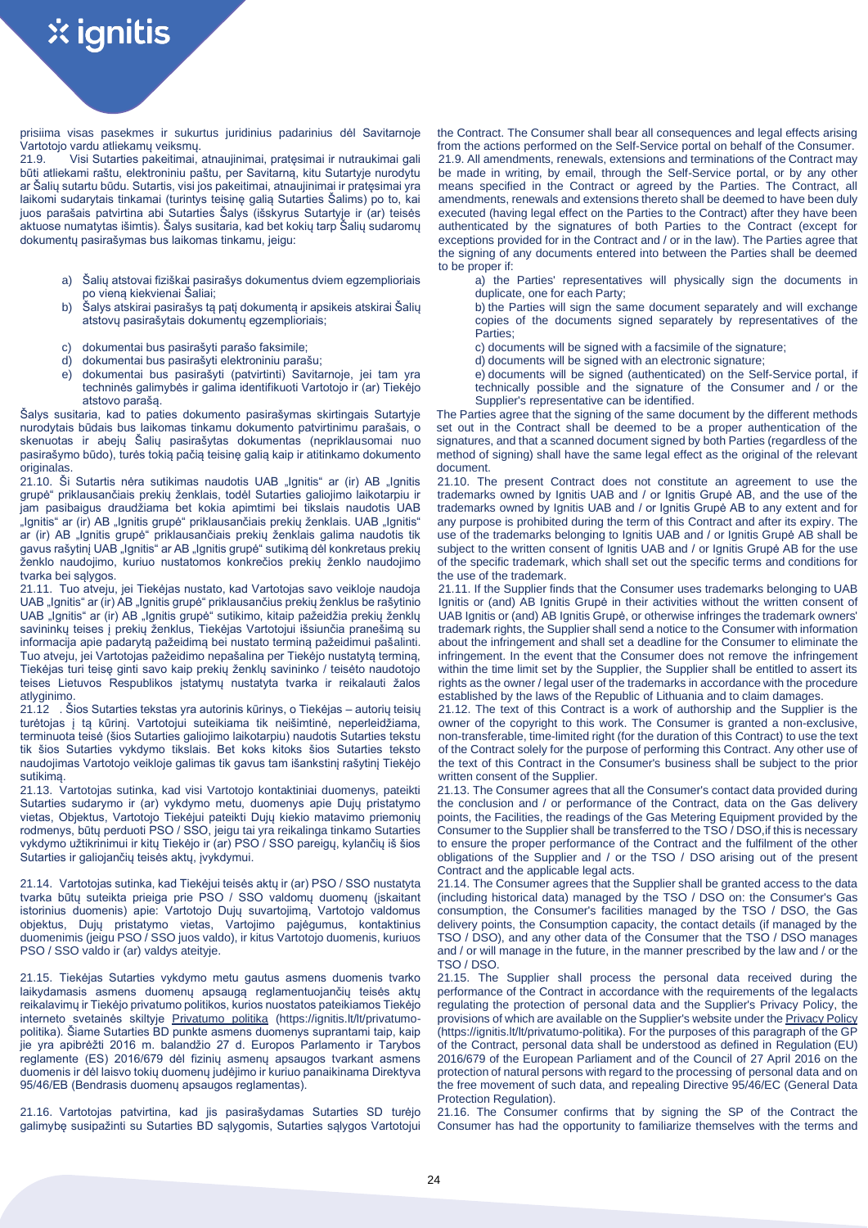prisiima visas pasekmes ir sukurtus juridinius padarinius dėl Savitarnoje Vartotojo vardu atliekamų veiksmų.

21.9. Visi Sutarties pakeitimai, atnaujinimai, pratęsimai ir nutraukimai gali būti atliekami raštu, elektroniniu paštu, per Savitarną, kitu Sutartyje nurodytu ar Šalių sutartu būdu. Sutartis, visi jos pakeitimai, atnaujinimai ir pratęsimai yra laikomi sudarytais tinkamai (turintys teisinę galią Sutarties Šalims) po to, kai juos parašais patvirtina abi Sutarties Šalys (išskyrus Sutartyje ir (ar) teisės aktuose numatytas išimtis). Šalys susitaria, kad bet kokių tarp Šalių sudaromų dokumentų pasirašymas bus laikomas tinkamu, jeigu:

- a) Šalių atstovai fiziškai pasirašys dokumentus dviem egzemplioriais po vieną kiekvienai Šaliai;
- b) Šalys atskirai pasirašys tą patį dokumentą ir apsikeis atskirai Šalių atstovų pasirašytais dokumentų egzemplioriais;
- c) dokumentai bus pasirašyti parašo faksimile;
- d) dokumentai bus pasirašyti elektroniniu parašu;
- e) dokumentai bus pasirašyti (patvirtinti) Savitarnoje, jei tam yra techninės galimybės ir galima identifikuoti Vartotojo ir (ar) Tiekėjo atstovo parašą.

Šalys susitaria, kad to paties dokumento pasirašymas skirtingais Sutartyje nurodytais būdais bus laikomas tinkamu dokumento patvirtinimu parašais, o skenuotas ir abejų Šalių pasirašytas dokumentas (nepriklausomai nuo pasirašymo būdo), turės tokią pačią teisinę galią kaip ir atitinkamo dokumento originalas.

21.10. Ši Sutartis nėra sutikimas naudotis UAB "Ignitis" ar (ir) AB "Ignitis grupė" priklausančiais prekių ženklais, todėl Sutarties galiojimo laikotarpiu ir jam pasibaigus draudžiama bet kokia apimtimi bei tikslais naudotis UAB "Ignitis" ar (ir) AB "Ignitis grupė" priklausančiais prekių ženklais. UAB "Ignitis" ar (ir) AB "Ignitis grupė" priklausančiais prekių ženklais galima naudotis tik gavus rašytinį UAB "Ignitis" ar AB "Ignitis grupė" sutikimą dėl konkretaus prekių ženklo naudojimo, kuriuo nustatomos konkrečios prekių ženklo naudojimo tvarka bei sąlygos.

21.11. Tuo atveju, jei Tiekėjas nustato, kad Vartotojas savo veikloje naudoja UAB "Ignitis" ar (ir) AB "Ignitis grupė" priklausančius prekių ženklus be rašytinio UAB "Ignitis" ar (ir) AB "Ignitis grupė" sutikimo, kitaip pažeidžia prekių ženklų savininkų teises į prekių ženklus, Tiekėjas Vartotojui išsiunčia pranešimą su informacija apie padarytą pažeidimą bei nustato terminą pažeidimui pašalinti. Tuo atveju, jei Vartotojas pažeidimo nepašalina per Tiekėjo nustatytą terminą, Tiekėjas turi teisę ginti savo kaip prekių ženklų savininko / teisėto naudotojo teises Lietuvos Respublikos įstatymų nustatyta tvarka ir reikalauti žalos atlyginimo.

21.12 . Šios Sutarties tekstas yra autorinis kūrinys, o Tiekėjas – autorių teisių turėtojas į tą kūrinį. Vartotojui suteikiama tik neišimtinė, neperleidžiama, terminuota teisė (šios Sutarties galiojimo laikotarpiu) naudotis Sutarties tekstu tik šios Sutarties vykdymo tikslais. Bet koks kitoks šios Sutarties teksto naudojimas Vartotojo veikloje galimas tik gavus tam išankstinį rašytinį Tiekėjo sutikimą.

21.13. Vartotojas sutinka, kad visi Vartotojo kontaktiniai duomenys, pateikti Sutarties sudarymo ir (ar) vykdymo metu, duomenys apie Dujų pristatymo vietas, Objektus, Vartotojo Tiekėjui pateikti Dujų kiekio matavimo priemonių rodmenys, būtų perduoti PSO / SSO, jeigu tai yra reikalinga tinkamo Sutarties vykdymo užtikrinimui ir kitų Tiekėjo ir (ar) PSO / SSO pareigų, kylančių iš šios Sutarties ir galiojančių teisės aktų, įvykdymui.

21.14. Vartotojas sutinka, kad Tiekėjui teisės aktų ir (ar) PSO / SSO nustatyta tvarka būtų suteikta prieiga prie PSO / SSO valdomų duomenų (įskaitant istorinius duomenis) apie: Vartotojo Dujų suvartojimą, Vartotojo valdomus objektus, Dujų pristatymo vietas, Vartojimo pajėgumus, kontaktinius duomenimis (jeigu PSO / SSO juos valdo), ir kitus Vartotojo duomenis, kuriuos PSO / SSO valdo ir (ar) valdys ateityje.

21.15. Tiekėjas Sutarties vykdymo metu gautus asmens duomenis tvarko laikydamasis asmens duomenų apsaugą reglamentuojančių teisės aktų reikalavimų ir Tiekėjo privatumo politikos, kurios nuostatos pateikiamos Tiekėjo interneto svetainės skiltyje [Privatumo politika](https://ignitis.lt/lt/privatumo-politika) (https://ignitis.lt/lt/privatumopolitika). Šiame Sutarties BD punkte asmens duomenys suprantami taip, kaip jie yra apibrėžti 2016 m. balandžio 27 d. Europos Parlamento ir Tarybos reglamente (ES) 2016/679 dėl fizinių asmenų apsaugos tvarkant asmens duomenis ir dėl laisvo tokių duomenų judėjimo ir kuriuo panaikinama Direktyva 95/46/EB (Bendrasis duomenų apsaugos reglamentas).

21.16. Vartotojas patvirtina, kad jis pasirašydamas Sutarties SD turėjo galimybę susipažinti su Sutarties BD sąlygomis, Sutarties sąlygos Vartotojui the Contract. The Consumer shall bear all consequences and legal effects arising from the actions performed on the Self-Service portal on behalf of the Consumer. 21.9. All amendments, renewals, extensions and terminations of the Contract may be made in writing, by email, through the Self-Service portal, or by any other means specified in the Contract or agreed by the Parties. The Contract, all amendments, renewals and extensions thereto shall be deemed to have been duly executed (having legal effect on the Parties to the Contract) after they have been authenticated by the signatures of both Parties to the Contract (except for exceptions provided for in the Contract and / or in the law). The Parties agree that the signing of any documents entered into between the Parties shall be deemed to be proper if:

- a) the Parties' representatives will physically sign the documents in duplicate, one for each Party;
- b) the Parties will sign the same document separately and will exchange copies of the documents signed separately by representatives of the Parties;
- c) documents will be signed with a facsimile of the signature;
- d) documents will be signed with an electronic signature;
- e) documents will be signed (authenticated) on the Self-Service portal, if technically possible and the signature of the Consumer and / or the Supplier's representative can be identified.

The Parties agree that the signing of the same document by the different methods set out in the Contract shall be deemed to be a proper authentication of the signatures, and that a scanned document signed by both Parties (regardless of the method of signing) shall have the same legal effect as the original of the relevant document.

21.10. The present Contract does not constitute an agreement to use the trademarks owned by Ignitis UAB and / or Ignitis Grupė AB, and the use of the trademarks owned by Ignitis UAB and / or Ignitis Grupė AB to any extent and for any purpose is prohibited during the term of this Contract and after its expiry. The use of the trademarks belonging to Ignitis UAB and / or Ignitis Grupė AB shall be subject to the written consent of Ignitis UAB and / or Ignitis Grupe AB for the use of the specific trademark, which shall set out the specific terms and conditions for the use of the trademark.

21.11. If the Supplier finds that the Consumer uses trademarks belonging to UAB Ignitis or (and) AB Ignitis Grupė in their activities without the written consent of UAB Ignitis or (and) AB Ignitis Grupė, or otherwise infringes the trademark owners' trademark rights, the Supplier shall send a notice to the Consumer with information about the infringement and shall set a deadline for the Consumer to eliminate the infringement. In the event that the Consumer does not remove the infringement within the time limit set by the Supplier, the Supplier shall be entitled to assert its rights as the owner / legal user of the trademarks in accordance with the procedure established by the laws of the Republic of Lithuania and to claim damages.

21.12. The text of this Contract is a work of authorship and the Supplier is the owner of the copyright to this work. The Consumer is granted a non-exclusive, non-transferable, time-limited right (for the duration of this Contract) to use the text of the Contract solely for the purpose of performing this Contract. Any other use of the text of this Contract in the Consumer's business shall be subject to the prior written consent of the Supplier.

21.13. The Consumer agrees that all the Consumer's contact data provided during the conclusion and / or performance of the Contract, data on the Gas delivery points, the Facilities, the readings of the Gas Metering Equipment provided by the Consumer to the Supplier shall be transferred to the TSO / DSO, if this is necessary to ensure the proper performance of the Contract and the fulfilment of the other obligations of the Supplier and / or the TSO / DSO arising out of the present Contract and the applicable legal acts.

21.14. The Consumer agrees that the Supplier shall be granted access to the data (including historical data) managed by the TSO / DSO on: the Consumer's Gas consumption, the Consumer's facilities managed by the TSO / DSO, the Gas delivery points, the Consumption capacity, the contact details (if managed by the TSO / DSO), and any other data of the Consumer that the TSO / DSO manages and / or will manage in the future, in the manner prescribed by the law and / or the TSO / DSO.

21.15. The Supplier shall process the personal data received during the performance of the Contract in accordance with the requirements of the legalacts regulating the protection of personal data and the Supplier's Privacy Policy, the provisions of which are available on the Supplier's website under the [Privacy Policy](https://ignitis.lt/lt/privatumo-politika)  [\(h](https://ignitis.lt/lt/privatumo-politika)ttps://ignitis.lt/lt/privatumo-politika). For the purposes of this paragraph of the GP of the Contract, personal data shall be understood as defined in Regulation (EU) 2016/679 of the European Parliament and of the Council of 27 April 2016 on the protection of natural persons with regard to the processing of personal data and on the free movement of such data, and repealing Directive 95/46/EC (General Data Protection Regulation).

21.16. The Consumer confirms that by signing the SP of the Contract the Consumer has had the opportunity to familiarize themselves with the terms and